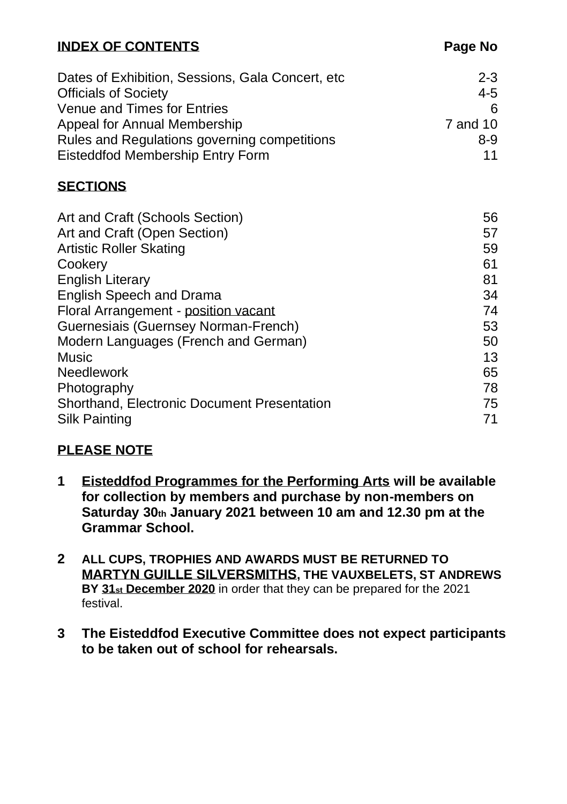## **INDEX OF CONTENTS Page No**

| Dates of Exhibition, Sessions, Gala Concert, etc. | $2 - 3$  |
|---------------------------------------------------|----------|
| <b>Officials of Society</b>                       | 4-5      |
| Venue and Times for Entries                       | 6        |
| Appeal for Annual Membership                      | 7 and 10 |
| Rules and Regulations governing competitions      | 8-9      |
| Eisteddfod Membership Entry Form                  | 11       |

## **SECTIONS**

| Art and Craft (Schools Section)             | 56 |
|---------------------------------------------|----|
| Art and Craft (Open Section)                | 57 |
| <b>Artistic Roller Skating</b>              | 59 |
| Cookery                                     | 61 |
| <b>English Literary</b>                     | 81 |
| <b>English Speech and Drama</b>             | 34 |
| Floral Arrangement - position vacant        | 74 |
| Guernesiais (Guernsey Norman-French)        | 53 |
| Modern Languages (French and German)        | 50 |
| Music                                       | 13 |
| <b>Needlework</b>                           | 65 |
| Photography                                 | 78 |
| Shorthand, Electronic Document Presentation | 75 |
| Silk Painting                               | 71 |

## **PLEASE NOTE**

- **1 Eisteddfod Programmes for the Performing Arts will be available for collection by members and purchase by non-members on Saturday 30th January 2021 between 10 am and 12.30 pm at the Grammar School.**
- **2 ALL CUPS, TROPHIES AND AWARDS MUST BE RETURNED TO MARTYN GUILLE SILVERSMITHS, THE VAUXBELETS, ST ANDREWS BY 31st December 2020** in order that they can be prepared for the 2021 festival.
- **3 The Eisteddfod Executive Committee does not expect participants to be taken out of school for rehearsals.**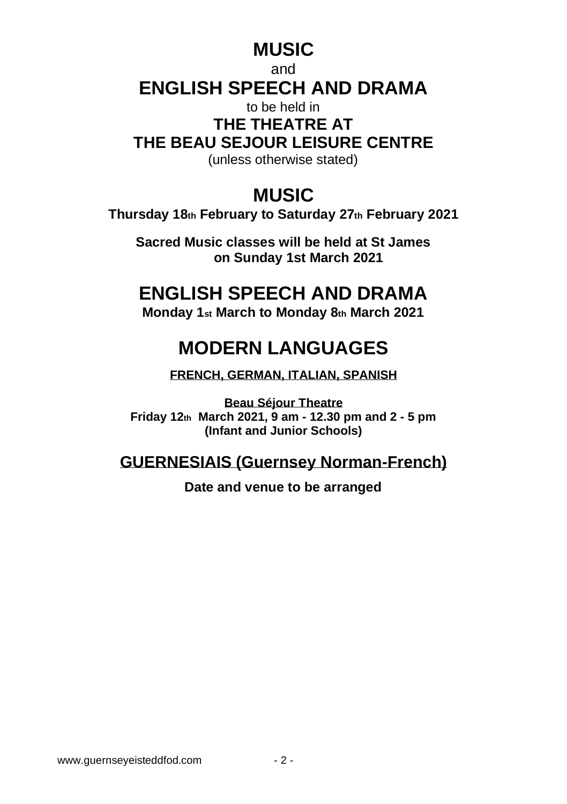# **MUSIC**

## and

# **ENGLISH SPEECH AND DRAMA**

## to be held in

## **THE THEATRE AT THE BEAU SEJOUR LEISURE CENTRE**

(unless otherwise stated)

# **MUSIC**

**Thursday 18th February to Saturday 27th February 2021**

**Sacred Music classes will be held at St James on Sunday 1st March 2021**

# **ENGLISH SPEECH AND DRAMA**

**Monday 1st March to Monday 8th March 2021**

# **MODERN LANGUAGES**

**FRENCH, GERMAN, ITALIAN, SPANISH**

**Beau Séjour Theatre Friday 12th March 2021, 9 am - 12.30 pm and 2 - 5 pm (Infant and Junior Schools)**

## **GUERNESIAIS (Guernsey Norman-French)**

## **Date and venue to be arranged**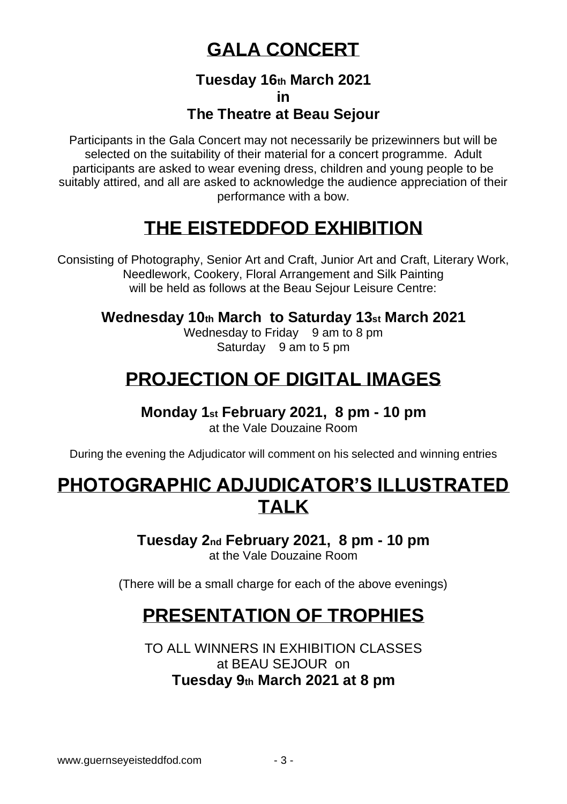# **GALA CONCERT**

## **Tuesday 16th March 2021 in The Theatre at Beau Sejour**

Participants in the Gala Concert may not necessarily be prizewinners but will be selected on the suitability of their material for a concert programme. Adult participants are asked to wear evening dress, children and young people to be suitably attired, and all are asked to acknowledge the audience appreciation of their performance with a bow.

# **THE EISTEDDFOD EXHIBITION**

Consisting of Photography, Senior Art and Craft, Junior Art and Craft, Literary Work, Needlework, Cookery, Floral Arrangement and Silk Painting will be held as follows at the Beau Sejour Leisure Centre:

**Wednesday 10th March to Saturday 13st March 2021**

Wednesday to Friday 9 am to 8 pm Saturday 9 am to 5 pm

# **PROJECTION OF DIGITAL IMAGES**

**Monday 1st February 2021, 8 pm - 10 pm**

at the Vale Douzaine Room

During the evening the Adjudicator will comment on his selected and winning entries

# **PHOTOGRAPHIC ADJUDICATOR'S ILLUSTRATED TALK**

**Tuesday 2nd February 2021, 8 pm - 10 pm**

at the Vale Douzaine Room

(There will be a small charge for each of the above evenings)

## **PRESENTATION OF TROPHIES**

TO ALL WINNERS IN EXHIBITION CLASSES at BEAU SEJOUR on **Tuesday 9th March 2021 at 8 pm**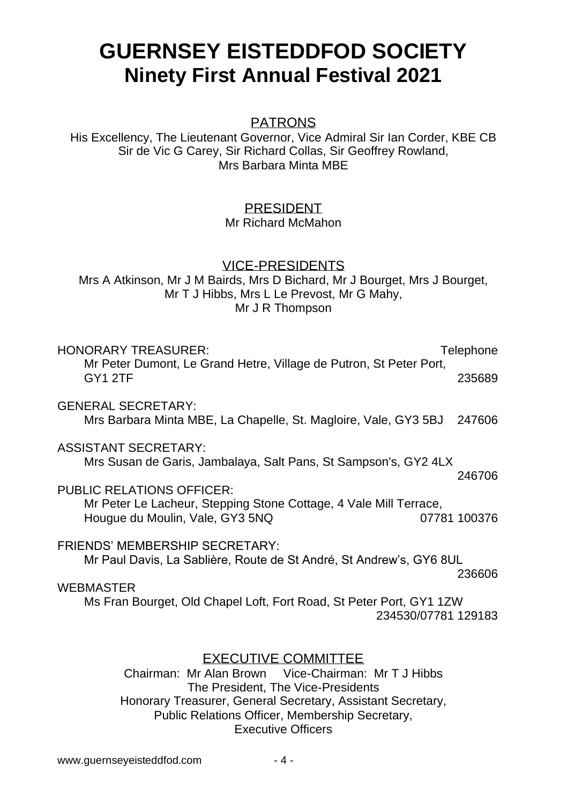# **GUERNSEY EISTEDDFOD SOCIETY Ninety First Annual Festival 2021**

PATRONS

His Excellency, The Lieutenant Governor, Vice Admiral Sir Ian Corder, KBE CB Sir de Vic G Carey, Sir Richard Collas, Sir Geoffrey Rowland, Mrs Barbara Minta MBE

### PRESIDENT

Mr Richard McMahon

VICE-PRESIDENTS Mrs A Atkinson, Mr J M Bairds, Mrs D Bichard, Mr J Bourget, Mrs J Bourget, Mr T J Hibbs, Mrs L Le Prevost, Mr G Mahy, Mr J R Thompson

HONORARY TREASURER: The Contract of the Contract of the Contract of the Telephone Mr Peter Dumont, Le Grand Hetre, Village de Putron, St Peter Port, GY1 2TF 235689

#### GENERAL SECRETARY:

Mrs Barbara Minta MBE, La Chapelle, St. Magloire, Vale, GY3 5BJ 247606

#### ASSISTANT SECRETARY:

Mrs Susan de Garis, Jambalaya, Salt Pans, St Sampson's, GY2 4LX

#### PUBLIC RELATIONS OFFICER:

Mr Peter Le Lacheur, Stepping Stone Cottage, 4 Vale Mill Terrace, Hougue du Moulin, Vale, GY3 5NQ 07781 100376

246706

236606

#### FRIENDS' MEMBERSHIP SECRETARY:

Mr Paul Davis, La Sablière, Route de St André, St Andrew's, GY6 8UL

#### WEBMASTER

Ms Fran Bourget, Old Chapel Loft, Fort Road, St Peter Port, GY1 1ZW 234530/07781 129183

#### EXECUTIVE COMMITTEE

Chairman: Mr Alan Brown Vice-Chairman: Mr T J Hibbs The President, The Vice-Presidents Honorary Treasurer, General Secretary, Assistant Secretary, Public Relations Officer, Membership Secretary, Executive Officers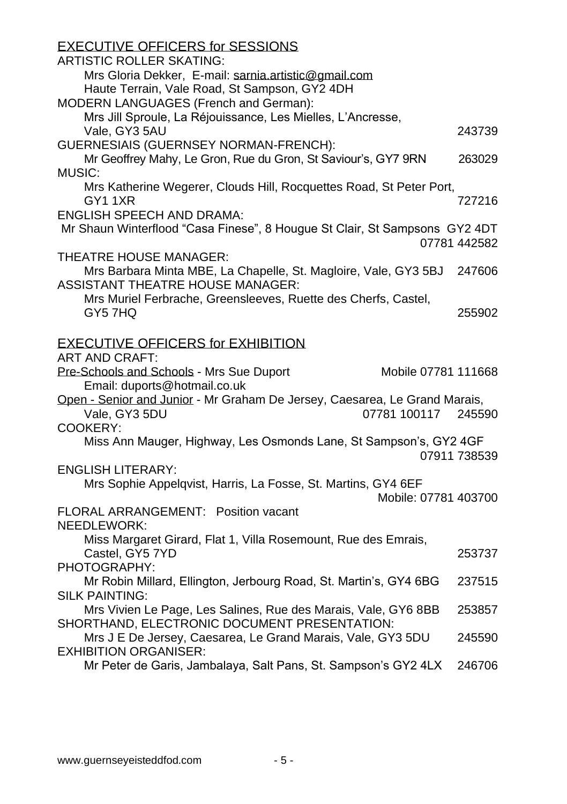| <b>ARTISTIC ROLLER SKATING:</b>                                                                                                                               |        |
|---------------------------------------------------------------------------------------------------------------------------------------------------------------|--------|
| Mrs Gloria Dekker, E-mail: sarnia.artistic@gmail.com<br>Haute Terrain, Vale Road, St Sampson, GY2 4DH                                                         |        |
| MODERN LANGUAGES (French and German):                                                                                                                         |        |
| Mrs Jill Sproule, La Réjouissance, Les Mielles, L'Ancresse,                                                                                                   |        |
| Vale, GY3 5AU                                                                                                                                                 | 243739 |
| GUERNESIAIS (GUERNSEY NORMAN-FRENCH):                                                                                                                         |        |
| Mr Geoffrey Mahy, Le Gron, Rue du Gron, St Saviour's, GY7 9RN                                                                                                 | 263029 |
| MUSIC:                                                                                                                                                        |        |
| Mrs Katherine Wegerer, Clouds Hill, Rocquettes Road, St Peter Port,                                                                                           |        |
| GY1 1XR                                                                                                                                                       | 727216 |
| <b>ENGLISH SPEECH AND DRAMA:</b>                                                                                                                              |        |
| Mr Shaun Winterflood "Casa Finese", 8 Hougue St Clair, St Sampsons GY2 4DT<br>07781 442582                                                                    |        |
| THEATRE HOUSE MANAGER:                                                                                                                                        |        |
| Mrs Barbara Minta MBE, La Chapelle, St. Magloire, Vale, GY3 5BJ                                                                                               | 247606 |
| ASSISTANT THEATRE HOUSE MANAGER:                                                                                                                              |        |
| Mrs Muriel Ferbrache, Greensleeves, Ruette des Cherfs, Castel,                                                                                                |        |
| GY5 7HQ                                                                                                                                                       | 255902 |
|                                                                                                                                                               |        |
| <b>EXECUTIVE OFFICERS for EXHIBITION</b>                                                                                                                      |        |
| ART AND CRAFT:                                                                                                                                                |        |
|                                                                                                                                                               |        |
| Pre-Schools and Schools - Mrs Sue Duport<br>Mobile 07781 111668                                                                                               |        |
| Email: duports@hotmail.co.uk                                                                                                                                  |        |
| Open - Senior and Junior - Mr Graham De Jersey, Caesarea, Le Grand Marais,                                                                                    |        |
| Vale, GY3 5DU<br>07781 100117                                                                                                                                 | 245590 |
| COOKERY:                                                                                                                                                      |        |
| Miss Ann Mauger, Highway, Les Osmonds Lane, St Sampson's, GY2 4GF                                                                                             |        |
| 07911 738539                                                                                                                                                  |        |
| <b>ENGLISH LITERARY:</b>                                                                                                                                      |        |
| Mrs Sophie Appelqvist, Harris, La Fosse, St. Martins, GY4 6EF<br>Mobile: 07781 403700                                                                         |        |
| FLORAL ARRANGEMENT: Position vacant                                                                                                                           |        |
| NEEDLEWORK:                                                                                                                                                   |        |
| Miss Margaret Girard, Flat 1, Villa Rosemount, Rue des Emrais,                                                                                                |        |
| Castel, GY5 7YD                                                                                                                                               | 253737 |
| PHOTOGRAPHY:                                                                                                                                                  |        |
| Mr Robin Millard, Ellington, Jerbourg Road, St. Martin's, GY4 6BG                                                                                             | 237515 |
| SILK PAINTING:                                                                                                                                                |        |
| Mrs Vivien Le Page, Les Salines, Rue des Marais, Vale, GY6 8BB                                                                                                | 253857 |
| SHORTHAND, ELECTRONIC DOCUMENT PRESENTATION:                                                                                                                  | 245590 |
| Mrs J E De Jersey, Caesarea, Le Grand Marais, Vale, GY3 5DU<br><b>EXHIBITION ORGANISER:</b><br>Mr Peter de Garis, Jambalaya, Salt Pans, St. Sampson's GY2 4LX |        |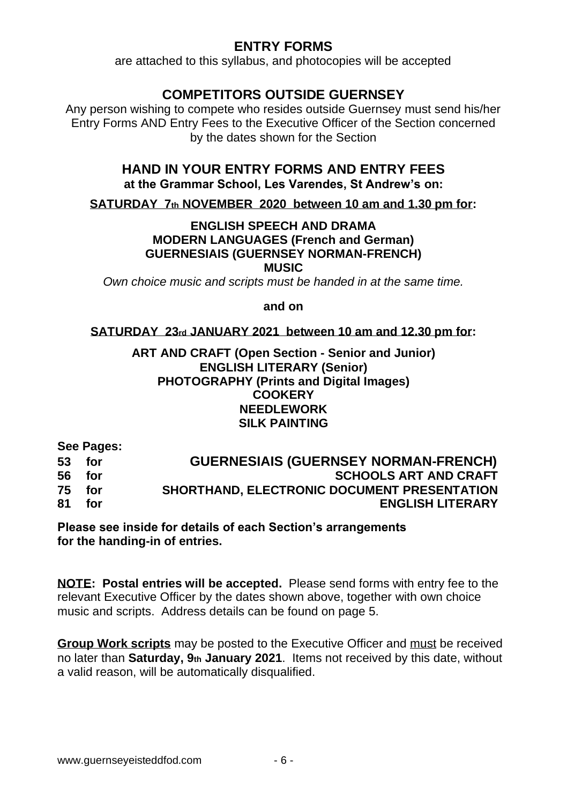## **ENTRY FORMS**

are attached to this syllabus, and photocopies will be accepted

## **COMPETITORS OUTSIDE GUERNSEY**

Any person wishing to compete who resides outside Guernsey must send his/her Entry Forms AND Entry Fees to the Executive Officer of the Section concerned by the dates shown for the Section

#### **HAND IN YOUR ENTRY FORMS AND ENTRY FEES at the Grammar School, Les Varendes, St Andrew's on:**

**SATURDAY 7th NOVEMBER 2020 between 10 am and 1.30 pm for:**

#### **ENGLISH SPEECH AND DRAMA MODERN LANGUAGES (French and German) GUERNESIAIS (GUERNSEY NORMAN-FRENCH) MUSIC**

*Own choice music and scripts must be handed in at the same time.*

**and on**

#### **SATURDAY 23rd JANUARY 2021 between 10 am and 12.30 pm for:**

#### **ART AND CRAFT (Open Section - Senior and Junior) ENGLISH LITERARY (Senior) PHOTOGRAPHY (Prints and Digital Images) COOKERY NEEDLEWORK SILK PAINTING**

**See Pages: for GUERNESIAIS (GUERNSEY NORMAN-FRENCH) for SCHOOLS ART AND CRAFT for SHORTHAND, ELECTRONIC DOCUMENT PRESENTATION for ENGLISH LITERARY**

**Please see inside for details of each Section's arrangements for the handing-in of entries.**

**NOTE: Postal entries will be accepted.** Please send forms with entry fee to the relevant Executive Officer by the dates shown above, together with own choice music and scripts. Address details can be found on page 5.

**Group Work scripts** may be posted to the Executive Officer and must be received no later than **Saturday, 9th January 2021**. Items not received by this date, without a valid reason, will be automatically disqualified.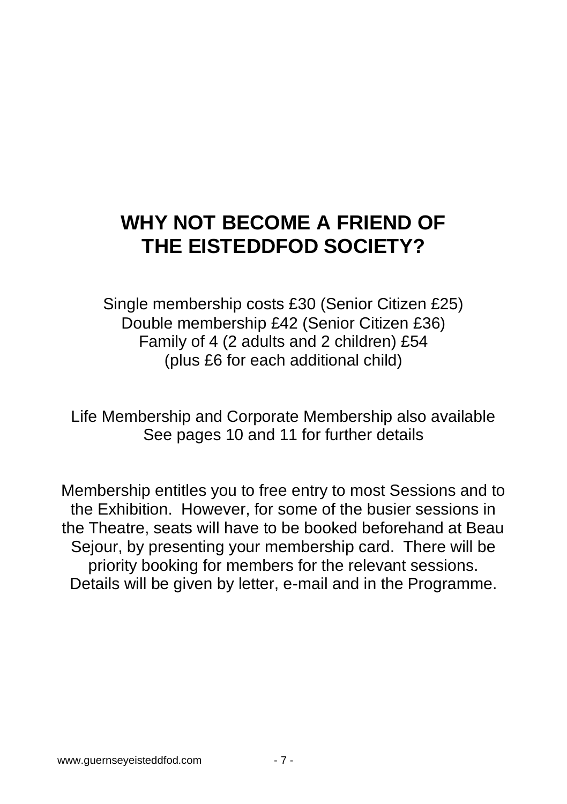# **WHY NOT BECOME A FRIEND OF THE EISTEDDFOD SOCIETY?**

Single membership costs £30 (Senior Citizen £25) Double membership £42 (Senior Citizen £36) Family of 4 (2 adults and 2 children) £54 (plus £6 for each additional child)

Life Membership and Corporate Membership also available See pages 10 and 11 for further details

Membership entitles you to free entry to most Sessions and to the Exhibition. However, for some of the busier sessions in the Theatre, seats will have to be booked beforehand at Beau Sejour, by presenting your membership card. There will be priority booking for members for the relevant sessions. Details will be given by letter, e-mail and in the Programme.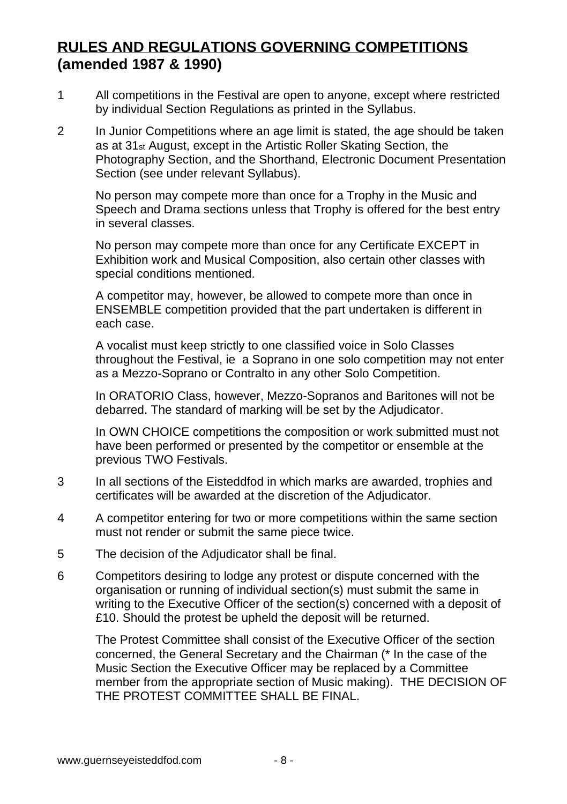## **RULES AND REGULATIONS GOVERNING COMPETITIONS (amended 1987 & 1990)**

- 1 All competitions in the Festival are open to anyone, except where restricted by individual Section Regulations as printed in the Syllabus.
- 2 In Junior Competitions where an age limit is stated, the age should be taken as at 31st August, except in the Artistic Roller Skating Section, the Photography Section, and the Shorthand, Electronic Document Presentation Section (see under relevant Syllabus).

No person may compete more than once for a Trophy in the Music and Speech and Drama sections unless that Trophy is offered for the best entry in several classes.

No person may compete more than once for any Certificate EXCEPT in Exhibition work and Musical Composition, also certain other classes with special conditions mentioned.

A competitor may, however, be allowed to compete more than once in ENSEMBLE competition provided that the part undertaken is different in each case.

A vocalist must keep strictly to one classified voice in Solo Classes throughout the Festival, ie a Soprano in one solo competition may not enter as a Mezzo-Soprano or Contralto in any other Solo Competition.

In ORATORIO Class, however, Mezzo-Sopranos and Baritones will not be debarred. The standard of marking will be set by the Adjudicator.

In OWN CHOICE competitions the composition or work submitted must not have been performed or presented by the competitor or ensemble at the previous TWO Festivals.

- 3 In all sections of the Eisteddfod in which marks are awarded, trophies and certificates will be awarded at the discretion of the Adjudicator.
- 4 A competitor entering for two or more competitions within the same section must not render or submit the same piece twice.
- 5 The decision of the Adjudicator shall be final.
- 6 Competitors desiring to lodge any protest or dispute concerned with the organisation or running of individual section(s) must submit the same in writing to the Executive Officer of the section(s) concerned with a deposit of £10. Should the protest be upheld the deposit will be returned.

The Protest Committee shall consist of the Executive Officer of the section concerned, the General Secretary and the Chairman (\* In the case of the Music Section the Executive Officer may be replaced by a Committee member from the appropriate section of Music making). THE DECISION OF THE PROTEST COMMITTEE SHALL BE FINAL.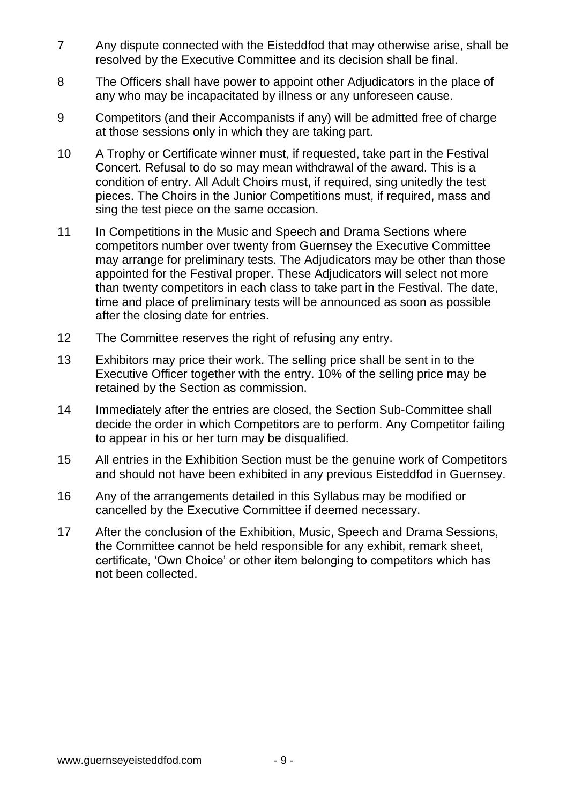- 7 Any dispute connected with the Eisteddfod that may otherwise arise, shall be resolved by the Executive Committee and its decision shall be final.
- 8 The Officers shall have power to appoint other Adjudicators in the place of any who may be incapacitated by illness or any unforeseen cause.
- 9 Competitors (and their Accompanists if any) will be admitted free of charge at those sessions only in which they are taking part.
- 10 A Trophy or Certificate winner must, if requested, take part in the Festival Concert. Refusal to do so may mean withdrawal of the award. This is a condition of entry. All Adult Choirs must, if required, sing unitedly the test pieces. The Choirs in the Junior Competitions must, if required, mass and sing the test piece on the same occasion.
- 11 In Competitions in the Music and Speech and Drama Sections where competitors number over twenty from Guernsey the Executive Committee may arrange for preliminary tests. The Adjudicators may be other than those appointed for the Festival proper. These Adjudicators will select not more than twenty competitors in each class to take part in the Festival. The date, time and place of preliminary tests will be announced as soon as possible after the closing date for entries.
- 12 The Committee reserves the right of refusing any entry.
- 13 Exhibitors may price their work. The selling price shall be sent in to the Executive Officer together with the entry. 10% of the selling price may be retained by the Section as commission.
- 14 Immediately after the entries are closed, the Section Sub-Committee shall decide the order in which Competitors are to perform. Any Competitor failing to appear in his or her turn may be disqualified.
- 15 All entries in the Exhibition Section must be the genuine work of Competitors and should not have been exhibited in any previous Eisteddfod in Guernsey.
- 16 Any of the arrangements detailed in this Syllabus may be modified or cancelled by the Executive Committee if deemed necessary.
- 17 After the conclusion of the Exhibition, Music, Speech and Drama Sessions, the Committee cannot be held responsible for any exhibit, remark sheet, certificate, 'Own Choice' or other item belonging to competitors which has not been collected.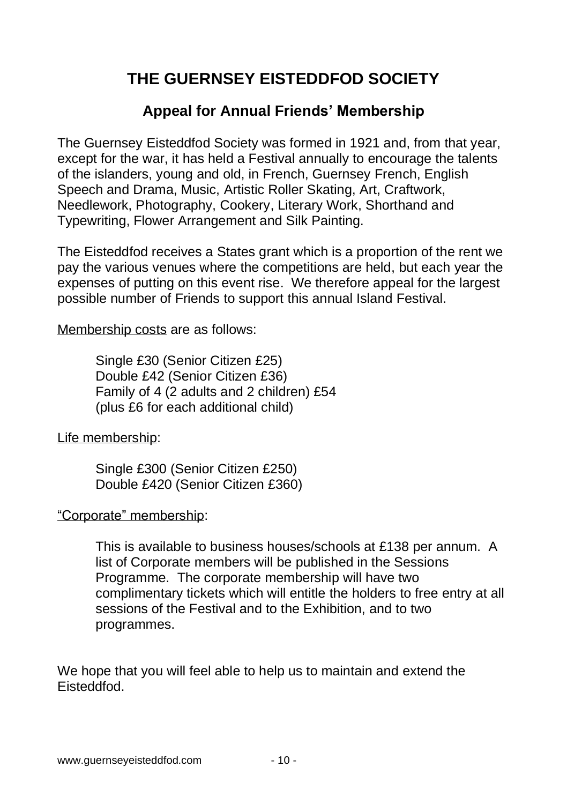## **THE GUERNSEY EISTEDDFOD SOCIETY**

## **Appeal for Annual Friends' Membership**

The Guernsey Eisteddfod Society was formed in 1921 and, from that year, except for the war, it has held a Festival annually to encourage the talents of the islanders, young and old, in French, Guernsey French, English Speech and Drama, Music, Artistic Roller Skating, Art, Craftwork, Needlework, Photography, Cookery, Literary Work, Shorthand and Typewriting, Flower Arrangement and Silk Painting.

The Eisteddfod receives a States grant which is a proportion of the rent we pay the various venues where the competitions are held, but each year the expenses of putting on this event rise. We therefore appeal for the largest possible number of Friends to support this annual Island Festival.

Membership costs are as follows:

Single £30 (Senior Citizen £25) Double £42 (Senior Citizen £36) Family of 4 (2 adults and 2 children) £54 (plus £6 for each additional child)

Life membership:

Single £300 (Senior Citizen £250) Double £420 (Senior Citizen £360)

## "Corporate" membership:

This is available to business houses/schools at £138 per annum. A list of Corporate members will be published in the Sessions Programme. The corporate membership will have two complimentary tickets which will entitle the holders to free entry at all sessions of the Festival and to the Exhibition, and to two programmes.

We hope that you will feel able to help us to maintain and extend the Eisteddfod.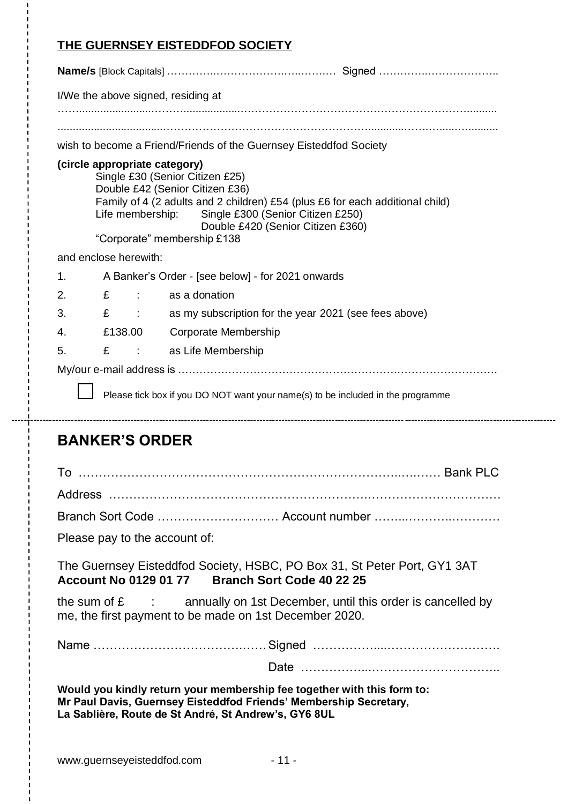## **THE GUERNSEY EISTEDDFOD SOCIETY**

|    | wish to become a Friend/Friends of the Guernsey Eisteddfod Society                                                                                                                                                                                                                                                |
|----|-------------------------------------------------------------------------------------------------------------------------------------------------------------------------------------------------------------------------------------------------------------------------------------------------------------------|
|    | (circle appropriate category)<br>Single £30 (Senior Citizen £25)<br>Double £42 (Senior Citizen £36)<br>Family of 4 (2 adults and 2 children) £54 (plus £6 for each additional child)<br>Life membership:<br>Single £300 (Senior Citizen £250)<br>Double £420 (Senior Citizen £360)<br>"Corporate" membership £138 |
|    | and enclose herewith:                                                                                                                                                                                                                                                                                             |
| 1. | A Banker's Order - [see below] - for 2021 onwards                                                                                                                                                                                                                                                                 |
| 2. | $E$ :<br>as a donation                                                                                                                                                                                                                                                                                            |
| 3. | as my subscription for the year 2021 (see fees above)<br>$E$ :                                                                                                                                                                                                                                                    |
| 4. | £138.00 Corporate Membership                                                                                                                                                                                                                                                                                      |
| 5. | as Life Membership<br>$E$ :                                                                                                                                                                                                                                                                                       |
|    |                                                                                                                                                                                                                                                                                                                   |
|    | Please tick box if you DO NOT want your name(s) to be included in the programme                                                                                                                                                                                                                                   |
|    |                                                                                                                                                                                                                                                                                                                   |
|    | <b>BANKER'S ORDER</b>                                                                                                                                                                                                                                                                                             |
|    |                                                                                                                                                                                                                                                                                                                   |
|    | Address ……………………………………………………………………………………                                                                                                                                                                                                                                                                          |
|    |                                                                                                                                                                                                                                                                                                                   |
|    | Please pay to the account of:                                                                                                                                                                                                                                                                                     |

Name ……………………………….……Signed ……………....……………………….

Date ……………...…………………………..

**Would you kindly return your membership fee together with this form to: Mr Paul Davis, Guernsey Eisteddfod Friends' Membership Secretary, La Sablière, Route de St André, St Andrew's, GY6 8UL**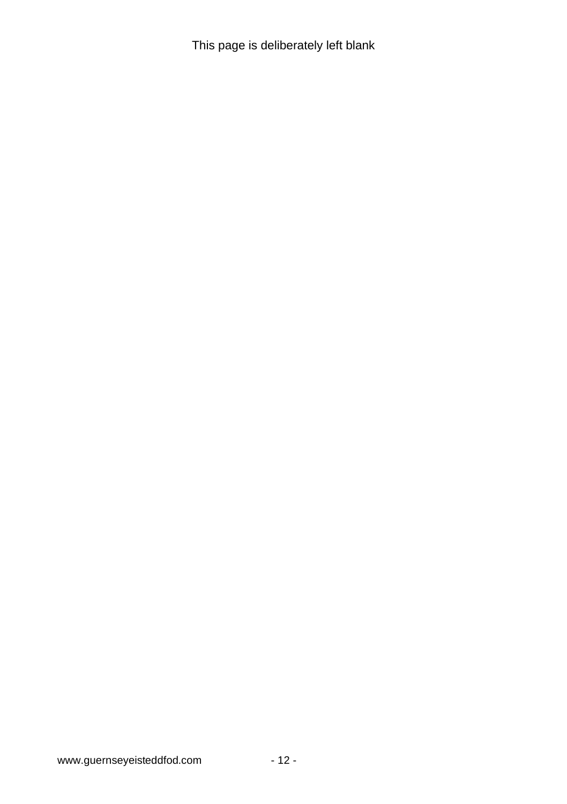This page is deliberately left blank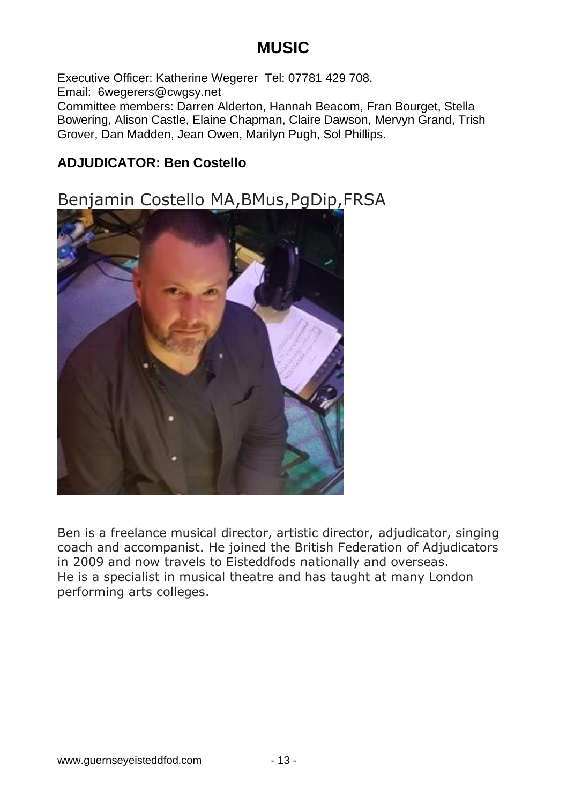## **MUSIC**

Executive Officer: Katherine Wegerer Tel: 07781 429 708. Email: 6wegerers@cwgsy.net Committee members: Darren Alderton, Hannah Beacom, Fran Bourget, Stella Bowering, Alison Castle, Elaine Chapman, Claire Dawson, Mervyn Grand, Trish Grover, Dan Madden, Jean Owen, Marilyn Pugh, Sol Phillips.

## **ADJUDICATOR: Ben Costello**

Benjamin Costello MA,BMus,PgDip,FRSA



Ben is a freelance musical director, artistic director, adjudicator, singing coach and accompanist. He joined the British Federation of Adjudicators in 2009 and now travels to Eisteddfods nationally and overseas. He is a specialist in musical theatre and has taught at many London performing arts colleges.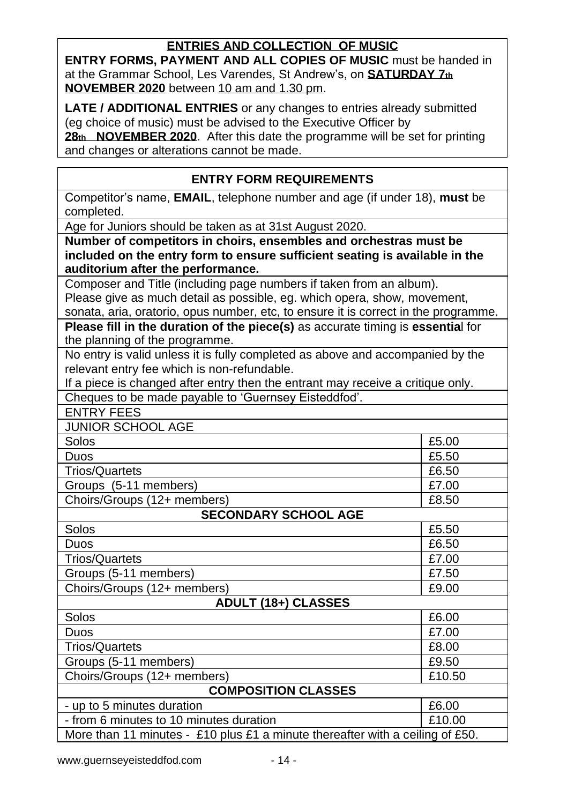#### **ENTRIES AND COLLECTION OF MUSIC**

**ENTRY FORMS, PAYMENT AND ALL COPIES OF MUSIC** must be handed in at the Grammar School, Les Varendes, St Andrew's, on **SATURDAY 7th NOVEMBER 2020** between 10 am and 1.30 pm.

**LATE / ADDITIONAL ENTRIES** or any changes to entries already submitted (eg choice of music) must be advised to the Executive Officer by **28th NOVEMBER 2020**.After this date the programme will be set for printing and changes or alterations cannot be made.

#### **ENTRY FORM REQUIREMENTS**

Competitor's name, **EMAIL**, telephone number and age (if under 18), **must** be completed.

Age for Juniors should be taken as at 31st August 2020.

**Number of competitors in choirs, ensembles and orchestras must be included on the entry form to ensure sufficient seating is available in the auditorium after the performance.** 

Composer and Title (including page numbers if taken from an album). Please give as much detail as possible, eg. which opera, show, movement, sonata, aria, oratorio, opus number, etc, to ensure it is correct in the programme.

**Please fill in the duration of the piece(s)** as accurate timing is **essentia**l for the planning of the programme.

No entry is valid unless it is fully completed as above and accompanied by the relevant entry fee which is non-refundable.

If a piece is changed after entry then the entrant may receive a critique only.

Cheques to be made payable to 'Guernsey Eisteddfod'.

| Cricques to be made payable to Guernocy Elstedatou .                          |        |  |  |  |
|-------------------------------------------------------------------------------|--------|--|--|--|
| <b>ENTRY FEES</b>                                                             |        |  |  |  |
| JUNIOR SCHOOL AGE                                                             |        |  |  |  |
| Solos                                                                         | £5.00  |  |  |  |
| Duos                                                                          | £5.50  |  |  |  |
| <b>Trios/Quartets</b>                                                         | £6.50  |  |  |  |
| Groups (5-11 members)                                                         | £7.00  |  |  |  |
| Choirs/Groups (12+ members)                                                   | £8.50  |  |  |  |
| <b>SECONDARY SCHOOL AGE</b>                                                   |        |  |  |  |
| Solos                                                                         | £5.50  |  |  |  |
| Duos                                                                          | £6.50  |  |  |  |
| <b>Trios/Quartets</b>                                                         | £7.00  |  |  |  |
| Groups (5-11 members)                                                         | £7.50  |  |  |  |
| Choirs/Groups (12+ members)                                                   | £9.00  |  |  |  |
| <b>ADULT (18+) CLASSES</b>                                                    |        |  |  |  |
| Solos                                                                         | £6.00  |  |  |  |
| Duos                                                                          | £7.00  |  |  |  |
| <b>Trios/Quartets</b>                                                         | £8.00  |  |  |  |
| Groups (5-11 members)                                                         | £9.50  |  |  |  |
| Choirs/Groups (12+ members)                                                   | £10.50 |  |  |  |
| <b>COMPOSITION CLASSES</b>                                                    |        |  |  |  |
| - up to 5 minutes duration                                                    | £6.00  |  |  |  |
| - from 6 minutes to 10 minutes duration                                       | £10.00 |  |  |  |
| More than 11 minutes - £10 plus £1 a minute thereafter with a ceiling of £50. |        |  |  |  |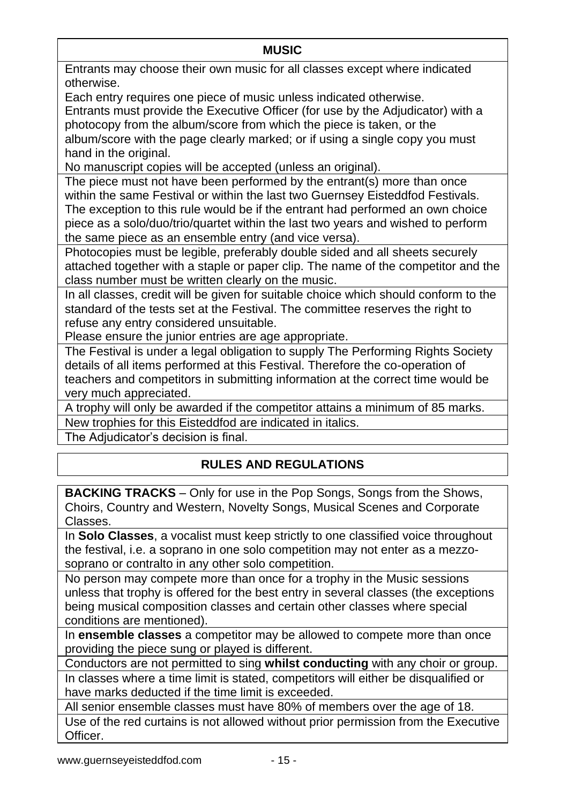#### **MUSIC**

Entrants may choose their own music for all classes except where indicated otherwise.

Each entry requires one piece of music unless indicated otherwise.

Entrants must provide the Executive Officer (for use by the Adjudicator) with a photocopy from the album/score from which the piece is taken, or the album/score with the page clearly marked; or if using a single copy you must hand in the original.

No manuscript copies will be accepted (unless an original).

The piece must not have been performed by the entrant(s) more than once within the same Festival or within the last two Guernsey Eisteddfod Festivals. The exception to this rule would be if the entrant had performed an own choice piece as a solo/duo/trio/quartet within the last two years and wished to perform the same piece as an ensemble entry (and vice versa).

Photocopies must be legible, preferably double sided and all sheets securely attached together with a staple or paper clip. The name of the competitor and the class number must be written clearly on the music.

In all classes, credit will be given for suitable choice which should conform to the standard of the tests set at the Festival. The committee reserves the right to refuse any entry considered unsuitable.

Please ensure the junior entries are age appropriate.

The Festival is under a legal obligation to supply The Performing Rights Society details of all items performed at this Festival. Therefore the co-operation of teachers and competitors in submitting information at the correct time would be very much appreciated.

A trophy will only be awarded if the competitor attains a minimum of 85 marks.

New trophies for this Eisteddfod are indicated in italics.

The Adjudicator's decision is final.

## **RULES AND REGULATIONS**

**BACKING TRACKS** – Only for use in the Pop Songs, Songs from the Shows, Choirs, Country and Western, Novelty Songs, Musical Scenes and Corporate Classes.

In **Solo Classes**, a vocalist must keep strictly to one classified voice throughout the festival, i.e. a soprano in one solo competition may not enter as a mezzosoprano or contralto in any other solo competition.

No person may compete more than once for a trophy in the Music sessions unless that trophy is offered for the best entry in several classes (the exceptions being musical composition classes and certain other classes where special conditions are mentioned).

In **ensemble classes** a competitor may be allowed to compete more than once providing the piece sung or played is different.

Conductors are not permitted to sing **whilst conducting** with any choir or group. In classes where a time limit is stated, competitors will either be disqualified or have marks deducted if the time limit is exceeded.

All senior ensemble classes must have 80% of members over the age of 18.

Use of the red curtains is not allowed without prior permission from the Executive Officer.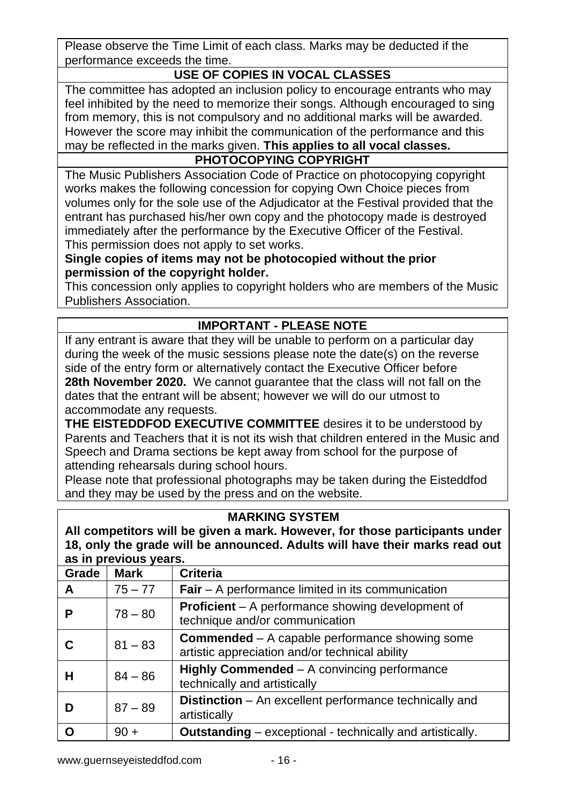Please observe the Time Limit of each class. Marks may be deducted if the performance exceeds the time.

## **USE OF COPIES IN VOCAL CLASSES**

The committee has adopted an inclusion policy to encourage entrants who may feel inhibited by the need to memorize their songs. Although encouraged to sing from memory, this is not compulsory and no additional marks will be awarded. However the score may inhibit the communication of the performance and this may be reflected in the marks given. **This applies to all vocal classes.**

### **PHOTOCOPYING COPYRIGHT**

The Music Publishers Association Code of Practice on photocopying copyright works makes the following concession for copying Own Choice pieces from volumes only for the sole use of the Adjudicator at the Festival provided that the entrant has purchased his/her own copy and the photocopy made is destroyed immediately after the performance by the Executive Officer of the Festival. This permission does not apply to set works.

#### **Single copies of items may not be photocopied without the prior permission of the copyright holder.**

This concession only applies to copyright holders who are members of the Music Publishers Association.

### **IMPORTANT - PLEASE NOTE**

If any entrant is aware that they will be unable to perform on a particular day during the week of the music sessions please note the date(s) on the reverse side of the entry form or alternatively contact the Executive Officer before **28th November 2020.** We cannot guarantee that the class will not fall on the dates that the entrant will be absent; however we will do our utmost to accommodate any requests.

**THE EISTEDDFOD EXECUTIVE COMMITTEE** desires it to be understood by Parents and Teachers that it is not its wish that children entered in the Music and Speech and Drama sections be kept away from school for the purpose of attending rehearsals during school hours.

Please note that professional photographs may be taken during the Eisteddfod and they may be used by the press and on the website.

#### **MARKING SYSTEM**

**All competitors will be given a mark. However, for those participants under 18, only the grade will be announced. Adults will have their marks read out as in previous years.** 

|       | ao  p.ooao ,oa.o. |                                                                                                         |
|-------|-------------------|---------------------------------------------------------------------------------------------------------|
| Grade | Mark              | Criteria                                                                                                |
| A     | $75 - 77$         | Fair - A performance limited in its communication                                                       |
| Р     | $78 - 80$         | <b>Proficient</b> – A performance showing development of<br>technique and/or communication              |
|       | $81 - 83$         | <b>Commended</b> - A capable performance showing some<br>artistic appreciation and/or technical ability |
| н     | $84 - 86$         | Highly Commended - A convincing performance<br>technically and artistically                             |
|       | $87 - 89$         | <b>Distinction</b> – An excellent performance technically and<br>artistically                           |
| ი     | $90 +$            | <b>Outstanding</b> – exceptional - technically and artistically.                                        |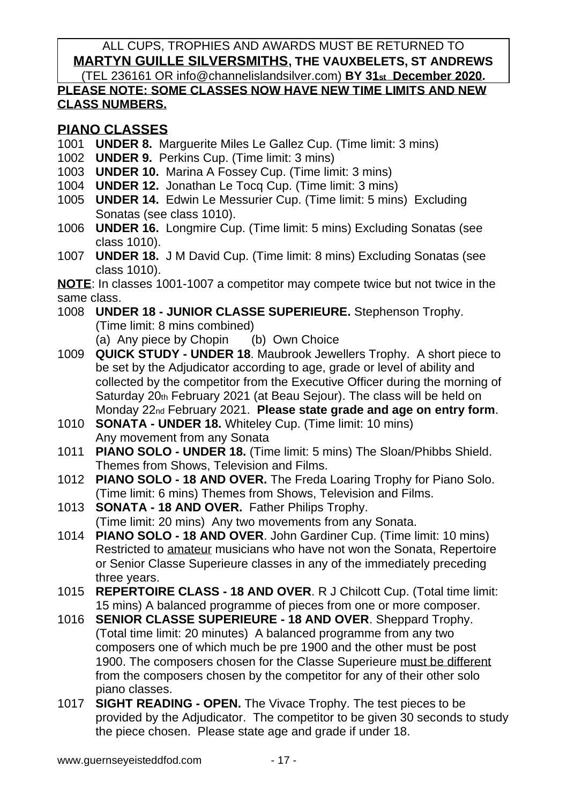#### ALL CUPS, TROPHIES AND AWARDS MUST BE RETURNED TO **MARTYN GUILLE SILVERSMITHS, THE VAUXBELETS, ST ANDREWS**  (TEL 236161 OR info@channelislandsilver.com) **BY 31st December 2020. PLEASE NOTE: SOME CLASSES NOW HAVE NEW TIME LIMITS AND NEW**

# **CLASS NUMBERS.**

# **PIANO CLASSES**

- 1001 **UNDER 8.** Marguerite Miles Le Gallez Cup. (Time limit: 3 mins)
- 1002 **UNDER 9.** Perkins Cup. (Time limit: 3 mins)
- 1003 **UNDER 10.** Marina A Fossey Cup. (Time limit: 3 mins)
- 1004 **UNDER 12.** Jonathan Le Tocq Cup. (Time limit: 3 mins)
- 1005 **UNDER 14.** Edwin Le Messurier Cup. (Time limit: 5 mins) Excluding Sonatas (see class 1010).
- 1006 **UNDER 16.** Longmire Cup. (Time limit: 5 mins) Excluding Sonatas (see class 1010).
- 1007 **UNDER 18.** J M David Cup. (Time limit: 8 mins) Excluding Sonatas (see class 1010).

**NOTE**: In classes 1001-1007 a competitor may compete twice but not twice in the same class.

1008 **UNDER 18 - JUNIOR CLASSE SUPERIEURE.** Stephenson Trophy. (Time limit: 8 mins combined)<br>(a) Any piece by Chopin (b) Own Choice

(a) Any piece by Chopin

- 1009 **QUICK STUDY - UNDER 18**. Maubrook Jewellers Trophy. A short piece to be set by the Adjudicator according to age, grade or level of ability and collected by the competitor from the Executive Officer during the morning of Saturday 20th February 2021 (at Beau Sejour). The class will be held on Monday 22nd February 2021. **Please state grade and age on entry form**.
- 1010 **SONATA - UNDER 18.** Whiteley Cup. (Time limit: 10 mins) Any movement from any Sonata
- 1011 **PIANO SOLO - UNDER 18.** (Time limit: 5 mins) The Sloan/Phibbs Shield. Themes from Shows, Television and Films.
- 1012 **PIANO SOLO - 18 AND OVER.** The Freda Loaring Trophy for Piano Solo. (Time limit: 6 mins) Themes from Shows, Television and Films.
- 1013 **SONATA - 18 AND OVER.** Father Philips Trophy. (Time limit: 20 mins) Any two movements from any Sonata.
- 1014 **PIANO SOLO - 18 AND OVER**. John Gardiner Cup. (Time limit: 10 mins) Restricted to amateur musicians who have not won the Sonata, Repertoire or Senior Classe Superieure classes in any of the immediately preceding three years.
- 1015 **REPERTOIRE CLASS - 18 AND OVER**. R J Chilcott Cup. (Total time limit: 15 mins) A balanced programme of pieces from one or more composer.
- 1016 **SENIOR CLASSE SUPERIEURE - 18 AND OVER**. Sheppard Trophy. (Total time limit: 20 minutes) A balanced programme from any two composers one of which much be pre 1900 and the other must be post 1900. The composers chosen for the Classe Superieure must be different from the composers chosen by the competitor for any of their other solo piano classes.
- 1017 **SIGHT READING - OPEN.** The Vivace Trophy. The test pieces to be provided by the Adjudicator. The competitor to be given 30 seconds to study the piece chosen. Please state age and grade if under 18.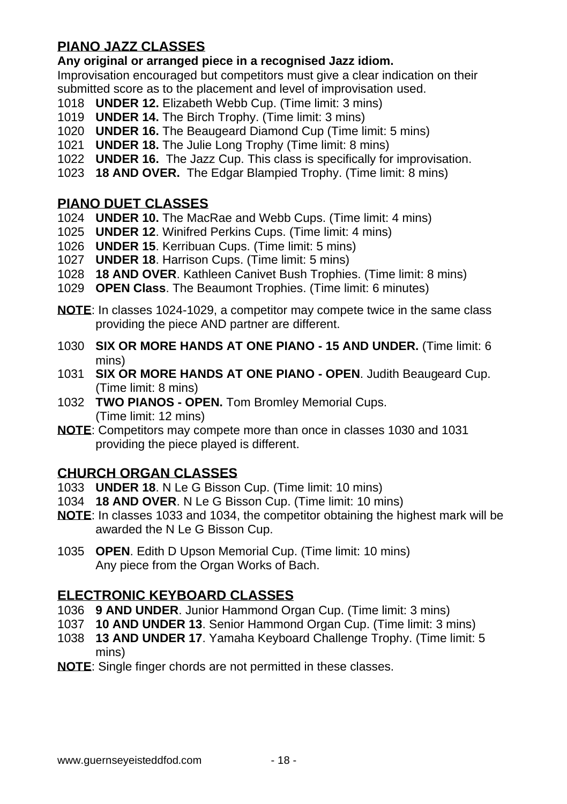## **PIANO JAZZ CLASSES**

**Any original or arranged piece in a recognised Jazz idiom.**

Improvisation encouraged but competitors must give a clear indication on their submitted score as to the placement and level of improvisation used.

- 1018 **UNDER 12.** Elizabeth Webb Cup. (Time limit: 3 mins)
- 1019 **UNDER 14.** The Birch Trophy. (Time limit: 3 mins)
- 1020 **UNDER 16.** The Beaugeard Diamond Cup (Time limit: 5 mins)
- 1021 **UNDER 18.** The Julie Long Trophy (Time limit: 8 mins)
- 1022 **UNDER 16.** The Jazz Cup. This class is specifically for improvisation.
- 1023 **18 AND OVER.** The Edgar Blampied Trophy. (Time limit: 8 mins)

## **PIANO DUET CLASSES**

- 1024 **UNDER 10.** The MacRae and Webb Cups. (Time limit: 4 mins)
- 1025 **UNDER 12**. Winifred Perkins Cups. (Time limit: 4 mins)
- 1026 **UNDER 15**. Kerribuan Cups. (Time limit: 5 mins)
- 1027 **UNDER 18**. Harrison Cups. (Time limit: 5 mins)
- 1028 **18 AND OVER**. Kathleen Canivet Bush Trophies. (Time limit: 8 mins)
- 1029 **OPEN Class**. The Beaumont Trophies. (Time limit: 6 minutes)
- **NOTE**: In classes 1024-1029, a competitor may compete twice in the same class providing the piece AND partner are different.
- 1030 **SIX OR MORE HANDS AT ONE PIANO - 15 AND UNDER.** (Time limit: 6 mins)
- 1031 **SIX OR MORE HANDS AT ONE PIANO - OPEN**. Judith Beaugeard Cup. (Time limit: 8 mins)
- 1032 **TWO PIANOS - OPEN.** Tom Bromley Memorial Cups. (Time limit: 12 mins)
- **NOTE**: Competitors may compete more than once in classes 1030 and 1031 providing the piece played is different.

## **CHURCH ORGAN CLASSES**

- 1033 **UNDER 18**. N Le G Bisson Cup. (Time limit: 10 mins)
- 1034 **18 AND OVER**. N Le G Bisson Cup. (Time limit: 10 mins)
- **NOTE**: In classes 1033 and 1034, the competitor obtaining the highest mark will be awarded the N Le G Bisson Cup.
- 1035 **OPEN**. Edith D Upson Memorial Cup. (Time limit: 10 mins) Any piece from the Organ Works of Bach.

## **ELECTRONIC KEYBOARD CLASSES**

- 1036 **9 AND UNDER**. Junior Hammond Organ Cup. (Time limit: 3 mins)
- 1037 **10 AND UNDER 13**. Senior Hammond Organ Cup. (Time limit: 3 mins)
- 1038 **13 AND UNDER 17**. Yamaha Keyboard Challenge Trophy. (Time limit: 5 mins)
- **NOTE**: Single finger chords are not permitted in these classes.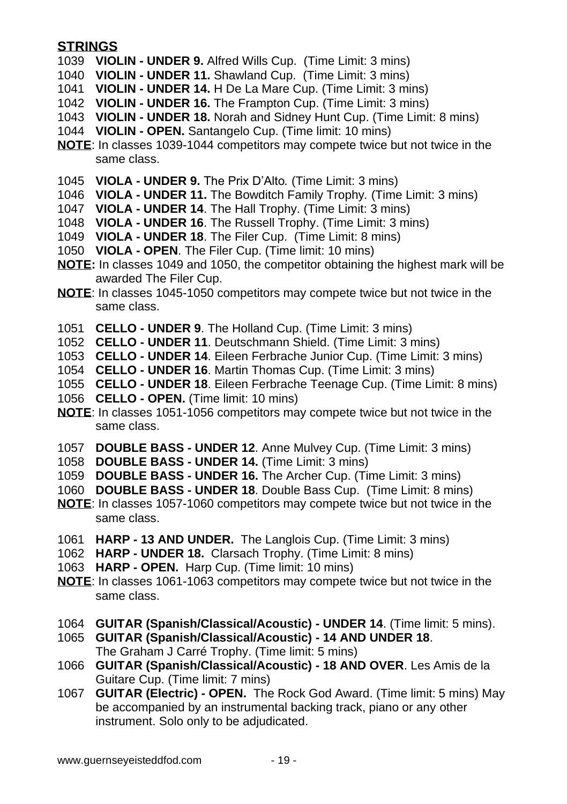## **STRINGS**

- **VIOLIN - UNDER 9.** Alfred Wills Cup. (Time Limit: 3 mins)
- **VIOLIN - UNDER 11.** Shawland Cup. (Time Limit: 3 mins)
- **VIOLIN - UNDER 14.** H De La Mare Cup. (Time Limit: 3 mins)
- **VIOLIN - UNDER 16.** The Frampton Cup. (Time Limit: 3 mins)
- **VIOLIN - UNDER 18.** Norah and Sidney Hunt Cup. (Time Limit: 8 mins)
- **VIOLIN - OPEN.** Santangelo Cup. (Time limit: 10 mins)
- **NOTE**: In classes 1039-1044 competitors may compete twice but not twice in the same class.
- **VIOLA - UNDER 9.** The Prix D'Alto*.* (Time Limit: 3 mins)
- **VIOLA - UNDER 11.** The Bowditch Family Trophy*.* (Time Limit: 3 mins)
- **VIOLA - UNDER 14**. The Hall Trophy. (Time Limit: 3 mins)
- **VIOLA - UNDER 16**. The Russell Trophy. (Time Limit: 3 mins)
- **VIOLA - UNDER 18**. The Filer Cup. (Time Limit: 8 mins)
- **VIOLA - OPEN**. The Filer Cup. (Time limit: 10 mins)
- **NOTE:** In classes 1049 and 1050, the competitor obtaining the highest mark will be awarded The Filer Cup.
- **NOTE**: In classes 1045-1050 competitors may compete twice but not twice in the same class.
- **CELLO - UNDER 9**. The Holland Cup. (Time Limit: 3 mins)
- **CELLO - UNDER 11**. Deutschmann Shield. (Time Limit: 3 mins)
- **CELLO - UNDER 14**. Eileen Ferbrache Junior Cup. (Time Limit: 3 mins)
- **CELLO - UNDER 16**. Martin Thomas Cup. (Time Limit: 3 mins)
- **CELLO - UNDER 18**. Eileen Ferbrache Teenage Cup. (Time Limit: 8 mins)
- **CELLO - OPEN.** (Time limit: 10 mins)
- **NOTE**: In classes 1051-1056 competitors may compete twice but not twice in the same class.
- **DOUBLE BASS - UNDER 12**. Anne Mulvey Cup. (Time Limit: 3 mins)
- **DOUBLE BASS - UNDER 14.** (Time Limit: 3 mins)
- **DOUBLE BASS - UNDER 16.** The Archer Cup. (Time Limit: 3 mins)
- **DOUBLE BASS - UNDER 18**. Double Bass Cup. (Time Limit: 8 mins)
- **NOTE**: In classes 1057-1060 competitors may compete twice but not twice in the same class.
- **HARP - 13 AND UNDER.** The Langlois Cup. (Time Limit: 3 mins)
- **HARP - UNDER 18.** Clarsach Trophy. (Time Limit: 8 mins)
- **HARP - OPEN.** Harp Cup. (Time limit: 10 mins)
- **NOTE**: In classes 1061-1063 competitors may compete twice but not twice in the same class.
- **GUITAR (Spanish/Classical/Acoustic) - UNDER 14**. (Time limit: 5 mins).
- **GUITAR (Spanish/Classical/Acoustic) - 14 AND UNDER 18**. The Graham J Carré Trophy. (Time limit: 5 mins)
- **GUITAR (Spanish/Classical/Acoustic) - 18 AND OVER**. Les Amis de la Guitare Cup. (Time limit: 7 mins)
- **GUITAR (Electric) - OPEN.** The Rock God Award. (Time limit: 5 mins) May be accompanied by an instrumental backing track, piano or any other instrument. Solo only to be adjudicated.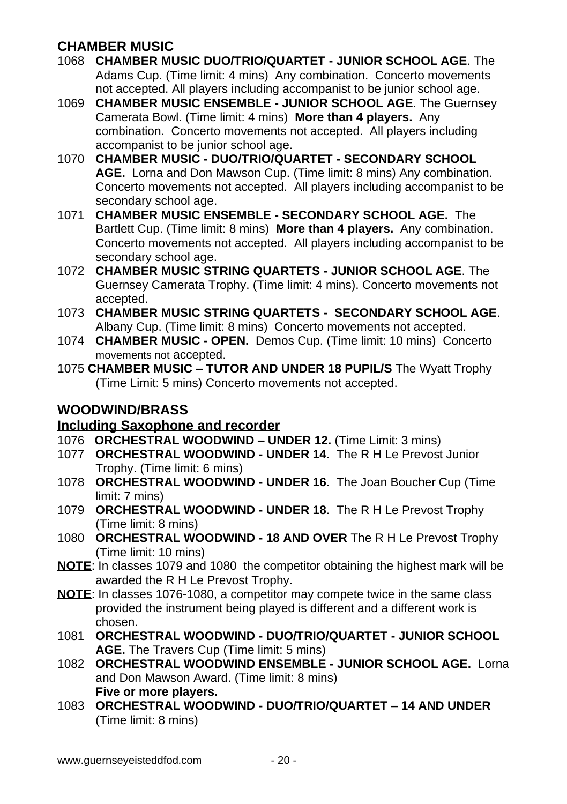## **CHAMBER MUSIC**

- 1068 **CHAMBER MUSIC DUO/TRIO/QUARTET - JUNIOR SCHOOL AGE**. The Adams Cup. (Time limit: 4 mins) Any combination. Concerto movements not accepted. All players including accompanist to be junior school age.
- 1069 **CHAMBER MUSIC ENSEMBLE - JUNIOR SCHOOL AGE**. The Guernsey Camerata Bowl. (Time limit: 4 mins) **More than 4 players.** Any combination. Concerto movements not accepted. All players including accompanist to be junior school age.
- 1070 **CHAMBER MUSIC - DUO/TRIO/QUARTET - SECONDARY SCHOOL AGE.** Lorna and Don Mawson Cup. (Time limit: 8 mins) Any combination. Concerto movements not accepted. All players including accompanist to be secondary school age.
- 1071 **CHAMBER MUSIC ENSEMBLE - SECONDARY SCHOOL AGE.** The Bartlett Cup. (Time limit: 8 mins) **More than 4 players.** Any combination. Concerto movements not accepted. All players including accompanist to be secondary school age.
- 1072 **CHAMBER MUSIC STRING QUARTETS - JUNIOR SCHOOL AGE**. The Guernsey Camerata Trophy. (Time limit: 4 mins). Concerto movements not accepted.
- 1073 **CHAMBER MUSIC STRING QUARTETS SECONDARY SCHOOL AGE**. Albany Cup. (Time limit: 8 mins) Concerto movements not accepted.
- 1074 **CHAMBER MUSIC - OPEN.** Demos Cup. (Time limit: 10 mins) Concerto movements not accepted.
- 1075 **CHAMBER MUSIC – TUTOR AND UNDER 18 PUPIL/S** The Wyatt Trophy (Time Limit: 5 mins) Concerto movements not accepted.

## **WOODWIND/BRASS**

## **Including Saxophone and recorder**

- 1076 **ORCHESTRAL WOODWIND – UNDER 12.** (Time Limit: 3 mins)
- 1077 **ORCHESTRAL WOODWIND - UNDER 14**. The R H Le Prevost Junior Trophy. (Time limit: 6 mins)
- 1078 **ORCHESTRAL WOODWIND - UNDER 16**. The Joan Boucher Cup (Time limit: 7 mins)
- 1079 **ORCHESTRAL WOODWIND - UNDER 18**. The R H Le Prevost Trophy (Time limit: 8 mins)
- 1080 **ORCHESTRAL WOODWIND - 18 AND OVER** The R H Le Prevost Trophy (Time limit: 10 mins)
- **NOTE**: In classes 1079 and 1080 the competitor obtaining the highest mark will be awarded the R H Le Prevost Trophy.
- **NOTE**: In classes 1076-1080, a competitor may compete twice in the same class provided the instrument being played is different and a different work is chosen.
- 1081 **ORCHESTRAL WOODWIND - DUO/TRIO/QUARTET - JUNIOR SCHOOL AGE.** The Travers Cup (Time limit: 5 mins)
- 1082 **ORCHESTRAL WOODWIND ENSEMBLE - JUNIOR SCHOOL AGE.** Lorna and Don Mawson Award. (Time limit: 8 mins) **Five or more players.**
- 1083 **ORCHESTRAL WOODWIND - DUO/TRIO/QUARTET – 14 AND UNDER**  (Time limit: 8 mins)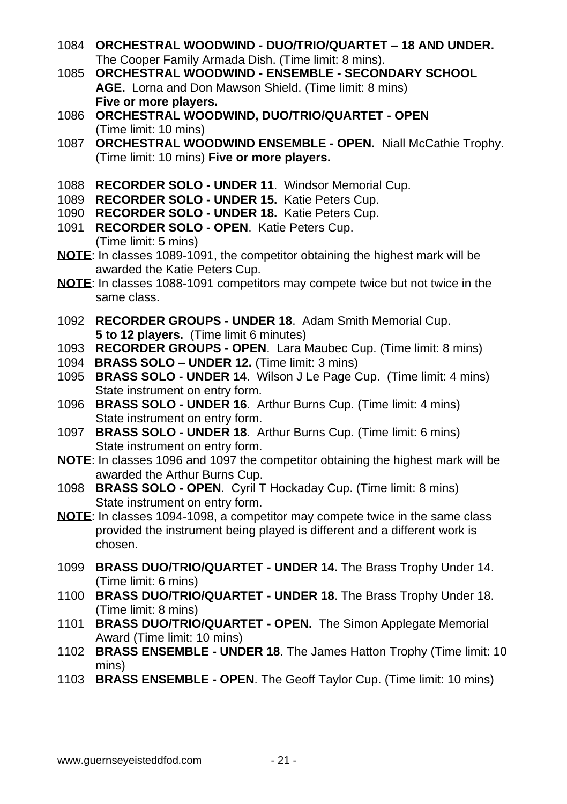- 1084 **ORCHESTRAL WOODWIND - DUO/TRIO/QUARTET – 18 AND UNDER.**  The Cooper Family Armada Dish. (Time limit: 8 mins).
- 1085 **ORCHESTRAL WOODWIND - ENSEMBLE - SECONDARY SCHOOL AGE.** Lorna and Don Mawson Shield. (Time limit: 8 mins) **Five or more players.**
- 1086 **ORCHESTRAL WOODWIND, DUO/TRIO/QUARTET - OPEN**  (Time limit: 10 mins)
- 1087 **ORCHESTRAL WOODWIND ENSEMBLE - OPEN.** Niall McCathie Trophy. (Time limit: 10 mins) **Five or more players.**
- 1088 **RECORDER SOLO - UNDER 11**. Windsor Memorial Cup.
- 1089 **RECORDER SOLO - UNDER 15.** Katie Peters Cup.
- 1090 **RECORDER SOLO - UNDER 18.** Katie Peters Cup.
- 1091 **RECORDER SOLO - OPEN**. Katie Peters Cup. (Time limit: 5 mins)
- **NOTE**: In classes 1089-1091, the competitor obtaining the highest mark will be awarded the Katie Peters Cup.
- **NOTE**: In classes 1088-1091 competitors may compete twice but not twice in the same class.
- 1092 **RECORDER GROUPS - UNDER 18**. Adam Smith Memorial Cup. **5 to 12 players.** (Time limit 6 minutes)
- 1093 **RECORDER GROUPS - OPEN**. Lara Maubec Cup. (Time limit: 8 mins)
- 1094 **BRASS SOLO – UNDER 12.** (Time limit: 3 mins)
- 1095 **BRASS SOLO - UNDER 14**. Wilson J Le Page Cup. (Time limit: 4 mins) State instrument on entry form.
- 1096 **BRASS SOLO - UNDER 16**. Arthur Burns Cup. (Time limit: 4 mins) State instrument on entry form.
- 1097 **BRASS SOLO - UNDER 18**. Arthur Burns Cup. (Time limit: 6 mins) State instrument on entry form.
- **NOTE**: In classes 1096 and 1097 the competitor obtaining the highest mark will be awarded the Arthur Burns Cup.
- 1098 **BRASS SOLO - OPEN**. Cyril T Hockaday Cup. (Time limit: 8 mins) State instrument on entry form.
- **NOTE**: In classes 1094-1098, a competitor may compete twice in the same class provided the instrument being played is different and a different work is chosen.
- 1099 **BRASS DUO/TRIO/QUARTET - UNDER 14.** The Brass Trophy Under 14. (Time limit: 6 mins)
- 1100 **BRASS DUO/TRIO/QUARTET - UNDER 18**. The Brass Trophy Under 18. (Time limit: 8 mins)
- 1101 **BRASS DUO/TRIO/QUARTET - OPEN.** The Simon Applegate Memorial Award (Time limit: 10 mins)
- 1102 **BRASS ENSEMBLE - UNDER 18**. The James Hatton Trophy (Time limit: 10 mins)
- 1103 **BRASS ENSEMBLE - OPEN**. The Geoff Taylor Cup. (Time limit: 10 mins)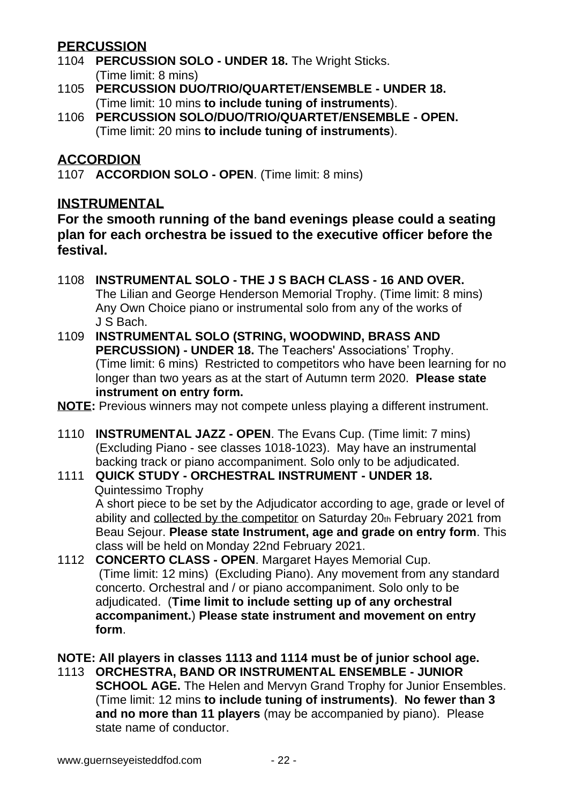## **PERCUSSION**

- 1104 **PERCUSSION SOLO - UNDER 18.** The Wright Sticks. (Time limit: 8 mins)
- 1105 **PERCUSSION DUO/TRIO/QUARTET/ENSEMBLE - UNDER 18.** (Time limit: 10 mins **to include tuning of instruments**).
- 1106 **PERCUSSION SOLO/DUO/TRIO/QUARTET/ENSEMBLE - OPEN.**  (Time limit: 20 mins **to include tuning of instruments**).

## **ACCORDION**

1107 **ACCORDION SOLO - OPEN**. (Time limit: 8 mins)

#### **INSTRUMENTAL**

**For the smooth running of the band evenings please could a seating plan for each orchestra be issued to the executive officer before the festival.**

- 1108 **INSTRUMENTAL SOLO - THE J S BACH CLASS - 16 AND OVER.** The Lilian and George Henderson Memorial Trophy. (Time limit: 8 mins) Any Own Choice piano or instrumental solo from any of the works of J S Bach.
- 1109 **INSTRUMENTAL SOLO (STRING, WOODWIND, BRASS AND PERCUSSION) - UNDER 18.** The Teachers' Associations' Trophy. (Time limit: 6 mins) Restricted to competitors who have been learning for no longer than two years as at the start of Autumn term 2020. **Please state instrument on entry form.**
- **NOTE:** Previous winners may not compete unless playing a different instrument.
- 1110 **INSTRUMENTAL JAZZ - OPEN**. The Evans Cup. (Time limit: 7 mins) (Excluding Piano - see classes 1018-1023). May have an instrumental backing track or piano accompaniment. Solo only to be adjudicated.

#### 1111 **QUICK STUDY - ORCHESTRAL INSTRUMENT - UNDER 18.** Quintessimo Trophy A short piece to be set by the Adjudicator according to age, grade or level of ability and collected by the competitor on Saturday 20th February 2021 from Beau Sejour. **Please state Instrument, age and grade on entry form**. This class will be held on Monday 22nd February 2021.

1112 **CONCERTO CLASS - OPEN**. Margaret Hayes Memorial Cup. (Time limit: 12 mins) (Excluding Piano). Any movement from any standard concerto. Orchestral and / or piano accompaniment. Solo only to be adjudicated. (**Time limit to include setting up of any orchestral accompaniment.**) **Please state instrument and movement on entry form**.

**NOTE: All players in classes 1113 and 1114 must be of junior school age.** 1113 **ORCHESTRA, BAND OR INSTRUMENTAL ENSEMBLE - JUNIOR** 

**SCHOOL AGE.** The Helen and Mervyn Grand Trophy for Junior Ensembles. (Time limit: 12 mins **to include tuning of instruments)**. **No fewer than 3 and no more than 11 players** (may be accompanied by piano). Please state name of conductor.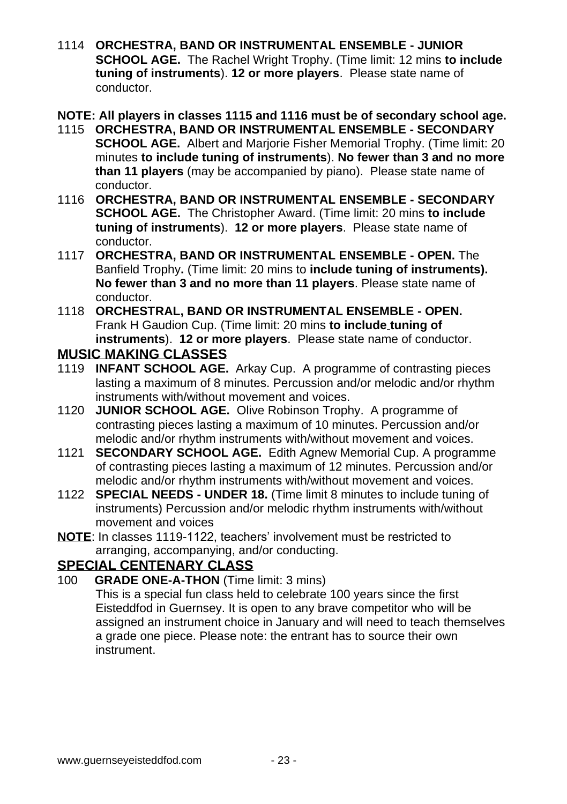1114 **ORCHESTRA, BAND OR INSTRUMENTAL ENSEMBLE - JUNIOR SCHOOL AGE.** The Rachel Wright Trophy. (Time limit: 12 mins **to include tuning of instruments**). **12 or more players**. Please state name of conductor.

## **NOTE: All players in classes 1115 and 1116 must be of secondary school age.**

- 1115 **ORCHESTRA, BAND OR INSTRUMENTAL ENSEMBLE - SECONDARY SCHOOL AGE.** Albert and Marjorie Fisher Memorial Trophy. (Time limit: 20 minutes **to include tuning of instruments**). **No fewer than 3 and no more than 11 players** (may be accompanied by piano). Please state name of conductor.
- 1116 **ORCHESTRA, BAND OR INSTRUMENTAL ENSEMBLE - SECONDARY SCHOOL AGE.** The Christopher Award. (Time limit: 20 mins **to include tuning of instruments**). **12 or more players**. Please state name of conductor.
- 1117 **ORCHESTRA, BAND OR INSTRUMENTAL ENSEMBLE - OPEN.** The Banfield Trophy**.** (Time limit: 20 mins to **include tuning of instruments). No fewer than 3 and no more than 11 players**. Please state name of conductor.
- 1118 **ORCHESTRAL, BAND OR INSTRUMENTAL ENSEMBLE - OPEN.**  Frank H Gaudion Cup. (Time limit: 20 mins **to include tuning of instruments**). **12 or more players**. Please state name of conductor.

### **MUSIC MAKING CLASSES**

- 1119 **INFANT SCHOOL AGE.** Arkay Cup. A programme of contrasting pieces lasting a maximum of 8 minutes. Percussion and/or melodic and/or rhythm instruments with/without movement and voices.
- 1120 **JUNIOR SCHOOL AGE.** Olive Robinson Trophy. A programme of contrasting pieces lasting a maximum of 10 minutes. Percussion and/or melodic and/or rhythm instruments with/without movement and voices.
- 1121 **SECONDARY SCHOOL AGE.** Edith Agnew Memorial Cup. A programme of contrasting pieces lasting a maximum of 12 minutes. Percussion and/or melodic and/or rhythm instruments with/without movement and voices.
- 1122 **SPECIAL NEEDS - UNDER 18.** (Time limit 8 minutes to include tuning of instruments) Percussion and/or melodic rhythm instruments with/without movement and voices
- **NOTE**: In classes 1119-1122, teachers' involvement must be restricted to arranging, accompanying, and/or conducting.

## **SPECIAL CENTENARY CLASS**

- 100 **GRADE ONE-A-THON** (Time limit: 3 mins)
- This is a special fun class held to celebrate 100 years since the first Eisteddfod in Guernsey. It is open to any brave competitor who will be assigned an instrument choice in January and will need to teach themselves a grade one piece. Please note: the entrant has to source their own instrument.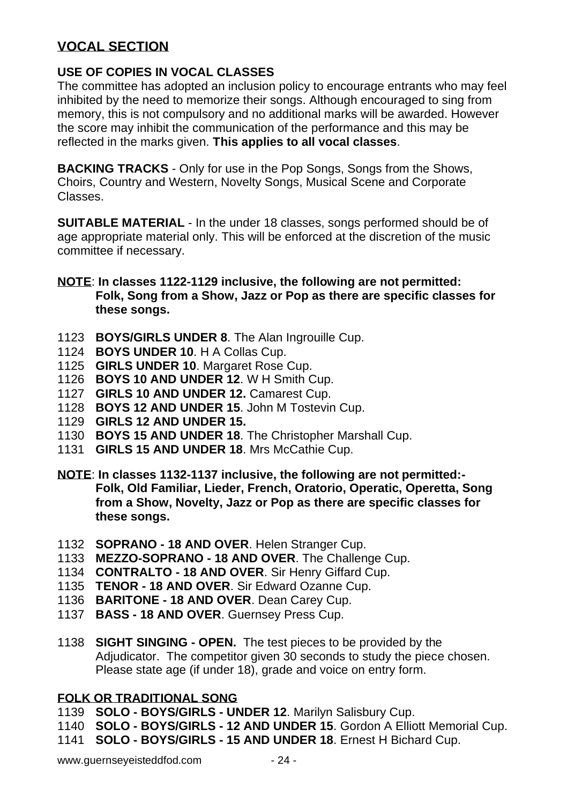## **VOCAL SECTION**

### **USE OF COPIES IN VOCAL CLASSES**

The committee has adopted an inclusion policy to encourage entrants who may feel inhibited by the need to memorize their songs. Although encouraged to sing from memory, this is not compulsory and no additional marks will be awarded. However the score may inhibit the communication of the performance and this may be reflected in the marks given. **This applies to all vocal classes**.

**BACKING TRACKS** - Only for use in the Pop Songs, Songs from the Shows, Choirs, Country and Western, Novelty Songs, Musical Scene and Corporate Classes.

**SUITABLE MATERIAL** - In the under 18 classes, songs performed should be of age appropriate material only. This will be enforced at the discretion of the music committee if necessary.

#### **NOTE**: **In classes 1122-1129 inclusive, the following are not permitted: Folk, Song from a Show, Jazz or Pop as there are specific classes for these songs.**

- 1123 **BOYS/GIRLS UNDER 8**. The Alan Ingrouille Cup.
- 1124 **BOYS UNDER 10**. H A Collas Cup.
- 1125 **GIRLS UNDER 10**. Margaret Rose Cup.
- 1126 **BOYS 10 AND UNDER 12**. W H Smith Cup.
- 1127 **GIRLS 10 AND UNDER 12.** Camarest Cup.
- 1128 **BOYS 12 AND UNDER 15**. John M Tostevin Cup.
- 1129 **GIRLS 12 AND UNDER 15.**
- 1130 **BOYS 15 AND UNDER 18**. The Christopher Marshall Cup.
- 1131 **GIRLS 15 AND UNDER 18**. Mrs McCathie Cup.
- **NOTE**: **In classes 1132-1137 inclusive, the following are not permitted:- Folk, Old Familiar, Lieder, French, Oratorio, Operatic, Operetta, Song from a Show, Novelty, Jazz or Pop as there are specific classes for these songs.**
- 1132 **SOPRANO - 18 AND OVER**. Helen Stranger Cup.
- 1133 **MEZZO-SOPRANO - 18 AND OVER**. The Challenge Cup.
- 1134 **CONTRALTO - 18 AND OVER**. Sir Henry Giffard Cup.
- 1135 **TENOR - 18 AND OVER**. Sir Edward Ozanne Cup.
- 1136 **BARITONE - 18 AND OVER**. Dean Carey Cup.
- 1137 **BASS - 18 AND OVER**. Guernsey Press Cup.
- 1138 **SIGHT SINGING - OPEN.** The test pieces to be provided by the Adjudicator. The competitor given 30 seconds to study the piece chosen. Please state age (if under 18), grade and voice on entry form.

#### **FOLK OR TRADITIONAL SONG**

- 1139 **SOLO - BOYS/GIRLS - UNDER 12**. Marilyn Salisbury Cup.
- 1140 **SOLO - BOYS/GIRLS - 12 AND UNDER 15**. Gordon A Elliott Memorial Cup.
- 1141 **SOLO - BOYS/GIRLS - 15 AND UNDER 18**. Ernest H Bichard Cup.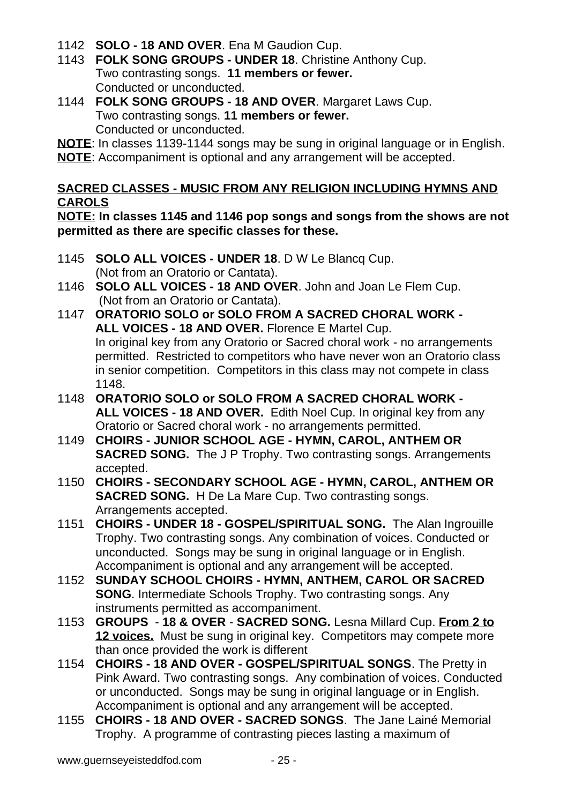- 1142 **SOLO - 18 AND OVER**. Ena M Gaudion Cup.
- 1143 **FOLK SONG GROUPS - UNDER 18**. Christine Anthony Cup. Two contrasting songs. **11 members or fewer.**  Conducted or unconducted.
- 1144 **FOLK SONG GROUPS - 18 AND OVER**. Margaret Laws Cup. Two contrasting songs. **11 members or fewer.**  Conducted or unconducted.

**NOTE**: In classes 1139-1144 songs may be sung in original language or in English.

**NOTE**: Accompaniment is optional and any arrangement will be accepted.

#### **SACRED CLASSES - MUSIC FROM ANY RELIGION INCLUDING HYMNS AND CAROLS**

**NOTE: In classes 1145 and 1146 pop songs and songs from the shows are not permitted as there are specific classes for these.**

- 1145 **SOLO ALL VOICES - UNDER 18**. D W Le Blancq Cup. (Not from an Oratorio or Cantata).
- 1146 **SOLO ALL VOICES - 18 AND OVER**. John and Joan Le Flem Cup. (Not from an Oratorio or Cantata).
- 1147 **ORATORIO SOLO or SOLO FROM A SACRED CHORAL WORK - ALL VOICES - 18 AND OVER.** Florence E Martel Cup. In original key from any Oratorio or Sacred choral work - no arrangements permitted. Restricted to competitors who have never won an Oratorio class in senior competition. Competitors in this class may not compete in class 1148.
- 1148 **ORATORIO SOLO or SOLO FROM A SACRED CHORAL WORK - ALL VOICES - 18 AND OVER.** Edith Noel Cup. In original key from any Oratorio or Sacred choral work - no arrangements permitted.
- 1149 **CHOIRS - JUNIOR SCHOOL AGE - HYMN, CAROL, ANTHEM OR SACRED SONG.** The J P Trophy. Two contrasting songs. Arrangements accepted.
- 1150 **CHOIRS - SECONDARY SCHOOL AGE - HYMN, CAROL, ANTHEM OR SACRED SONG.** H De La Mare Cup. Two contrasting songs. Arrangements accepted.
- 1151 **CHOIRS - UNDER 18 - GOSPEL/SPIRITUAL SONG.** The Alan Ingrouille Trophy. Two contrasting songs. Any combination of voices. Conducted or unconducted. Songs may be sung in original language or in English. Accompaniment is optional and any arrangement will be accepted.
- 1152 **SUNDAY SCHOOL CHOIRS - HYMN, ANTHEM, CAROL OR SACRED SONG**. Intermediate Schools Trophy. Two contrasting songs. Any instruments permitted as accompaniment.
- 1153 **GROUPS 18 & OVER SACRED SONG.** Lesna Millard Cup. **From 2 to 12 voices.** Must be sung in original key. Competitors may compete more than once provided the work is different
- 1154 **CHOIRS - 18 AND OVER - GOSPEL/SPIRITUAL SONGS**. The Pretty in Pink Award. Two contrasting songs. Any combination of voices. Conducted or unconducted. Songs may be sung in original language or in English. Accompaniment is optional and any arrangement will be accepted.
- 1155 **CHOIRS - 18 AND OVER - SACRED SONGS**. The Jane Lainé Memorial Trophy. A programme of contrasting pieces lasting a maximum of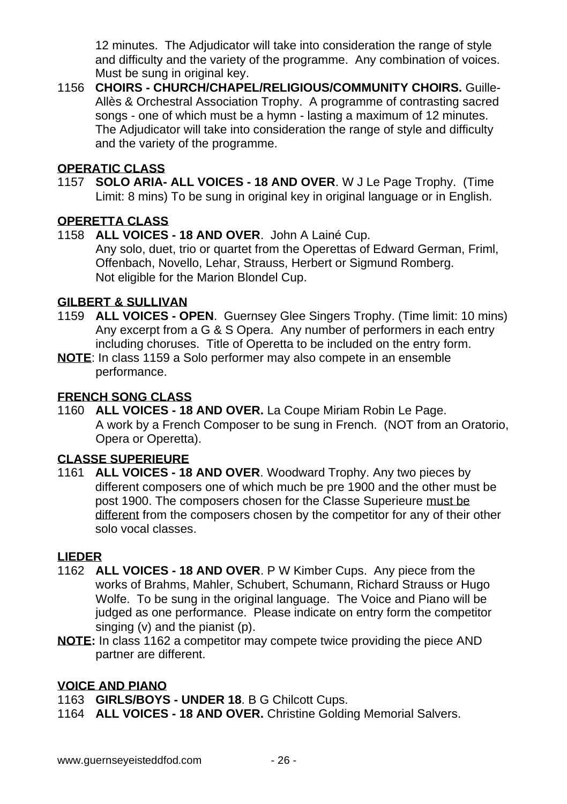12 minutes. The Adjudicator will take into consideration the range of style and difficulty and the variety of the programme. Any combination of voices. Must be sung in original key.

1156 **CHOIRS - CHURCH/CHAPEL/RELIGIOUS/COMMUNITY CHOIRS.** Guille-Allès & Orchestral Association Trophy. A programme of contrasting sacred songs - one of which must be a hymn - lasting a maximum of 12 minutes. The Adjudicator will take into consideration the range of style and difficulty and the variety of the programme.

#### **OPERATIC CLASS**

1157 **SOLO ARIA- ALL VOICES - 18 AND OVER**. W J Le Page Trophy. (Time Limit: 8 mins) To be sung in original key in original language or in English.

#### **OPERETTA CLASS**

1158 **ALL VOICES - 18 AND OVER**. John A Lainé Cup. Any solo, duet, trio or quartet from the Operettas of Edward German, Friml, Offenbach, Novello, Lehar, Strauss, Herbert or Sigmund Romberg. Not eligible for the Marion Blondel Cup.

#### **GILBERT & SULLIVAN**

- 1159 **ALL VOICES - OPEN**. Guernsey Glee Singers Trophy. (Time limit: 10 mins) Any excerpt from a G & S Opera. Any number of performers in each entry including choruses. Title of Operetta to be included on the entry form.
- **NOTE**: In class 1159 a Solo performer may also compete in an ensemble performance.

#### **FRENCH SONG CLASS**

1160 **ALL VOICES - 18 AND OVER.** La Coupe Miriam Robin Le Page. A work by a French Composer to be sung in French. (NOT from an Oratorio, Opera or Operetta).

#### **CLASSE SUPERIEURE**

1161 **ALL VOICES - 18 AND OVER**. Woodward Trophy. Any two pieces by different composers one of which much be pre 1900 and the other must be post 1900. The composers chosen for the Classe Superieure must be different from the composers chosen by the competitor for any of their other solo vocal classes.

#### **LIEDER**

- 1162 **ALL VOICES - 18 AND OVER**. P W Kimber Cups. Any piece from the works of Brahms, Mahler, Schubert, Schumann, Richard Strauss or Hugo Wolfe. To be sung in the original language. The Voice and Piano will be judged as one performance. Please indicate on entry form the competitor singing (v) and the pianist (p).
- **NOTE:** In class 1162 a competitor may compete twice providing the piece AND partner are different.

#### **VOICE AND PIANO**

- 1163 **GIRLS/BOYS - UNDER 18**. B G Chilcott Cups.
- 1164 **ALL VOICES - 18 AND OVER.** Christine Golding Memorial Salvers.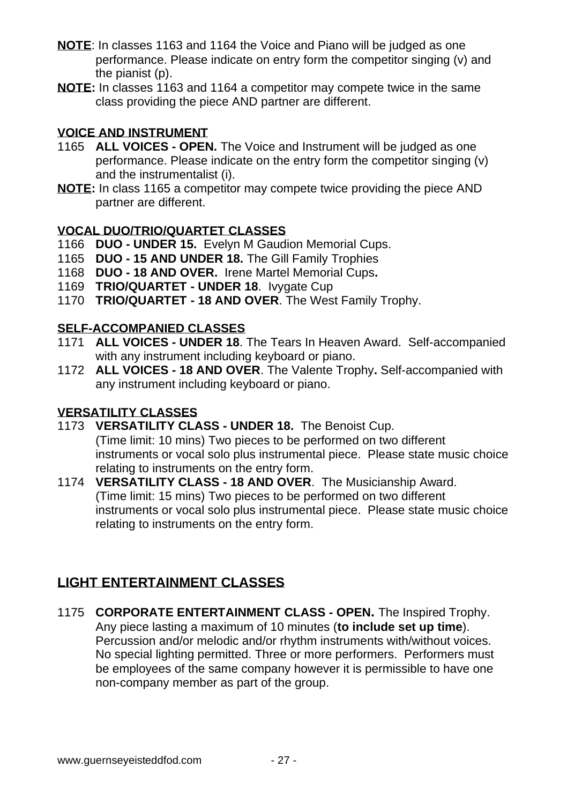- **NOTE**: In classes 1163 and 1164 the Voice and Piano will be judged as one performance. Please indicate on entry form the competitor singing (v) and the pianist (p).
- **NOTE:** In classes 1163 and 1164 a competitor may compete twice in the same class providing the piece AND partner are different.

#### **VOICE AND INSTRUMENT**

- 1165 **ALL VOICES - OPEN.** The Voice and Instrument will be judged as one performance. Please indicate on the entry form the competitor singing (v) and the instrumentalist (i).
- **NOTE:** In class 1165 a competitor may compete twice providing the piece AND partner are different.

### **VOCAL DUO/TRIO/QUARTET CLASSES**

- 1166 **DUO - UNDER 15.** Evelyn M Gaudion Memorial Cups.
- 1165 **DUO - 15 AND UNDER 18.** The Gill Family Trophies
- 1168 **DUO - 18 AND OVER.** Irene Martel Memorial Cups**.**
- 1169 **TRIO/QUARTET - UNDER 18**. Ivygate Cup
- 1170 **TRIO/QUARTET - 18 AND OVER**. The West Family Trophy.

#### **SELF-ACCOMPANIED CLASSES**

- 1171 **ALL VOICES - UNDER 18**. The Tears In Heaven Award. Self-accompanied with any instrument including keyboard or piano.
- 1172 **ALL VOICES - 18 AND OVER**. The Valente Trophy**.** Self-accompanied with any instrument including keyboard or piano.

#### **VERSATILITY CLASSES**

- 1173 **VERSATILITY CLASS - UNDER 18.** The Benoist Cup. (Time limit: 10 mins) Two pieces to be performed on two different instruments or vocal solo plus instrumental piece. Please state music choice relating to instruments on the entry form.
- 1174 **VERSATILITY CLASS - 18 AND OVER**. The Musicianship Award. (Time limit: 15 mins) Two pieces to be performed on two different instruments or vocal solo plus instrumental piece. Please state music choice relating to instruments on the entry form.

## **LIGHT ENTERTAINMENT CLASSES**

1175 **CORPORATE ENTERTAINMENT CLASS - OPEN.** The Inspired Trophy. Any piece lasting a maximum of 10 minutes (**to include set up time**). Percussion and/or melodic and/or rhythm instruments with/without voices. No special lighting permitted. Three or more performers. Performers must be employees of the same company however it is permissible to have one non-company member as part of the group.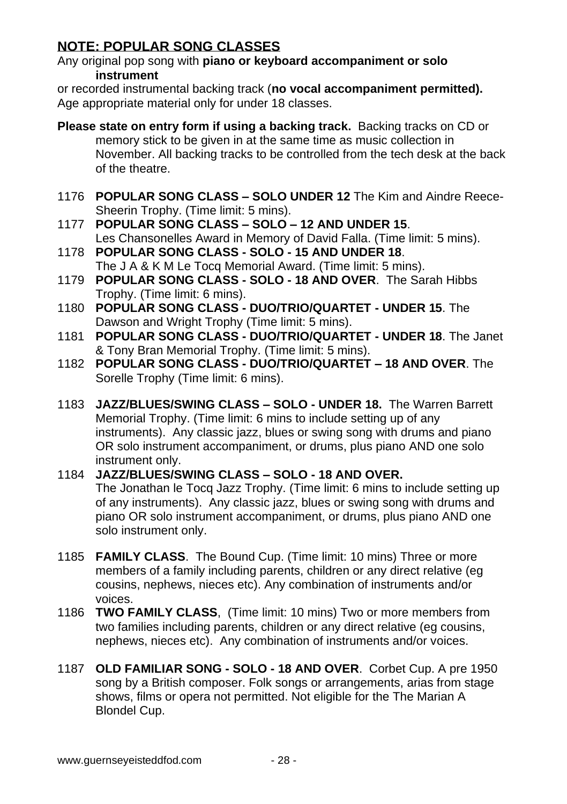## **NOTE: POPULAR SONG CLASSES**

Any original pop song with **piano or keyboard accompaniment or solo instrument**

or recorded instrumental backing track (**no vocal accompaniment permitted).** Age appropriate material only for under 18 classes.

**Please state on entry form if using a backing track.** Backing tracks on CD or memory stick to be given in at the same time as music collection in November. All backing tracks to be controlled from the tech desk at the back of the theatre.

- 1176 **POPULAR SONG CLASS – SOLO UNDER 12** The Kim and Aindre Reece-Sheerin Trophy. (Time limit: 5 mins).
- 1177 **POPULAR SONG CLASS – SOLO – 12 AND UNDER 15**. Les Chansonelles Award in Memory of David Falla. (Time limit: 5 mins).
- 1178 **POPULAR SONG CLASS - SOLO - 15 AND UNDER 18**. The J A & K M Le Tocq Memorial Award. (Time limit: 5 mins).
- 1179 **POPULAR SONG CLASS - SOLO - 18 AND OVER**. The Sarah Hibbs Trophy. (Time limit: 6 mins).
- 1180 **POPULAR SONG CLASS - DUO/TRIO/QUARTET - UNDER 15**. The Dawson and Wright Trophy (Time limit: 5 mins).
- 1181 **POPULAR SONG CLASS - DUO/TRIO/QUARTET - UNDER 18**. The Janet & Tony Bran Memorial Trophy. (Time limit: 5 mins).
- 1182 **POPULAR SONG CLASS - DUO/TRIO/QUARTET – 18 AND OVER**. The Sorelle Trophy (Time limit: 6 mins).
- 1183 **JAZZ/BLUES/SWING CLASS – SOLO - UNDER 18.** The Warren Barrett Memorial Trophy. (Time limit: 6 mins to include setting up of any instruments). Any classic jazz, blues or swing song with drums and piano OR solo instrument accompaniment, or drums, plus piano AND one solo instrument only.

#### 1184 **JAZZ/BLUES/SWING CLASS – SOLO - 18 AND OVER.**  The Jonathan le Tocq Jazz Trophy. (Time limit: 6 mins to include setting up of any instruments). Any classic jazz, blues or swing song with drums and piano OR solo instrument accompaniment, or drums, plus piano AND one solo instrument only.

- 1185 **FAMILY CLASS**.The Bound Cup. (Time limit: 10 mins) Three or more members of a family including parents, children or any direct relative (eg cousins, nephews, nieces etc). Any combination of instruments and/or voices.
- 1186 **TWO FAMILY CLASS**, (Time limit: 10 mins) Two or more members from two families including parents, children or any direct relative (eg cousins, nephews, nieces etc). Any combination of instruments and/or voices.
- 1187 **OLD FAMILIAR SONG - SOLO - 18 AND OVER**. Corbet Cup. A pre 1950 song by a British composer. Folk songs or arrangements, arias from stage shows, films or opera not permitted. Not eligible for the The Marian A Blondel Cup.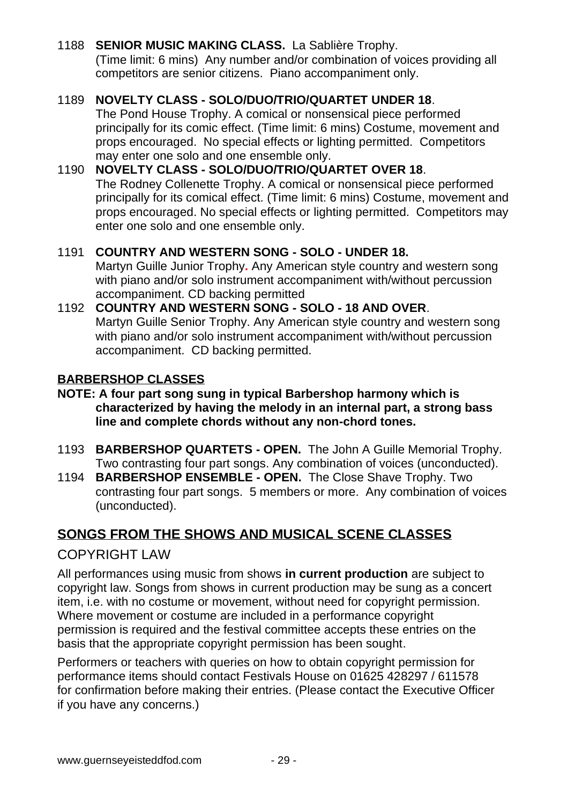#### 1188 **SENIOR MUSIC MAKING CLASS.** La Sablière Trophy.

(Time limit: 6 mins) Any number and/or combination of voices providing all competitors are senior citizens. Piano accompaniment only.

## 1189 **NOVELTY CLASS - SOLO/DUO/TRIO/QUARTET UNDER 18**.

The Pond House Trophy. A comical or nonsensical piece performed principally for its comic effect. (Time limit: 6 mins) Costume, movement and props encouraged. No special effects or lighting permitted. Competitors may enter one solo and one ensemble only.

#### 1190 **NOVELTY CLASS - SOLO/DUO/TRIO/QUARTET OVER 18**.

The Rodney Collenette Trophy. A comical or nonsensical piece performed principally for its comical effect. (Time limit: 6 mins) Costume, movement and props encouraged. No special effects or lighting permitted. Competitors may enter one solo and one ensemble only.

#### 1191 **COUNTRY AND WESTERN SONG - SOLO - UNDER 18.**

Martyn Guille Junior Trophy**.** Any American style country and western song with piano and/or solo instrument accompaniment with/without percussion accompaniment. CD backing permitted

#### 1192 **COUNTRY AND WESTERN SONG - SOLO - 18 AND OVER**. Martyn Guille Senior Trophy. Any American style country and western song with piano and/or solo instrument accompaniment with/without percussion accompaniment.CD backing permitted.

#### **BARBERSHOP CLASSES**

- **NOTE: A four part song sung in typical Barbershop harmony which is characterized by having the melody in an internal part, a strong bass line and complete chords without any non-chord tones.**
- 1193 **BARBERSHOP QUARTETS - OPEN.** The John A Guille Memorial Trophy. Two contrasting four part songs. Any combination of voices (unconducted).
- 1194 **BARBERSHOP ENSEMBLE - OPEN.** The Close Shave Trophy. Two contrasting four part songs. 5 members or more. Any combination of voices (unconducted).

## **SONGS FROM THE SHOWS AND MUSICAL SCENE CLASSES**

## COPYRIGHT LAW

All performances using music from shows **in current production** are subject to copyright law. Songs from shows in current production may be sung as a concert item, i.e. with no costume or movement, without need for copyright permission. Where movement or costume are included in a performance copyright permission is required and the festival committee accepts these entries on the basis that the appropriate copyright permission has been sought.

Performers or teachers with queries on how to obtain copyright permission for performance items should contact Festivals House on 01625 428297 / 611578 for confirmation before making their entries. (Please contact the Executive Officer if you have any concerns.)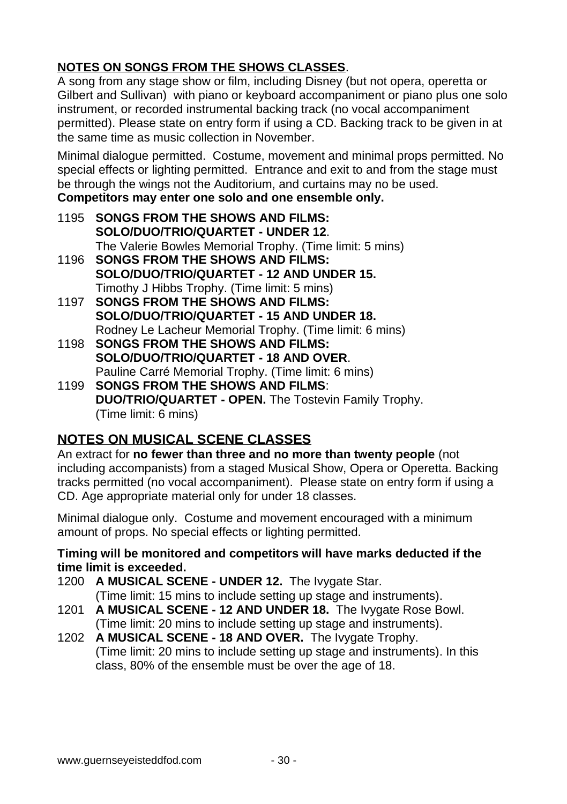### **NOTES ON SONGS FROM THE SHOWS CLASSES**.

A song from any stage show or film, including Disney (but not opera, operetta or Gilbert and Sullivan) with piano or keyboard accompaniment or piano plus one solo instrument, or recorded instrumental backing track (no vocal accompaniment permitted). Please state on entry form if using a CD. Backing track to be given in at the same time as music collection in November.

Minimal dialogue permitted. Costume, movement and minimal props permitted. No special effects or lighting permitted. Entrance and exit to and from the stage must be through the wings not the Auditorium, and curtains may no be used. **Competitors may enter one solo and one ensemble only.**

- 1195 **SONGS FROM THE SHOWS AND FILMS: SOLO/DUO/TRIO/QUARTET - UNDER 12**. The Valerie Bowles Memorial Trophy. (Time limit: 5 mins)
- 1196 **SONGS FROM THE SHOWS AND FILMS: SOLO/DUO/TRIO/QUARTET - 12 AND UNDER 15.** Timothy J Hibbs Trophy. (Time limit: 5 mins)
- 1197 **SONGS FROM THE SHOWS AND FILMS: SOLO/DUO/TRIO/QUARTET - 15 AND UNDER 18.** Rodney Le Lacheur Memorial Trophy. (Time limit: 6 mins)
- 1198 **SONGS FROM THE SHOWS AND FILMS: SOLO/DUO/TRIO/QUARTET - 18 AND OVER**. Pauline Carré Memorial Trophy. (Time limit: 6 mins)
- 1199 **SONGS FROM THE SHOWS AND FILMS**: **DUO/TRIO/QUARTET - OPEN.** The Tostevin Family Trophy. (Time limit: 6 mins)

## **NOTES ON MUSICAL SCENE CLASSES**

An extract for **no fewer than three and no more than twenty people** (not including accompanists) from a staged Musical Show, Opera or Operetta. Backing tracks permitted (no vocal accompaniment). Please state on entry form if using a CD. Age appropriate material only for under 18 classes.

Minimal dialogue only. Costume and movement encouraged with a minimum amount of props. No special effects or lighting permitted.

#### **Timing will be monitored and competitors will have marks deducted if the time limit is exceeded.**

1200 **A MUSICAL SCENE - UNDER 12.** The Ivygate Star.

(Time limit: 15 mins to include setting up stage and instruments).

- 1201 **A MUSICAL SCENE - 12 AND UNDER 18.** The Ivygate Rose Bowl. (Time limit: 20 mins to include setting up stage and instruments).
- 1202 **A MUSICAL SCENE - 18 AND OVER.** The Ivygate Trophy. (Time limit: 20 mins to include setting up stage and instruments). In this class, 80% of the ensemble must be over the age of 18.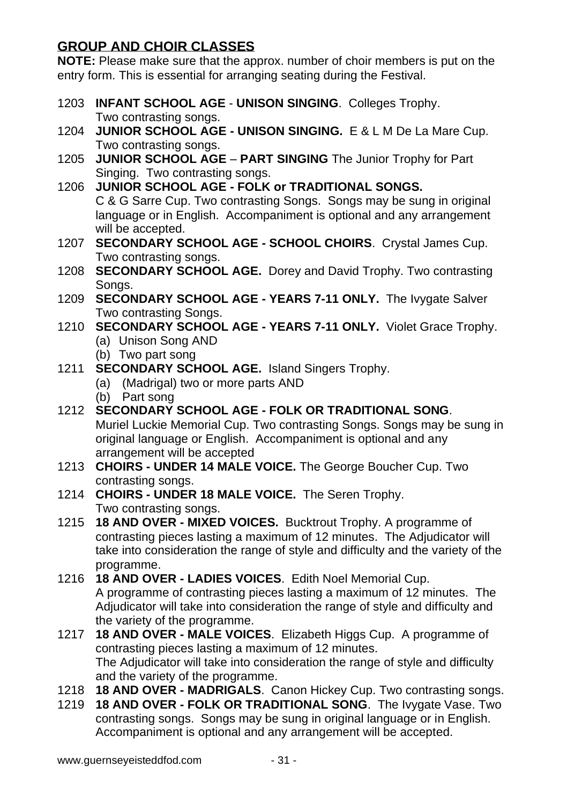## **GROUP AND CHOIR CLASSES**

**NOTE:** Please make sure that the approx. number of choir members is put on the entry form. This is essential for arranging seating during the Festival.

- 1203 **INFANT SCHOOL AGE UNISON SINGING**. Colleges Trophy. Two contrasting songs.
- 1204 **JUNIOR SCHOOL AGE - UNISON SINGING.** E & L M De La Mare Cup. Two contrasting songs.
- 1205 **JUNIOR SCHOOL AGE PART SINGING** The Junior Trophy for Part Singing. Two contrasting songs.
- 1206 **JUNIOR SCHOOL AGE - FOLK or TRADITIONAL SONGS.**  C & G Sarre Cup. Two contrasting Songs. Songs may be sung in original language or in English. Accompaniment is optional and any arrangement will be accepted.
- 1207 **SECONDARY SCHOOL AGE - SCHOOL CHOIRS**. Crystal James Cup. Two contrasting songs.
- 1208 **SECONDARY SCHOOL AGE.** Dorey and David Trophy. Two contrasting Songs.
- 1209 **SECONDARY SCHOOL AGE - YEARS 7-11 ONLY.** The Ivygate Salver Two contrasting Songs.
- 1210 **SECONDARY SCHOOL AGE - YEARS 7-11 ONLY.** Violet Grace Trophy. (a) Unison Song AND
	- (b) Two part song
- 1211 **SECONDARY SCHOOL AGE.** Island Singers Trophy.
	- (a) (Madrigal) two or more parts AND
	- (b) Part song
- 1212 **SECONDARY SCHOOL AGE - FOLK OR TRADITIONAL SONG**. Muriel Luckie Memorial Cup. Two contrasting Songs. Songs may be sung in original language or English. Accompaniment is optional and any arrangement will be accepted
- 1213 **CHOIRS - UNDER 14 MALE VOICE.** The George Boucher Cup. Two contrasting songs.
- 1214 **CHOIRS - UNDER 18 MALE VOICE.** The Seren Trophy. Two contrasting songs.
- 1215 **18 AND OVER - MIXED VOICES.** Bucktrout Trophy. A programme of contrasting pieces lasting a maximum of 12 minutes. The Adjudicator will take into consideration the range of style and difficulty and the variety of the programme.
- 1216 **18 AND OVER - LADIES VOICES**. Edith Noel Memorial Cup. A programme of contrasting pieces lasting a maximum of 12 minutes. The Adjudicator will take into consideration the range of style and difficulty and the variety of the programme.
- 1217 **18 AND OVER - MALE VOICES**. Elizabeth Higgs Cup. A programme of contrasting pieces lasting a maximum of 12 minutes. The Adjudicator will take into consideration the range of style and difficulty and the variety of the programme.
- 1218 **18 AND OVER - MADRIGALS**. Canon Hickey Cup. Two contrasting songs.
- 1219 **18 AND OVER - FOLK OR TRADITIONAL SONG**. The Ivygate Vase. Two contrasting songs. Songs may be sung in original language or in English. Accompaniment is optional and any arrangement will be accepted.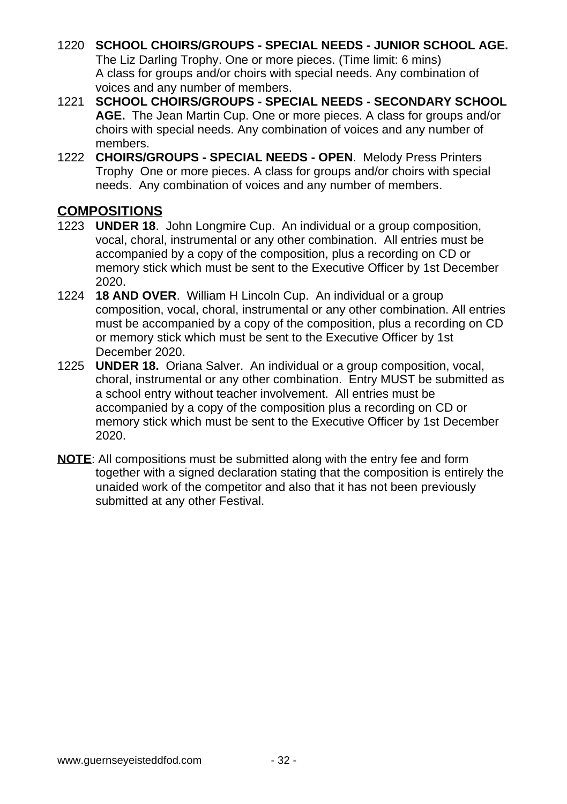- 1220 **SCHOOL CHOIRS/GROUPS - SPECIAL NEEDS - JUNIOR SCHOOL AGE.**  The Liz Darling Trophy. One or more pieces. (Time limit: 6 mins) A class for groups and/or choirs with special needs. Any combination of voices and any number of members.
- 1221 **SCHOOL CHOIRS/GROUPS - SPECIAL NEEDS - SECONDARY SCHOOL AGE.** The Jean Martin Cup. One or more pieces. A class for groups and/or choirs with special needs. Any combination of voices and any number of members.
- 1222 **CHOIRS/GROUPS - SPECIAL NEEDS - OPEN**. Melody Press Printers Trophy One or more pieces. A class for groups and/or choirs with special needs. Any combination of voices and any number of members.

## **COMPOSITIONS**

- 1223 **UNDER 18**. John Longmire Cup. An individual or a group composition, vocal, choral, instrumental or any other combination. All entries must be accompanied by a copy of the composition, plus a recording on CD or memory stick which must be sent to the Executive Officer by 1st December 2020.
- 1224 **18 AND OVER**. William H Lincoln Cup. An individual or a group composition, vocal, choral, instrumental or any other combination. All entries must be accompanied by a copy of the composition, plus a recording on CD or memory stick which must be sent to the Executive Officer by 1st December 2020.
- 1225 **UNDER 18.** Oriana Salver. An individual or a group composition, vocal, choral, instrumental or any other combination. Entry MUST be submitted as a school entry without teacher involvement. All entries must be accompanied by a copy of the composition plus a recording on CD or memory stick which must be sent to the Executive Officer by 1st December 2020.
- **NOTE**: All compositions must be submitted along with the entry fee and form together with a signed declaration stating that the composition is entirely the unaided work of the competitor and also that it has not been previously submitted at any other Festival.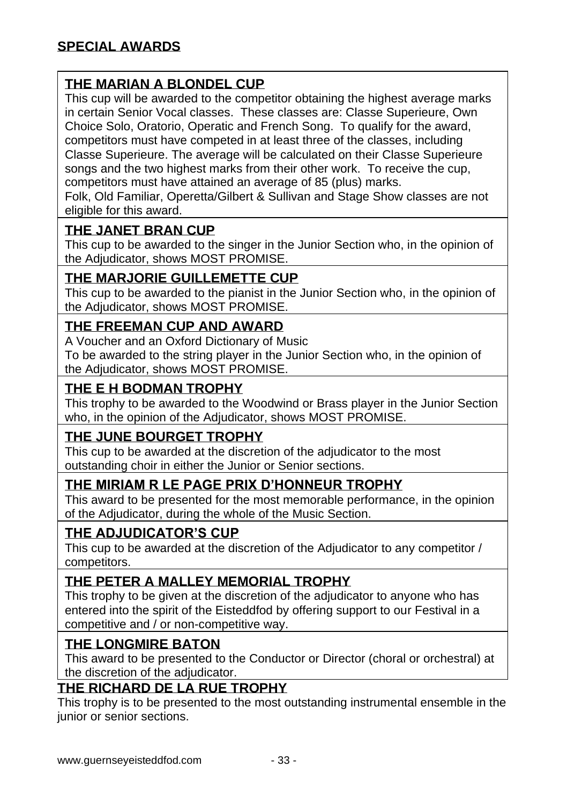## **THE MARIAN A BLONDEL CUP**

This cup will be awarded to the competitor obtaining the highest average marks in certain Senior Vocal classes. These classes are: Classe Superieure, Own Choice Solo, Oratorio, Operatic and French Song. To qualify for the award, competitors must have competed in at least three of the classes, including Classe Superieure. The average will be calculated on their Classe Superieure songs and the two highest marks from their other work. To receive the cup, competitors must have attained an average of 85 (plus) marks.

Folk, Old Familiar, Operetta/Gilbert & Sullivan and Stage Show classes are not eligible for this award.

## **THE JANET BRAN CUP**

This cup to be awarded to the singer in the Junior Section who, in the opinion of the Adjudicator, shows MOST PROMISE.

### **THE MARJORIE GUILLEMETTE CUP**

This cup to be awarded to the pianist in the Junior Section who, in the opinion of the Adjudicator, shows MOST PROMISE.

## **THE FREEMAN CUP AND AWARD**

A Voucher and an Oxford Dictionary of Music

To be awarded to the string player in the Junior Section who, in the opinion of the Adjudicator, shows MOST PROMISE.

## **THE E H BODMAN TROPHY**

This trophy to be awarded to the Woodwind or Brass player in the Junior Section who, in the opinion of the Adjudicator, shows MOST PROMISE.

#### **THE JUNE BOURGET TROPHY**

This cup to be awarded at the discretion of the adjudicator to the most outstanding choir in either the Junior or Senior sections.

## **THE MIRIAM R LE PAGE PRIX D'HONNEUR TROPHY**

This award to be presented for the most memorable performance, in the opinion of the Adjudicator, during the whole of the Music Section.

## **THE ADJUDICATOR'S CUP**

This cup to be awarded at the discretion of the Adjudicator to any competitor / competitors.

#### **THE PETER A MALLEY MEMORIAL TROPHY**

This trophy to be given at the discretion of the adjudicator to anyone who has entered into the spirit of the Eisteddfod by offering support to our Festival in a competitive and / or non-competitive way.

## **THE LONGMIRE BATON**

This award to be presented to the Conductor or Director (choral or orchestral) at the discretion of the adjudicator.

## **THE RICHARD DE LA RUE TROPHY**

This trophy is to be presented to the most outstanding instrumental ensemble in the junior or senior sections.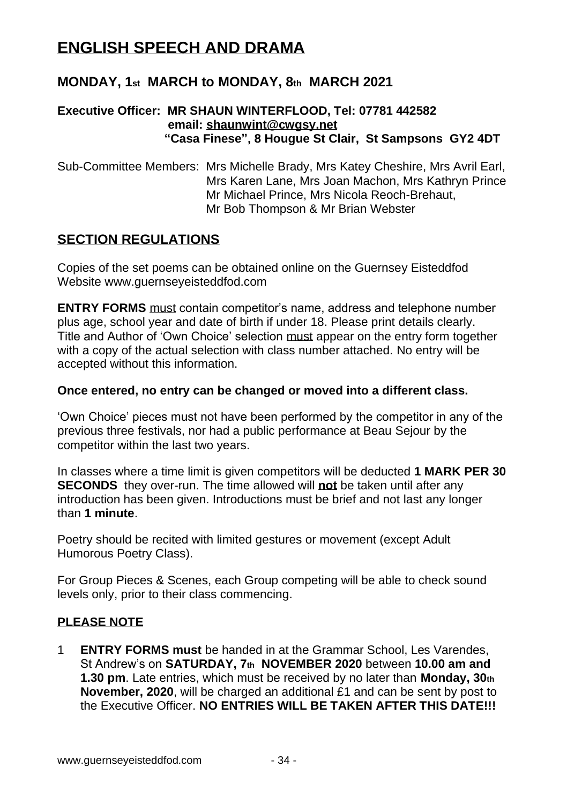## **ENGLISH SPEECH AND DRAMA**

## **MONDAY, 1st MARCH to MONDAY, 8th MARCH 2021**

#### **Executive Officer: MR SHAUN WINTERFLOOD, Tel: 07781 442582 email: [shaunwint@cwgsy.net](mailto:shaunwint@cwgsy.net) "Casa Finese", 8 Hougue St Clair, St Sampsons GY2 4DT**

Sub-Committee Members: Mrs Michelle Brady, Mrs Katey Cheshire, Mrs Avril Earl, Mrs Karen Lane, Mrs Joan Machon, Mrs Kathryn Prince Mr Michael Prince, Mrs Nicola Reoch-Brehaut, Mr Bob Thompson & Mr Brian Webster

### **SECTION REGULATIONS**

Copies of the set poems can be obtained online on the Guernsey Eisteddfod Website www.guernseyeisteddfod.com

**ENTRY FORMS** must contain competitor's name, address and telephone number plus age, school year and date of birth if under 18. Please print details clearly. Title and Author of 'Own Choice' selection must appear on the entry form together with a copy of the actual selection with class number attached. No entry will be accepted without this information.

#### **Once entered, no entry can be changed or moved into a different class.**

'Own Choice' pieces must not have been performed by the competitor in any of the previous three festivals, nor had a public performance at Beau Sejour by the competitor within the last two years.

In classes where a time limit is given competitors will be deducted **1 MARK PER 30 SECONDS** they over-run. The time allowed will **not** be taken until after any introduction has been given. Introductions must be brief and not last any longer than **1 minute**.

Poetry should be recited with limited gestures or movement (except Adult Humorous Poetry Class).

For Group Pieces & Scenes, each Group competing will be able to check sound levels only, prior to their class commencing.

#### **PLEASE NOTE**

1 **ENTRY FORMS must** be handed in at the Grammar School, Les Varendes, St Andrew's on **SATURDAY, 7th NOVEMBER 2020** between **10.00 am and 1.30 pm**. Late entries, which must be received by no later than **Monday, 30th November, 2020**, will be charged an additional £1 and can be sent by post to the Executive Officer. **NO ENTRIES WILL BE TAKEN AFTER THIS DATE!!!**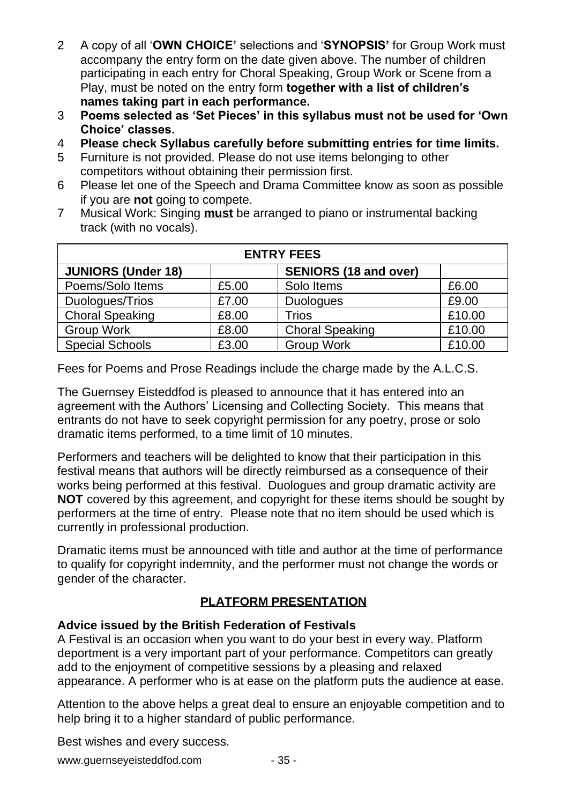- 2 A copy of all '**OWN CHOICE'** selections and '**SYNOPSIS'** for Group Work must accompany the entry form on the date given above. The number of children participating in each entry for Choral Speaking, Group Work or Scene from a Play, must be noted on the entry form **together with a list of children's names taking part in each performance.**
- 3 **Poems selected as 'Set Pieces' in this syllabus must not be used for 'Own Choice' classes.**
- 4 **Please check Syllabus carefully before submitting entries for time limits.**
- 5 Furniture is not provided. Please do not use items belonging to other competitors without obtaining their permission first.
- 6 Please let one of the Speech and Drama Committee know as soon as possible if you are **not** going to compete.
- 7 Musical Work: Singing **must** be arranged to piano or instrumental backing track (with no vocals).

| <b>ENTRY FEES</b>         |       |                              |        |  |
|---------------------------|-------|------------------------------|--------|--|
| <b>JUNIORS (Under 18)</b> |       | <b>SENIORS (18 and over)</b> |        |  |
| Poems/Solo Items          | £5.00 | Solo Items                   | £6.00  |  |
| Duologues/Trios           | £7.00 | <b>Duologues</b>             | £9.00  |  |
| <b>Choral Speaking</b>    | £8.00 | Trios                        | £10.00 |  |
| Group Work                | £8.00 | <b>Choral Speaking</b>       | £10.00 |  |
| <b>Special Schools</b>    | £3.00 | Group Work                   | £10.00 |  |

Fees for Poems and Prose Readings include the charge made by the A.L.C.S.

The Guernsey Eisteddfod is pleased to announce that it has entered into an agreement with the Authors' Licensing and Collecting Society. This means that entrants do not have to seek copyright permission for any poetry, prose or solo dramatic items performed, to a time limit of 10 minutes.

Performers and teachers will be delighted to know that their participation in this festival means that authors will be directly reimbursed as a consequence of their works being performed at this festival. Duologues and group dramatic activity are **NOT** covered by this agreement, and copyright for these items should be sought by performers at the time of entry. Please note that no item should be used which is currently in professional production.

Dramatic items must be announced with title and author at the time of performance to qualify for copyright indemnity, and the performer must not change the words or gender of the character.

#### **PLATFORM PRESENTATION**

#### **Advice issued by the British Federation of Festivals**

A Festival is an occasion when you want to do your best in every way. Platform deportment is a very important part of your performance. Competitors can greatly add to the enjoyment of competitive sessions by a pleasing and relaxed appearance. A performer who is at ease on the platform puts the audience at ease.

Attention to the above helps a great deal to ensure an enjoyable competition and to help bring it to a higher standard of public performance.

Best wishes and every success.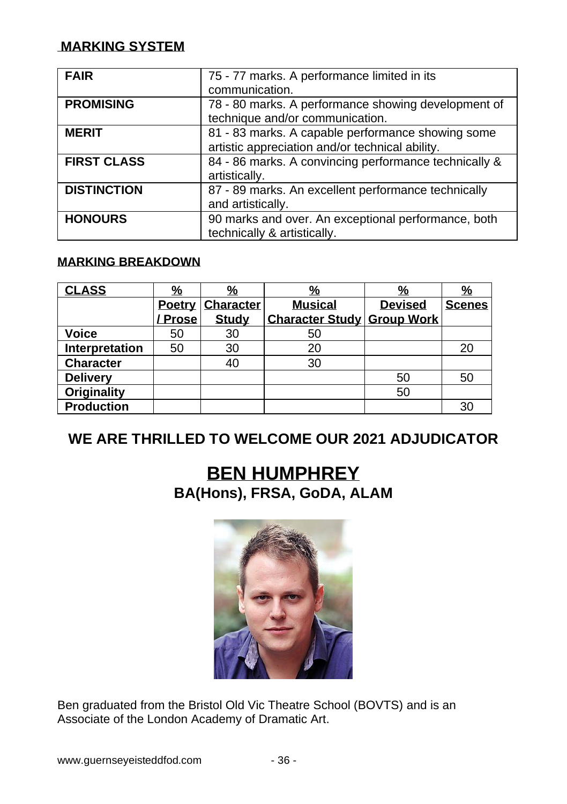## **MARKING SYSTEM**

| <b>FAIR</b>        | 75 - 77 marks. A performance limited in its<br>communication.                                        |
|--------------------|------------------------------------------------------------------------------------------------------|
| <b>PROMISING</b>   | 78 - 80 marks. A performance showing development of<br>technique and/or communication.               |
| <b>MERIT</b>       | 81 - 83 marks. A capable performance showing some<br>artistic appreciation and/or technical ability. |
| <b>FIRST CLASS</b> | 84 - 86 marks. A convincing performance technically &<br>artistically.                               |
| <b>DISTINCTION</b> | 87 - 89 marks. An excellent performance technically<br>and artistically.                             |
| <b>HONOURS</b>     | 90 marks and over. An exceptional performance, both<br>technically & artistically.                   |

#### **MARKING BREAKDOWN**

| <b>CLASS</b>       | $\frac{9}{6}$ | %         | %                                 | $\frac{9}{6}$  | $\frac{9}{6}$ |
|--------------------|---------------|-----------|-----------------------------------|----------------|---------------|
|                    | Poetry        | Character | <b>Musical</b>                    | <b>Devised</b> | <b>Scenes</b> |
|                    | Prose         | Study     | <b>Character Study Group Work</b> |                |               |
| <b>Voice</b>       | 50            | 30        | 50                                |                |               |
| Interpretation     | 50            | 30        | 20                                |                | 20            |
| <b>Character</b>   |               | 40        | 30                                |                |               |
| <b>Delivery</b>    |               |           |                                   | 50             | 50            |
| <b>Originality</b> |               |           |                                   | 50             |               |
| <b>Production</b>  |               |           |                                   |                | 30            |

## **WE ARE THRILLED TO WELCOME OUR 2021 ADJUDICATOR**

## **BEN HUMPHREY BA(Hons), FRSA, GoDA, ALAM**



Ben graduated from the Bristol Old Vic Theatre School (BOVTS) and is an Associate of the London Academy of Dramatic Art.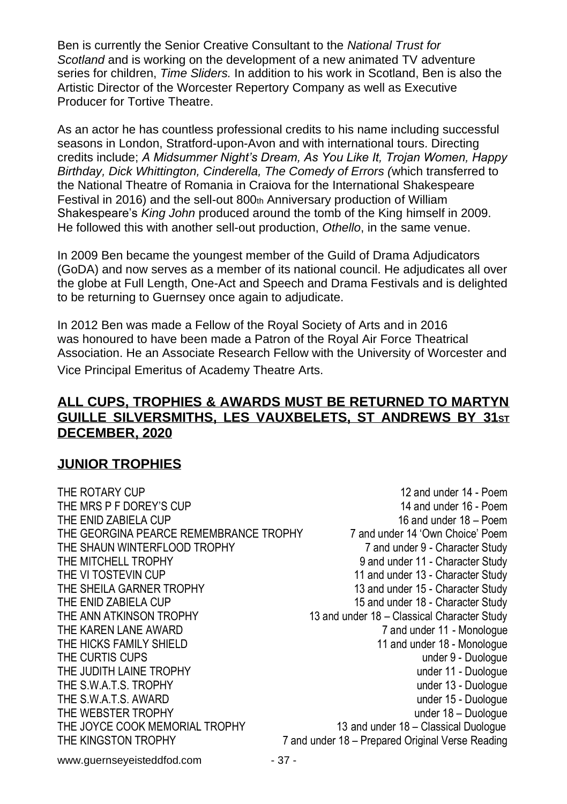Ben is currently the Senior Creative Consultant to the *National Trust for Scotland* and is working on the development of a new animated TV adventure series for children, *Time Sliders.* In addition to his work in Scotland, Ben is also the Artistic Director of the Worcester Repertory Company as well as Executive Producer for Tortive Theatre.

As an actor he has countless professional credits to his name including successful seasons in London, Stratford-upon-Avon and with international tours. Directing credits include; *A Midsummer Night's Dream, As You Like It, Trojan Women, Happy Birthday, Dick Whittington, Cinderella, The Comedy of Errors (*which transferred to the National Theatre of Romania in Craiova for the International Shakespeare Festival in 2016) and the sell-out 800th Anniversary production of William Shakespeare's *King John* produced around the tomb of the King himself in 2009. He followed this with another sell-out production, *Othello*, in the same venue.

In 2009 Ben became the youngest member of the Guild of Drama Adjudicators (GoDA) and now serves as a member of its national council. He adjudicates all over the globe at Full Length, One-Act and Speech and Drama Festivals and is delighted to be returning to Guernsey once again to adjudicate.

In 2012 Ben was made a Fellow of the Royal Society of Arts and in 2016 was honoured to have been made a Patron of the Royal Air Force Theatrical Association. He an Associate Research Fellow with the University of Worcester and Vice Principal Emeritus of Academy Theatre Arts.

#### **ALL CUPS, TROPHIES & AWARDS MUST BE RETURNED TO MARTYN GUILLE SILVERSMITHS, LES VAUXBELETS, ST ANDREWS BY 31ST DECEMBER, 2020**

#### **JUNIOR TROPHIES**

THE ROTARY CUP<br>
THE MRS P F DORFY'S CUP
THE MRS P F DORFY'S CUP
14 and under 16 - Poem THE MRS P F DOREY'S CUP 16 and under 18 – Poem<br>THE GEORGINA PEARCE REMEMBRANCE TROPHY 7 and under 14 'Own Choice' Poem THE GEORGINA PEARCE REMEMBRANCE TROPHY 7 and under 14 'Own Choice' Poem<br>THE SHAUN WINTERFLOOD TROPHY 7 and under 9 - Character Study THE SHAUN WINTERFLOOD TROPHY THE MITCHELL TROPHY 9 and under 11 - Character Study THE VI TOSTEVIN CUP 11 and under 13 - Character Study THE SHEILA GARNER TROPHY 13 and under 15 - Character Study THE ENID ZABIELA CUP 15 and under 18 - Character Study THE ANN ATKINSON TROPHY 13 and under 18 – Classical Character Study THE KAREN LANE AWARD **THE SAND STATE AWARD** 7 and under 11 - Monologue THE HICKS FAMILY SHIELD 11 and under 18 - Monologue THE CURTIS CUPS UNDER THE CURTIS CUPS THE JUDITH LAINE TROPHY<br>THE S.W.A.T.S. TROPHY UNITED SOME THE S.W.A.T.S. TROPHY THE S.W.A.T.S. TROPHY<br>THE S.W.A.T.S. AWARD THE UNIVERSITY OF THE S.W.A.T.S. AWARD THE S.W.A.T.S. AWARD THE WEBSTER TROPHY **EXECUTE:** THE WEBSTER TROPHY THE JOYCE COOK MEMORIAL TROPHY 13 and under 18 – Classical Duologue THE KINGSTON TROPHY 7 and under 18 – Prepared Original Verse Reading

www.guernseveisteddfod.com - 37 -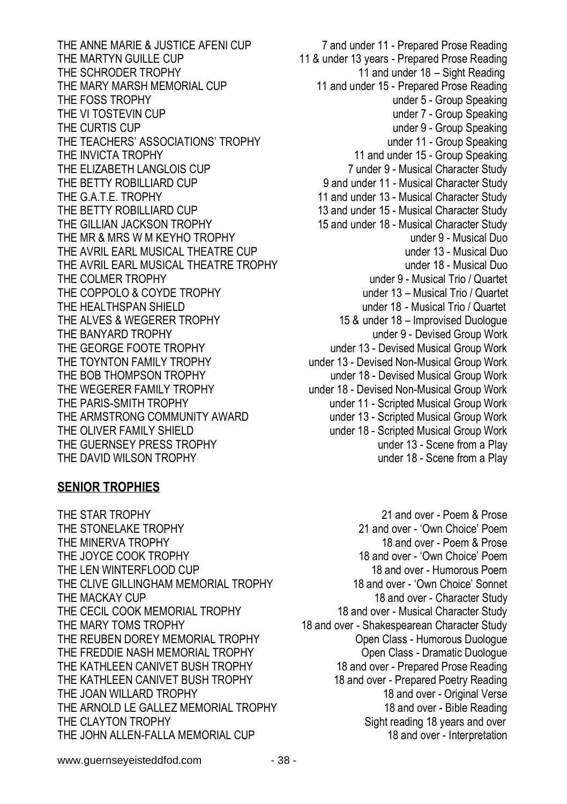THE ANNE MARIE & JUSTICE AFENI CUP 7 and under 11 - Prepared Prose Reading<br>THE MARTYN GUILLE CUP 11 & under 13 years - Prepared Prose Reading THE MARTYN GUILLE CUP<br>
THE SCHRODER TROPHY
11 A under 13 years - Prepared Prose Reading
11 And under 18 – Sight Reading THE SCHRODER TROPHY<br>THE MARY MARSH MEMORIAL CUP<br>11 and under 15 - Prepared Prose Reading THE MARY MARSH MEMORIAL CUP 11 and under 15 - Prepared Prose Reading<br>THE FOSS TROPHY 11 AND 1975 - Group Speaking THE FOSS TROPHY<br>THE VI TOSTEVIN CUP THE UNIVERSITY OF THE VI TOSTEVIN CUP THE VI TOSTEVIN CUP<br>THE CURTIS CUP UNITY OF THE CURTIS CUP THE TEACHERS' ASSOCIATIONS' TROPHY<br>THE INVICTA TROPHY THE INVICTA TROPHY<br>THE FLIZARETH LANGLOIS CUP<br>Tunder 9 - Musical Character Study THE ELIZABETH LANGLOIS CUP<br>THE BETTY ROBILLIARD CUP 7 under 11 - Musical Character Study<br>9 and under 11 - Musical Character Study THE G.A.T.E. TROPHY<br>
THE BETTY ROBILLIARD CUP
THE BETTY ROBILLIARD CUP
13 and under 15 - Musical Character Study THE BETTY ROBILLIARD CUP<br>
THE GILLIAN JACKSON TROPHY
15 and under 18 - Musical Character Study
THE GILLIAN JACKSON TROPHY THE MR & MRS W M KEYHO TROPHY<br>THE AVRII FARI MUSICAL THEATRE CUP THE AVRIL EARL MUSICAL THEATRE CUP<br>THE AVRIL FARI MUSICAL THEATRE TROPHY UNDER THE AVRIL ENDING THE AVRIL FARI MUSICAL DUO THE AVRIL EARL MUSICAL THEATRE TROPHY THE COLMER TROPHY THE COPPOLO & COYDE TROPHY<br>THE HEAI THSPAN SHIFLD THE HEALTHSPAN SHIELD<br>THE AI VES & WEGERER TROPHY 19 15 & under 18 - Improvised Duploque THE ALVES & WEGERER TROPHY<br>THE BANYARD TROPHY 15 & under 9 - Devised Group Work THE BANYARD TROPHY<br>THE GEORGE FOOTE TROPHY UNITAL STATE OF THE GEORGE FOOTE TROPHY THE TOYNTON FAMILY TROPHY<br>THE BOB THOMPSON TROPHY THE BOB THOMPSON TROPHY THE WEGERER FAMILY TROPHY<br>THE PARIS-SMITH TROPHY UNDER THE PARIS-SMITH TROPHY THE ARMSTRONG COMMUNITY AWARD THE OLIVER FAMILY SHIELD<br>THE GUERNSEY PRESS TROPHY<br>THE GUERNSEY PRESS TROPHY THE GUERNSEY PRESS TROPHY THE DAVID WILSON TROPHY **EXAMPLE 20** THE DAVID WILSON TROPHY

#### **SENIOR TROPHIES**

THE STAR TROPHY<br>THE STONFI AKE TROPHY THE STONE ASSESSMENT AND THE STONE ASSESSMENT AREA THE STONE I AREA TROPHY THE STONELAKE TROPHY<br>THE MINERVA TROPHY THE MINERVA TROPHY 18 AND 18 and over - Poem & Prose THE MINERVA TROPHY<br>
THE JOYCE COOK TROPHY 18 and over - 'Own Choice' Poem THE LEN WINTERFLOOD CUP 18 and over - Humorous Poem THE CLIVE GILLINGHAM MEMORIAL TROPHY 18 and over - 'Own Choice' Sonnet<br>THE MACKAY CUP 18 and over - Character Study THE CECIL COOK MEMORIAL TROPHY 18 and over - Musical Character Study THE MARY TOMS TROPHY 18 and over - Shakespearean Character Study THE REUBEN DOREY MEMORIAL TROPHY **Communist Communist Class - Humorous Duologue** THE FREDDIE NASH MEMORIAL TROPHY<br>THE KATHLEEN CANIVET BUSH TROPHY 18 and over - Prepared Prose Reading THE KATHLEEN CANIVET BUSH TROPHY THE KATHLEEN CANIVET BUSH TROPHY<br>THE JOAN WILLARD TROPHY 18 and over - Original Verse THE ARNOLD LE GALLEZ MEMORIAL TROPHY<br>THE CLAYTON TROPHY 18 and over 18 and over 18 and over THE JOHN ALLEN-FALLA MFMORIAL CUP

under 9 - Group Speaking<br>under 11 - Group Speaking 9 and under 11 - Musical Character Study 15 and under 18 - Musical Character Study<br>under 9 - Musical Duo under 9 - Musical Trio / Quartet<br>under 13 - Musical Trio / Quartet under 13 - Devised Musical Group Work under 18 - Devised Musical Group Work under 11 - Scripted Musical Group Work<br>under 13 - Scripted Musical Group Work

18 and over - 'Own Choice' Poem 18 and over - Character Study 18 and over - Original Verse Sight reading 18 years and over<br>18 and over - Interpretation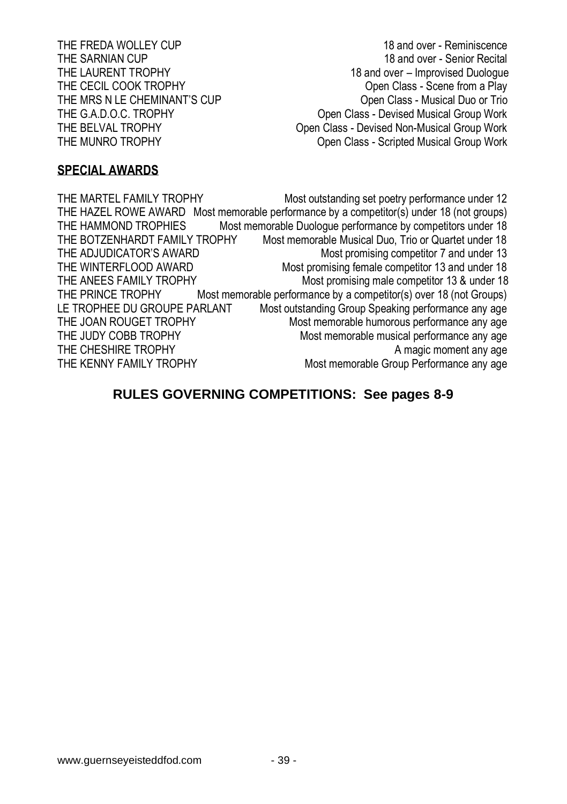- 
- THE FREDA WOLLEY CUP<br>
THE SARNIAN CUP<br>
THE SARNIAN CUP THE SARNIAN CUP<br>
THE LAURENT TROPHY<br>
18 and over - Improvised Duploque THE LAURENT TROPHY<br>THE CECIL COOK TROPHY 18 AND 18 and over – Improvised Duologue THE CECIL COOK TROPHY<br>THE MRS N LE CHEMINANT'S CUP<br>
Open Class - Musical Duo or Trio THE MRS N LE CHEMINANT'S CUP<br>THE G.A.D.O.C. TROPHY **ODEL COLOGY CONS** Open Class - Devised Musical Group Work THE G.A.D.O.C. TROPHY **CONSIDENT CONSIDENT CONSIDENT CONSIDENT** Open Class - Devised Musical Group Work<br>
Open Class - Devised Non-Musical Group Work THE BELVAL TROPHY **Case Access Communist Communist Communist Communist Communist Communist Communist Communist Communist Communist Communist Communist Communist Communist Communist Communist Communist Communist Communist C** Open Class - Scripted Musical Group Work

#### **SPECIAL AWARDS**

THE MARTEL FAMILY TROPHY Most outstanding set poetry performance under 12 THE HAZEL ROWE AWARD Most memorable performance by a competitor(s) under 18 (not groups)<br>THE HAMMOND TROPHIES Most memorable Duologue performance by competitors under 18 THE HAMMOND TROPHIES Most memorable Duologue performance by competitors under 18<br>THE BOTZENHARDT FAMILY TROPHY Most memorable Musical Duo, Trio or Quartet under 18 Most memorable Musical Duo, Trio or Quartet under 18 THE ADJUDICATOR'S AWARD<br>THE WINTERFI OOD AWARD Most promising female competitor 13 and under 18 THE WINTERFLOOD AWARD<br>THE ANEES FAMILY TROPHY Most promising male competitor 13 & under 18 THE ANEES FAMILY TROPHY Most memorable performance by a competitor 13 & under 18<br>THE PRINCE TROPHY Most memorable performance by a competitor(s) over 18 (not Groups) THE PRINCE TROPHY Most memorable performance by a competitor(s) over 18 (not Groups)<br>I F TROPHFF DU GROUPE PARLANT Most outstanding Group Speaking performance any age LE TROPHEE DU GROUPE PARLANT Most outstanding Group Speaking performance any age<br>THE JOAN ROUGET TROPHY Most memorable humorous performance any age THE JOAN ROUGET TROPHY<br>THE JUDY COBB TROPHY Most memorable musical performance any age Most memorable musical performance any age THE CHESHIRE TROPHY<br>THE KENNY FAMILY TROPHY **A magic moment any age**<br>Most memorable Group Performance any age Most memorable Group Performance any age

#### **RULES GOVERNING COMPETITIONS: See pages 8-9**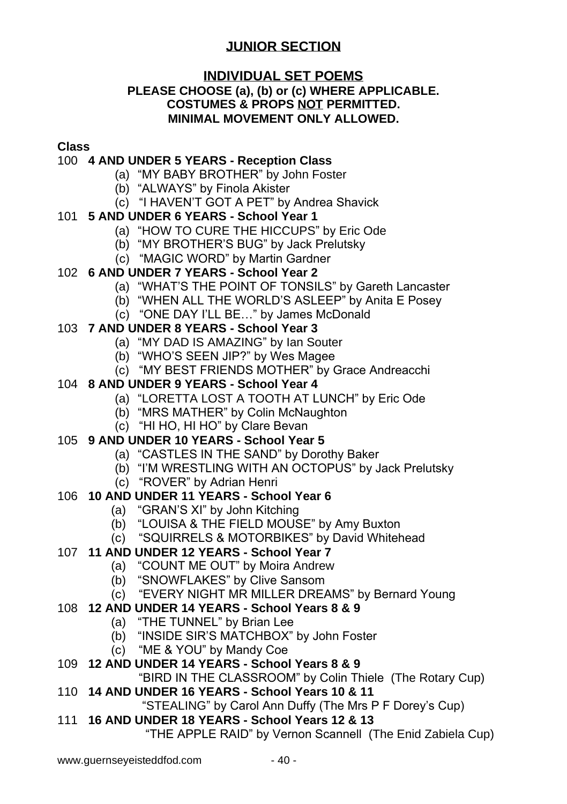### **JUNIOR SECTION**

#### **INDIVIDUAL SET POEMS**

#### **PLEASE CHOOSE (a), (b) or (c) WHERE APPLICABLE. COSTUMES & PROPS NOT PERMITTED. MINIMAL MOVEMENT ONLY ALLOWED.**

#### **Class**

#### 100 **4 AND UNDER 5 YEARS - Reception Class**

- (a) "MY BABY BROTHER" by John Foster
- (b) "ALWAYS" by Finola Akister
- (c) "I HAVEN'T GOT A PET" by Andrea Shavick

#### 101 **5 AND UNDER 6 YEARS - School Year 1**

- (a) "HOW TO CURE THE HICCUPS" by Eric Ode
- (b) "MY BROTHER'S BUG" by Jack Prelutsky
- (c) "MAGIC WORD" by Martin Gardner

#### 102 **6 AND UNDER 7 YEARS - School Year 2**

- (a) "WHAT'S THE POINT OF TONSILS" by Gareth Lancaster
- (b) "WHEN ALL THE WORLD'S ASLEEP" by Anita E Posey
- (c) "ONE DAY I'LL BE…" by James McDonald

#### 103 **7 AND UNDER 8 YEARS - School Year 3**

- (a) "MY DAD IS AMAZING" by Ian Souter
- (b) "WHO'S SEEN JIP?" by Wes Magee
- (c) "MY BEST FRIENDS MOTHER" by Grace Andreacchi

#### 104 **8 AND UNDER 9 YEARS - School Year 4**

- (a) "LORETTA LOST A TOOTH AT LUNCH" by Eric Ode
- (b) "MRS MATHER" by Colin McNaughton
- (c) "HI HO, HI HO" by Clare Bevan

#### 105 **9 AND UNDER 10 YEARS - School Year 5**

- (a) "CASTLES IN THE SAND" by Dorothy Baker
- (b) "I'M WRESTLING WITH AN OCTOPUS" by Jack Prelutsky
- (c) "ROVER" by Adrian Henri

#### 106 **10 AND UNDER 11 YEARS - School Year 6**

- (a) "GRAN'S XI" by John Kitching
- (b) "LOUISA & THE FIELD MOUSE" by Amy Buxton
- (c) "SQUIRRELS & MOTORBIKES" by David Whitehead

#### 107 **11 AND UNDER 12 YEARS - School Year 7**

- (a) "COUNT ME OUT" by Moira Andrew
- (b) "SNOWFLAKES" by Clive Sansom
- (c) "EVERY NIGHT MR MILLER DREAMS" by Bernard Young

#### 108 **12 AND UNDER 14 YEARS - School Years 8 & 9**

- (a) "THE TUNNEL" by Brian Lee
- (b) "INSIDE SIR'S MATCHBOX" by John Foster
- (c) "ME & YOU" by Mandy Coe

#### 109 **12 AND UNDER 14 YEARS - School Years 8 & 9**

"BIRD IN THE CLASSROOM" by Colin Thiele (The Rotary Cup)

# 110 **14 AND UNDER 16 YEARS - School Years 10 & 11**

"STEALING" by Carol Ann Duffy (The Mrs P F Dorey's Cup)

#### 111 **16 AND UNDER 18 YEARS - School Years 12 & 13**

"THE APPLE RAID" by Vernon Scannell (The Enid Zabiela Cup)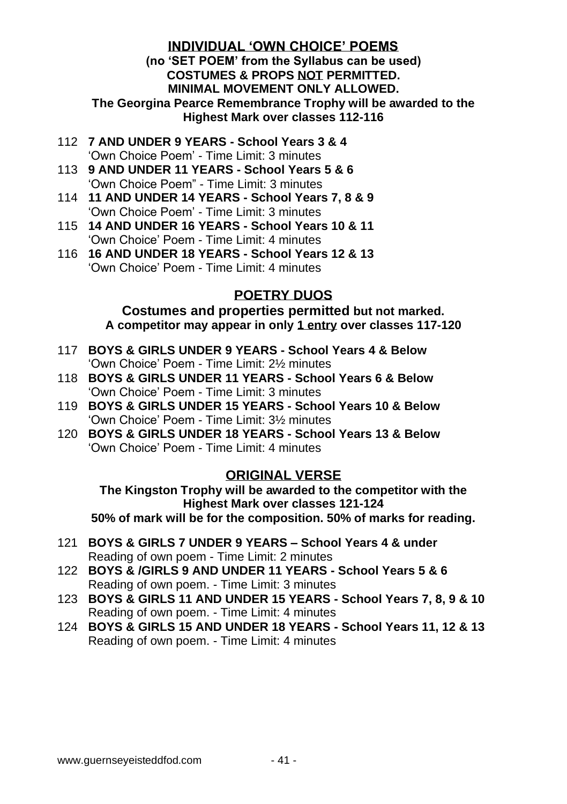**INDIVIDUAL 'OWN CHOICE' POEMS (no 'SET POEM' from the Syllabus can be used) COSTUMES & PROPS NOT PERMITTED. MINIMAL MOVEMENT ONLY ALLOWED. The Georgina Pearce Remembrance Trophy will be awarded to the Highest Mark over classes 112-116**

- 112 **7 AND UNDER 9 YEARS - School Years 3 & 4** 'Own Choice Poem' - Time Limit: 3 minutes
- 113 **9 AND UNDER 11 YEARS - School Years 5 & 6** 'Own Choice Poem" - Time Limit: 3 minutes
- 114 **11 AND UNDER 14 YEARS - School Years 7, 8 & 9** 'Own Choice Poem' - Time Limit: 3 minutes
- 115 **14 AND UNDER 16 YEARS - School Years 10 & 11** 'Own Choice' Poem - Time Limit: 4 minutes
- 116 **16 AND UNDER 18 YEARS - School Years 12 & 13** 'Own Choice' Poem - Time Limit: 4 minutes

#### **POETRY DUOS**

#### **Costumes and properties permitted but not marked. A competitor may appear in only 1 entry over classes 117-120**

- 117 **BOYS & GIRLS UNDER 9 YEARS - School Years 4 & Below** 'Own Choice' Poem - Time Limit: 2½ minutes
- 118 **BOYS & GIRLS UNDER 11 YEARS - School Years 6 & Below** 'Own Choice' Poem - Time Limit: 3 minutes
- 119 **BOYS & GIRLS UNDER 15 YEARS - School Years 10 & Below** 'Own Choice' Poem - Time Limit: 3½ minutes
- 120 **BOYS & GIRLS UNDER 18 YEARS - School Years 13 & Below** 'Own Choice' Poem - Time Limit: 4 minutes

### **ORIGINAL VERSE**

**The Kingston Trophy will be awarded to the competitor with the Highest Mark over classes 121-124**

**50% of mark will be for the composition. 50% of marks for reading.**

- 121 **BOYS & GIRLS 7 UNDER 9 YEARS – School Years 4 & under** Reading of own poem - Time Limit: 2 minutes
- 122 **BOYS & /GIRLS 9 AND UNDER 11 YEARS - School Years 5 & 6** Reading of own poem. - Time Limit: 3 minutes
- 123 **BOYS & GIRLS 11 AND UNDER 15 YEARS - School Years 7, 8, 9 & 10** Reading of own poem. - Time Limit: 4 minutes
- 124 **BOYS & GIRLS 15 AND UNDER 18 YEARS - School Years 11, 12 & 13** Reading of own poem. - Time Limit: 4 minutes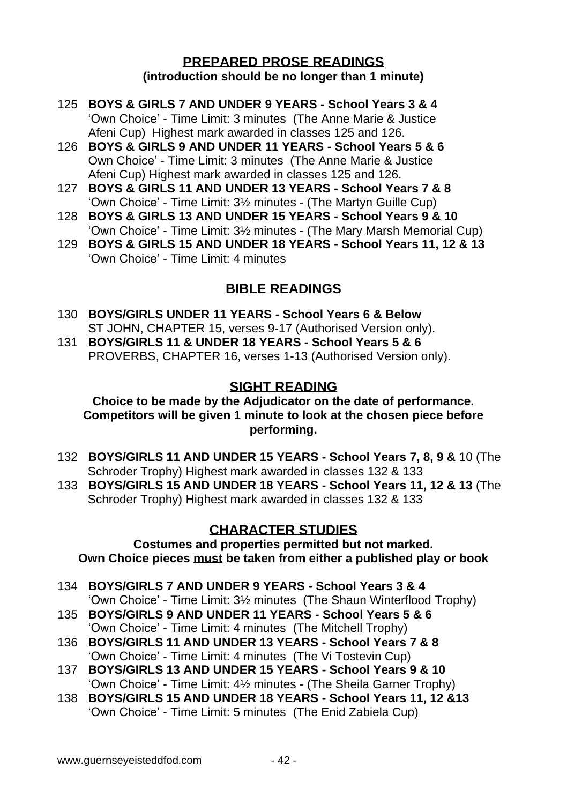#### **PREPARED PROSE READINGS (introduction should be no longer than 1 minute)**

- 125 **BOYS & GIRLS 7 AND UNDER 9 YEARS - School Years 3 & 4** 'Own Choice' - Time Limit: 3 minutes (The Anne Marie & Justice Afeni Cup) Highest mark awarded in classes 125 and 126.
- 126 **BOYS & GIRLS 9 AND UNDER 11 YEARS - School Years 5 & 6** Own Choice' - Time Limit: 3 minutes (The Anne Marie & Justice Afeni Cup) Highest mark awarded in classes 125 and 126.
- 127 **BOYS & GIRLS 11 AND UNDER 13 YEARS - School Years 7 & 8** 'Own Choice' - Time Limit: 3½ minutes - (The Martyn Guille Cup)
- 128 **BOYS & GIRLS 13 AND UNDER 15 YEARS - School Years 9 & 10** 'Own Choice' - Time Limit: 3½ minutes - (The Mary Marsh Memorial Cup)
- 129 **BOYS & GIRLS 15 AND UNDER 18 YEARS - School Years 11, 12 & 13** 'Own Choice' - Time Limit: 4 minutes

# **BIBLE READINGS**

- 130 **BOYS/GIRLS UNDER 11 YEARS - School Years 6 & Below** ST JOHN, CHAPTER 15, verses 9-17 (Authorised Version only).
- 131 **BOYS/GIRLS 11 & UNDER 18 YEARS - School Years 5 & 6** PROVERBS, CHAPTER 16, verses 1-13 (Authorised Version only).

### **SIGHT READING**

**Choice to be made by the Adjudicator on the date of performance. Competitors will be given 1 minute to look at the chosen piece before performing.**

- 132 **BOYS/GIRLS 11 AND UNDER 15 YEARS - School Years 7, 8, 9 &** 10 (The Schroder Trophy) Highest mark awarded in classes 132 & 133
- 133 **BOYS/GIRLS 15 AND UNDER 18 YEARS - School Years 11, 12 & 13** (The Schroder Trophy) Highest mark awarded in classes 132 & 133

### **CHARACTER STUDIES**

**Costumes and properties permitted but not marked. Own Choice pieces must be taken from either a published play or book**

- 134 **BOYS/GIRLS 7 AND UNDER 9 YEARS - School Years 3 & 4**
- 'Own Choice' Time Limit: 3½ minutes (The Shaun Winterflood Trophy)
- 135 **BOYS/GIRLS 9 AND UNDER 11 YEARS - School Years 5 & 6** 'Own Choice' - Time Limit: 4 minutes (The Mitchell Trophy)
- 136 **BOYS/GIRLS 11 AND UNDER 13 YEARS - School Years 7 & 8** 'Own Choice' - Time Limit: 4 minutes (The Vi Tostevin Cup)
- 137 **BOYS/GIRLS 13 AND UNDER 15 YEARS - School Years 9 & 10**  'Own Choice' - Time Limit: 4½ minutes - (The Sheila Garner Trophy)
- 138 **BOYS/GIRLS 15 AND UNDER 18 YEARS - School Years 11, 12 &13** 'Own Choice' - Time Limit: 5 minutes (The Enid Zabiela Cup)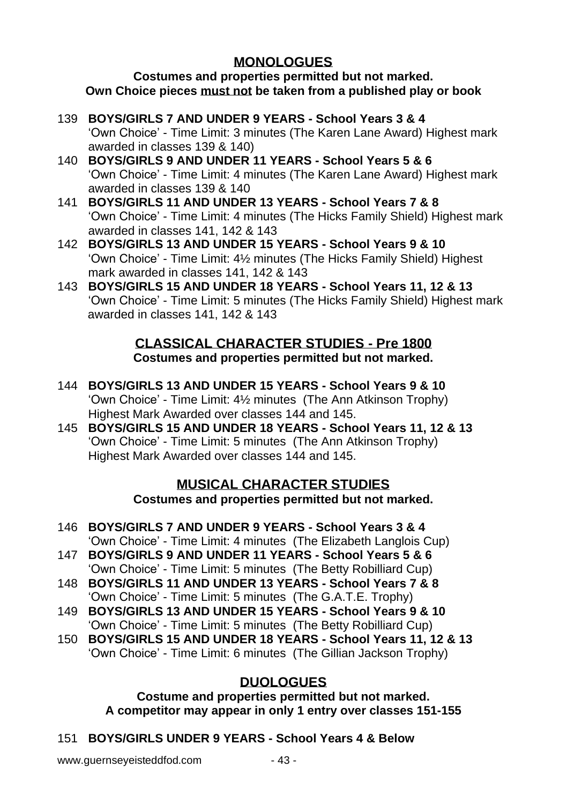#### **MONOLOGUES**

#### **Costumes and properties permitted but not marked. Own Choice pieces must not be taken from a published play or book**

- 139 **BOYS/GIRLS 7 AND UNDER 9 YEARS - School Years 3 & 4** 'Own Choice' - Time Limit: 3 minutes (The Karen Lane Award) Highest mark awarded in classes 139 & 140)
- 140 **BOYS/GIRLS 9 AND UNDER 11 YEARS - School Years 5 & 6** 'Own Choice' - Time Limit: 4 minutes (The Karen Lane Award) Highest mark awarded in classes 139 & 140
- 141 **BOYS/GIRLS 11 AND UNDER 13 YEARS - School Years 7 & 8**  'Own Choice' - Time Limit: 4 minutes (The Hicks Family Shield) Highest mark awarded in classes 141, 142 & 143
- 142 **BOYS/GIRLS 13 AND UNDER 15 YEARS - School Years 9 & 10** 'Own Choice' - Time Limit: 4½ minutes (The Hicks Family Shield) Highest mark awarded in classes 141, 142 & 143
- 143 **BOYS/GIRLS 15 AND UNDER 18 YEARS - School Years 11, 12 & 13** 'Own Choice' - Time Limit: 5 minutes (The Hicks Family Shield) Highest mark awarded in classes 141, 142 & 143

#### **CLASSICAL CHARACTER STUDIES - Pre 1800 Costumes and properties permitted but not marked.**

- 144 **BOYS/GIRLS 13 AND UNDER 15 YEARS - School Years 9 & 10** 'Own Choice' - Time Limit: 4½ minutes (The Ann Atkinson Trophy) Highest Mark Awarded over classes 144 and 145.
- 145 **BOYS/GIRLS 15 AND UNDER 18 YEARS - School Years 11, 12 & 13** 'Own Choice' - Time Limit: 5 minutes (The Ann Atkinson Trophy) Highest Mark Awarded over classes 144 and 145.

# **MUSICAL CHARACTER STUDIES**

**Costumes and properties permitted but not marked.**

- 146 **BOYS/GIRLS 7 AND UNDER 9 YEARS - School Years 3 & 4** 'Own Choice' - Time Limit: 4 minutes (The Elizabeth Langlois Cup)
- 147 **BOYS/GIRLS 9 AND UNDER 11 YEARS - School Years 5 & 6** 'Own Choice' - Time Limit: 5 minutes (The Betty Robilliard Cup)
- 148 **BOYS/GIRLS 11 AND UNDER 13 YEARS - School Years 7 & 8** 'Own Choice' - Time Limit: 5 minutes (The G.A.T.E. Trophy)
- 149 **BOYS/GIRLS 13 AND UNDER 15 YEARS - School Years 9 & 10** 'Own Choice' - Time Limit: 5 minutes (The Betty Robilliard Cup)
- 150 **BOYS/GIRLS 15 AND UNDER 18 YEARS - School Years 11, 12 & 13** 'Own Choice' - Time Limit: 6 minutes (The Gillian Jackson Trophy)

# **DUOLOGUES**

**Costume and properties permitted but not marked. A competitor may appear in only 1 entry over classes 151-155**

151 **BOYS/GIRLS UNDER 9 YEARS - School Years 4 & Below**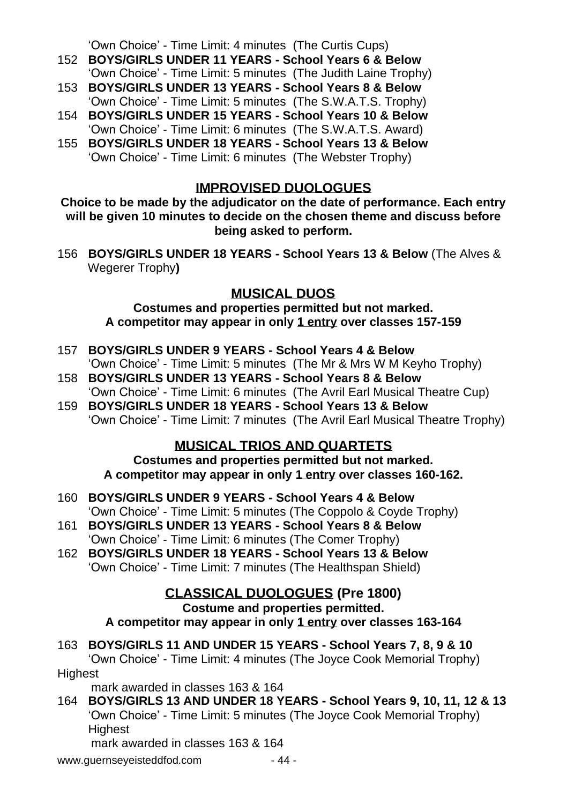'Own Choice' - Time Limit: 4 minutes (The Curtis Cups)

- 152 **BOYS/GIRLS UNDER 11 YEARS - School Years 6 & Below** 'Own Choice' - Time Limit: 5 minutes (The Judith Laine Trophy)
- 153 **BOYS/GIRLS UNDER 13 YEARS - School Years 8 & Below** 'Own Choice' - Time Limit: 5 minutes (The S.W.A.T.S. Trophy)
- 154 **BOYS/GIRLS UNDER 15 YEARS - School Years 10 & Below** 'Own Choice' - Time Limit: 6 minutes (The S.W.A.T.S. Award)
- 155 **BOYS/GIRLS UNDER 18 YEARS - School Years 13 & Below** 'Own Choice' - Time Limit: 6 minutes (The Webster Trophy)

#### **IMPROVISED DUOLOGUES**

**Choice to be made by the adjudicator on the date of performance. Each entry will be given 10 minutes to decide on the chosen theme and discuss before being asked to perform.**

156 **BOYS/GIRLS UNDER 18 YEARS - School Years 13 & Below** (The Alves & Wegerer Trophy**)**

#### **MUSICAL DUOS**

**Costumes and properties permitted but not marked. A competitor may appear in only 1 entry over classes 157-159**

157 **BOYS/GIRLS UNDER 9 YEARS - School Years 4 & Below**

'Own Choice' - Time Limit: 5 minutes (The Mr & Mrs W M Keyho Trophy)

- 158 **BOYS/GIRLS UNDER 13 YEARS - School Years 8 & Below** 'Own Choice' - Time Limit: 6 minutes (The Avril Earl Musical Theatre Cup)
- 159 **BOYS/GIRLS UNDER 18 YEARS - School Years 13 & Below** 'Own Choice' - Time Limit: 7 minutes (The Avril Earl Musical Theatre Trophy)

#### **MUSICAL TRIOS AND QUARTETS**

**Costumes and properties permitted but not marked. A competitor may appear in only 1 entry over classes 160-162.**

- 160 **BOYS/GIRLS UNDER 9 YEARS - School Years 4 & Below** 'Own Choice' - Time Limit: 5 minutes (The Coppolo & Coyde Trophy)
- 161 **BOYS/GIRLS UNDER 13 YEARS - School Years 8 & Below** 'Own Choice' - Time Limit: 6 minutes (The Comer Trophy)
- 162 **BOYS/GIRLS UNDER 18 YEARS - School Years 13 & Below** 'Own Choice' - Time Limit: 7 minutes (The Healthspan Shield)

# **CLASSICAL DUOLOGUES (Pre 1800)**

#### **Costume and properties permitted.**

**A competitor may appear in only 1 entry over classes 163-164**

163 **BOYS/GIRLS 11 AND UNDER 15 YEARS - School Years 7, 8, 9 & 10** 'Own Choice' - Time Limit: 4 minutes (The Joyce Cook Memorial Trophy) **Highest** 

mark awarded in classes 163 & 164

164 **BOYS/GIRLS 13 AND UNDER 18 YEARS - School Years 9, 10, 11, 12 & 13**  'Own Choice' - Time Limit: 5 minutes (The Joyce Cook Memorial Trophy) **Highest** 

mark awarded in classes 163 & 164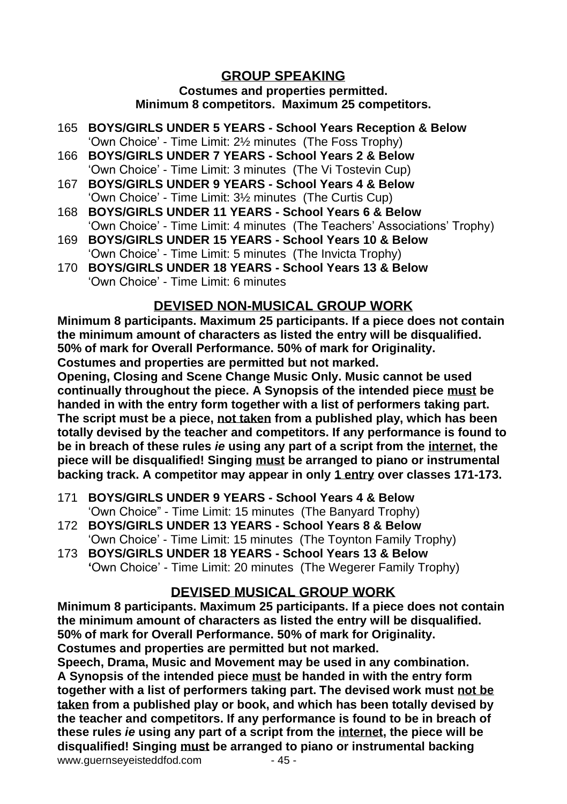#### **GROUP SPEAKING**

**Costumes and properties permitted. Minimum 8 competitors. Maximum 25 competitors.**

- 165 **BOYS/GIRLS UNDER 5 YEARS - School Years Reception & Below** 'Own Choice' - Time Limit: 2½ minutes (The Foss Trophy)
- 166 **BOYS/GIRLS UNDER 7 YEARS - School Years 2 & Below** 'Own Choice' - Time Limit: 3 minutes (The Vi Tostevin Cup)
- 167 **BOYS/GIRLS UNDER 9 YEARS - School Years 4 & Below** 'Own Choice' - Time Limit: 3½ minutes (The Curtis Cup)
- 168 **BOYS/GIRLS UNDER 11 YEARS - School Years 6 & Below** 'Own Choice' - Time Limit: 4 minutes (The Teachers' Associations' Trophy)
- 169 **BOYS/GIRLS UNDER 15 YEARS - School Years 10 & Below** 'Own Choice' - Time Limit: 5 minutes (The Invicta Trophy)
- 170 **BOYS/GIRLS UNDER 18 YEARS - School Years 13 & Below** 'Own Choice' - Time Limit: 6 minutes

### **DEVISED NON-MUSICAL GROUP WORK**

**Minimum 8 participants. Maximum 25 participants. If a piece does not contain the minimum amount of characters as listed the entry will be disqualified. 50% of mark for Overall Performance. 50% of mark for Originality. Costumes and properties are permitted but not marked.**

**Opening, Closing and Scene Change Music Only. Music cannot be used continually throughout the piece. A Synopsis of the intended piece must be handed in with the entry form together with a list of performers taking part. The script must be a piece, not taken from a published play, which has been totally devised by the teacher and competitors. If any performance is found to be in breach of these rules** *ie* **using any part of a script from the internet, the piece will be disqualified! Singing must be arranged to piano or instrumental backing track. A competitor may appear in only 1 entry over classes 171-173.**

- 171 **BOYS/GIRLS UNDER 9 YEARS - School Years 4 & Below** 'Own Choice" - Time Limit: 15 minutes (The Banyard Trophy)
- 172 **BOYS/GIRLS UNDER 13 YEARS - School Years 8 & Below** 'Own Choice' - Time Limit: 15 minutes (The Toynton Family Trophy)
- 173 **BOYS/GIRLS UNDER 18 YEARS - School Years 13 & Below '**Own Choice' - Time Limit: 20 minutes (The Wegerer Family Trophy)

### **DEVISED MUSICAL GROUP WORK**

**Minimum 8 participants. Maximum 25 participants. If a piece does not contain the minimum amount of characters as listed the entry will be disqualified. 50% of mark for Overall Performance. 50% of mark for Originality. Costumes and properties are permitted but not marked.**

**Speech, Drama, Music and Movement may be used in any combination. A Synopsis of the intended piece must be handed in with the entry form together with a list of performers taking part. The devised work must not be taken from a published play or book, and which has been totally devised by the teacher and competitors. If any performance is found to be in breach of these rules** *ie* **using any part of a script from the internet, the piece will be disqualified! Singing must be arranged to piano or instrumental backing**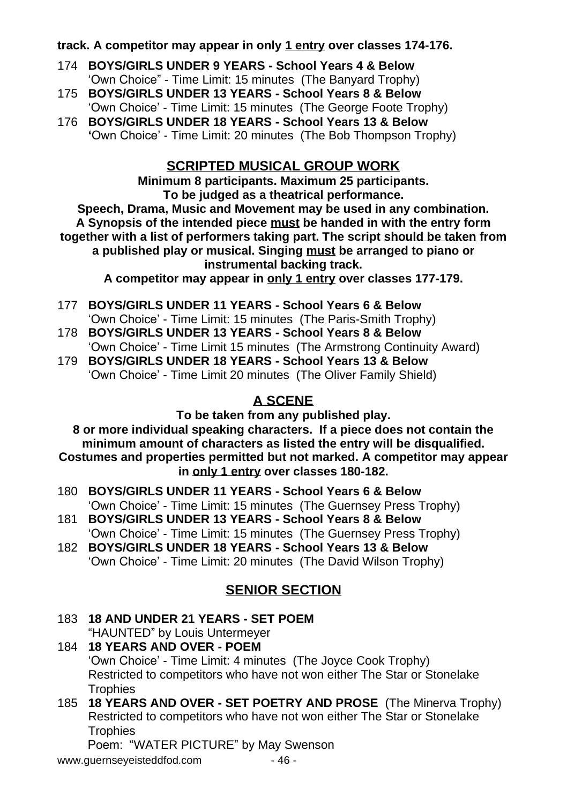#### **track. A competitor may appear in only 1 entry over classes 174-176.**

- 174 **BOYS/GIRLS UNDER 9 YEARS - School Years 4 & Below** 'Own Choice" - Time Limit: 15 minutes (The Banyard Trophy)
- 175 **BOYS/GIRLS UNDER 13 YEARS - School Years 8 & Below** 'Own Choice' - Time Limit: 15 minutes (The George Foote Trophy)
- 176 **BOYS/GIRLS UNDER 18 YEARS - School Years 13 & Below '**Own Choice' - Time Limit: 20 minutes (The Bob Thompson Trophy)

#### **SCRIPTED MUSICAL GROUP WORK**

**Minimum 8 participants. Maximum 25 participants. To be judged as a theatrical performance. Speech, Drama, Music and Movement may be used in any combination. A Synopsis of the intended piece must be handed in with the entry form together with a list of performers taking part. The script should be taken from a published play or musical. Singing must be arranged to piano or instrumental backing track. A competitor may appear in only 1 entry over classes 177-179.**

- 177 **BOYS/GIRLS UNDER 11 YEARS - School Years 6 & Below**  'Own Choice' - Time Limit: 15 minutes (The Paris-Smith Trophy)
- 178 **BOYS/GIRLS UNDER 13 YEARS - School Years 8 & Below** 'Own Choice' - Time Limit 15 minutes (The Armstrong Continuity Award)
- 179 **BOYS/GIRLS UNDER 18 YEARS - School Years 13 & Below** 'Own Choice' - Time Limit 20 minutes (The Oliver Family Shield)

#### **A SCENE**

**To be taken from any published play.**

**8 or more individual speaking characters. If a piece does not contain the minimum amount of characters as listed the entry will be disqualified. Costumes and properties permitted but not marked. A competitor may appear in only 1 entry over classes 180-182.**

- 180 **BOYS/GIRLS UNDER 11 YEARS - School Years 6 & Below** 'Own Choice' - Time Limit: 15 minutes (The Guernsey Press Trophy)
- 181 **BOYS/GIRLS UNDER 13 YEARS - School Years 8 & Below** 'Own Choice' - Time Limit: 15 minutes (The Guernsey Press Trophy)
- 182 **BOYS/GIRLS UNDER 18 YEARS - School Years 13 & Below** 'Own Choice' - Time Limit: 20 minutes (The David Wilson Trophy)

# **SENIOR SECTION**

- 183 **18 AND UNDER 21 YEARS - SET POEM** "HAUNTED" by Louis Untermeyer
- 184 **18 YEARS AND OVER - POEM** 'Own Choice' - Time Limit: 4 minutes (The Joyce Cook Trophy) Restricted to competitors who have not won either The Star or Stonelake **Trophies**
- 185 **18 YEARS AND OVER - SET POETRY AND PROSE** (The Minerva Trophy) Restricted to competitors who have not won either The Star or Stonelake **Trophies**

www.guernseyeisteddfod.com - 46 -Poem: "WATER PICTURE" by May Swenson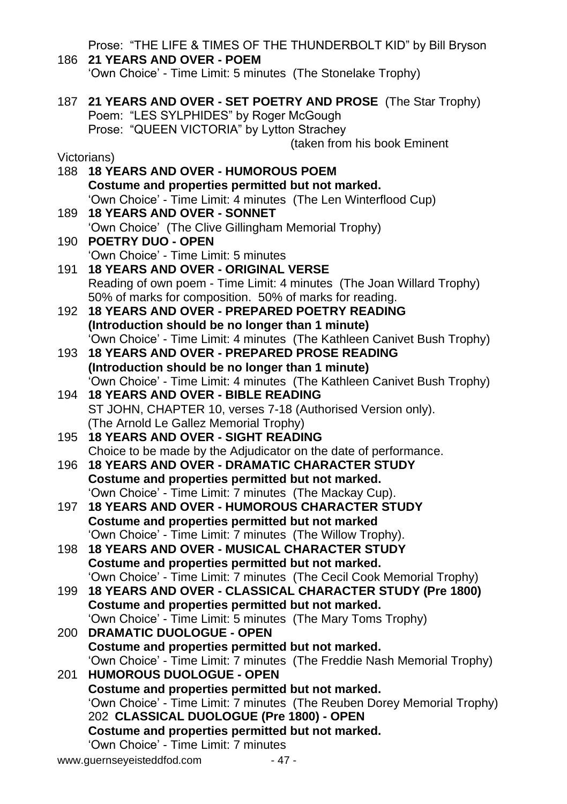|       | Prose: "THE LIFE & TIMES OF THE THUNDERBOLT KID" by Bill Bryson                                               |
|-------|---------------------------------------------------------------------------------------------------------------|
| 186   | <b>21 YEARS AND OVER - POEM</b><br>'Own Choice' - Time Limit: 5 minutes (The Stonelake Trophy)                |
|       |                                                                                                               |
| 187   | 21 YEARS AND OVER - SET POETRY AND PROSE (The Star Trophy)                                                    |
|       | Poem: "LES SYLPHIDES" by Roger McGough                                                                        |
|       | Prose: "QUEEN VICTORIA" by Lytton Strachey                                                                    |
|       | (taken from his book Eminent                                                                                  |
|       | Victorians)                                                                                                   |
| 188   | <b>18 YEARS AND OVER - HUMOROUS POEM</b>                                                                      |
|       | Costume and properties permitted but not marked.                                                              |
|       | 'Own Choice' - Time Limit: 4 minutes (The Len Winterflood Cup)                                                |
| 189   | <b>18 YEARS AND OVER - SONNET</b>                                                                             |
|       | 'Own Choice' (The Clive Gillingham Memorial Trophy)<br><b>POETRY DUO - OPEN</b>                               |
| 190   | 'Own Choice' - Time Limit: 5 minutes                                                                          |
| 191   | <b>18 YEARS AND OVER - ORIGINAL VERSE</b>                                                                     |
|       | Reading of own poem - Time Limit: 4 minutes (The Joan Willard Trophy)                                         |
|       | 50% of marks for composition. 50% of marks for reading.                                                       |
| 192   | 18 YEARS AND OVER - PREPARED POETRY READING                                                                   |
|       | (Introduction should be no longer than 1 minute)                                                              |
|       | 'Own Choice' - Time Limit: 4 minutes (The Kathleen Canivet Bush Trophy)                                       |
| 193   | 18 YEARS AND OVER - PREPARED PROSE READING                                                                    |
|       | (Introduction should be no longer than 1 minute)                                                              |
|       | 'Own Choice' - Time Limit: 4 minutes (The Kathleen Canivet Bush Trophy)                                       |
| 194   | <b>18 YEARS AND OVER - BIBLE READING</b>                                                                      |
|       | ST JOHN, CHAPTER 10, verses 7-18 (Authorised Version only).                                                   |
|       | (The Arnold Le Gallez Memorial Trophy)                                                                        |
| 195   | 18 YEARS AND OVER - SIGHT READING                                                                             |
|       | Choice to be made by the Adjudicator on the date of performance.                                              |
| 196   | <b>18 YEARS AND OVER - DRAMATIC CHARACTER STUDY</b>                                                           |
|       | Costume and properties permitted but not marked.                                                              |
|       | 'Own Choice' - Time Limit: 7 minutes (The Mackay Cup).<br><b>18 YEARS AND OVER - HUMOROUS CHARACTER STUDY</b> |
| 197   | Costume and properties permitted but not marked                                                               |
|       | 'Own Choice' - Time Limit: 7 minutes (The Willow Trophy).                                                     |
| 198   | 18 YEARS AND OVER - MUSICAL CHARACTER STUDY                                                                   |
|       | Costume and properties permitted but not marked.                                                              |
|       | 'Own Choice' - Time Limit: 7 minutes (The Cecil Cook Memorial Trophy)                                         |
| 199   | 18 YEARS AND OVER - CLASSICAL CHARACTER STUDY (Pre 1800)                                                      |
|       | Costume and properties permitted but not marked.                                                              |
|       | 'Own Choice' - Time Limit: 5 minutes (The Mary Toms Trophy)                                                   |
| 200 - | <b>DRAMATIC DUOLOGUE - OPEN</b>                                                                               |
|       | Costume and properties permitted but not marked.                                                              |
|       | 'Own Choice' - Time Limit: 7 minutes (The Freddie Nash Memorial Trophy)                                       |
| 201   | <b>HUMOROUS DUOLOGUE - OPEN</b>                                                                               |
|       | Costume and properties permitted but not marked.                                                              |
|       | 'Own Choice' - Time Limit: 7 minutes (The Reuben Dorey Memorial Trophy)                                       |
|       | 202 CLASSICAL DUOLOGUE (Pre 1800) - OPEN                                                                      |
|       | Costume and properties permitted but not marked.<br>'Own Choice' - Time Limit: 7 minutes                      |
|       |                                                                                                               |
|       | www.guernseyeisteddfod.com<br>$-47-$                                                                          |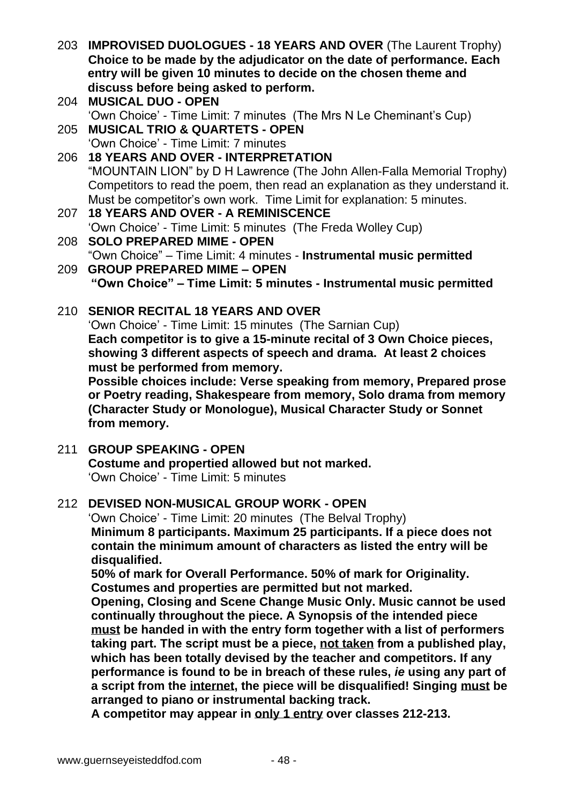- 203 **IMPROVISED DUOLOGUES - 18 YEARS AND OVER** (The Laurent Trophy) **Choice to be made by the adjudicator on the date of performance. Each entry will be given 10 minutes to decide on the chosen theme and discuss before being asked to perform.**
- 204 **MUSICAL DUO - OPEN** 'Own Choice' - Time Limit: 7 minutes (The Mrs N Le Cheminant's Cup) 205 **MUSICAL TRIO & QUARTETS - OPEN**
	- 'Own Choice' Time Limit: 7 minutes
- 206 **18 YEARS AND OVER - INTERPRETATION** "MOUNTAIN LION" by D H Lawrence (The John Allen-Falla Memorial Trophy) Competitors to read the poem, then read an explanation as they understand it. Must be competitor's own work. Time Limit for explanation: 5 minutes.
- 207 **18 YEARS AND OVER - A REMINISCENCE** 'Own Choice' - Time Limit: 5 minutes (The Freda Wolley Cup)
- 208 **SOLO PREPARED MIME - OPEN** "Own Choice" – Time Limit: 4 minutes - **Instrumental music permitted**
- 209 **GROUP PREPARED MIME – OPEN "Own Choice" – Time Limit: 5 minutes - Instrumental music permitted**
- 210 **SENIOR RECITAL 18 YEARS AND OVER** 'Own Choice' - Time Limit: 15 minutes (The Sarnian Cup) **Each competitor is to give a 15-minute recital of 3 Own Choice pieces, showing 3 different aspects of speech and drama. At least 2 choices must be performed from memory. Possible choices include: Verse speaking from memory, Prepared prose**

**or Poetry reading, Shakespeare from memory, Solo drama from memory (Character Study or Monologue), Musical Character Study or Sonnet from memory.**

211 **GROUP SPEAKING - OPEN Costume and propertied allowed but not marked.** 'Own Choice' - Time Limit: 5 minutes

#### 212 **DEVISED NON-MUSICAL GROUP WORK - OPEN**

'Own Choice' - Time Limit: 20 minutes (The Belval Trophy)  **Minimum 8 participants. Maximum 25 participants. If a piece does not contain the minimum amount of characters as listed the entry will be disqualified.**

 **50% of mark for Overall Performance. 50% of mark for Originality. Costumes and properties are permitted but not marked.**

 **Opening, Closing and Scene Change Music Only. Music cannot be used continually throughout the piece. A Synopsis of the intended piece must be handed in with the entry form together with a list of performers taking part. The script must be a piece, not taken from a published play, which has been totally devised by the teacher and competitors. If any performance is found to be in breach of these rules,** *ie* **using any part of a script from the internet, the piece will be disqualified! Singing must be arranged to piano or instrumental backing track.**

 **A competitor may appear in only 1 entry over classes 212-213.**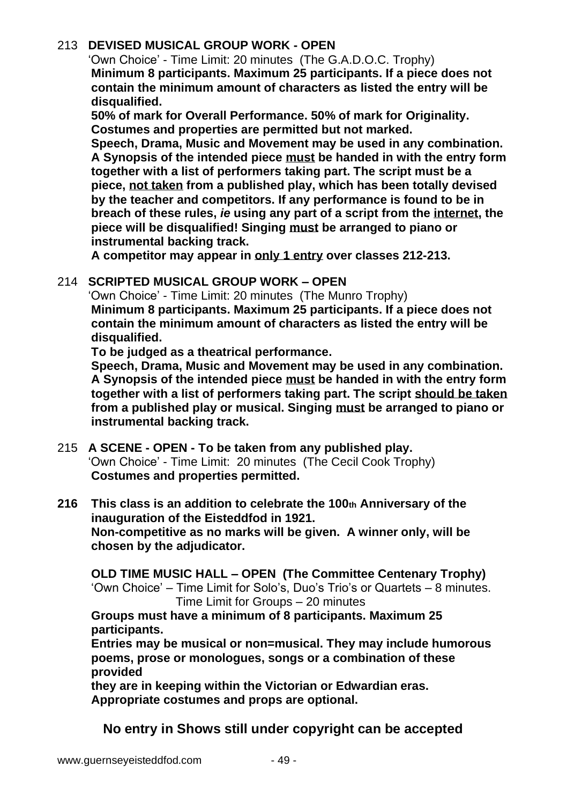#### 213 **DEVISED MUSICAL GROUP WORK - OPEN**

'Own Choice' - Time Limit: 20 minutes (The G.A.D.O.C. Trophy)  **Minimum 8 participants. Maximum 25 participants. If a piece does not contain the minimum amount of characters as listed the entry will be disqualified.** 

 **50% of mark for Overall Performance. 50% of mark for Originality. Costumes and properties are permitted but not marked.**

 **Speech, Drama, Music and Movement may be used in any combination. A Synopsis of the intended piece must be handed in with the entry form together with a list of performers taking part. The script must be a piece, not taken from a published play, which has been totally devised by the teacher and competitors. If any performance is found to be in breach of these rules,** *ie* **using any part of a script from the internet, the piece will be disqualified! Singing must be arranged to piano or instrumental backing track.**

 **A competitor may appear in only 1 entry over classes 212-213.**

#### 214 **SCRIPTED MUSICAL GROUP WORK – OPEN**

'Own Choice' - Time Limit: 20 minutes (The Munro Trophy)  **Minimum 8 participants. Maximum 25 participants. If a piece does not contain the minimum amount of characters as listed the entry will be disqualified.** 

 **To be judged as a theatrical performance.**

 **Speech, Drama, Music and Movement may be used in any combination. A Synopsis of the intended piece must be handed in with the entry form together with a list of performers taking part. The script should be taken from a published play or musical. Singing must be arranged to piano or instrumental backing track.**

- 215 **A SCENE - OPEN - To be taken from any published play.** 'Own Choice' - Time Limit: 20 minutes (The Cecil Cook Trophy)  **Costumes and properties permitted.**
- **216 This class is an addition to celebrate the 100th Anniversary of the inauguration of the Eisteddfod in 1921. Non-competitive as no marks will be given. A winner only, will be chosen by the adjudicator.**

 **OLD TIME MUSIC HALL – OPEN (The Committee Centenary Trophy)** 'Own Choice' – Time Limit for Solo's, Duo's Trio's or Quartets – 8 minutes. Time Limit for Groups – 20 minutes

 **Groups must have a minimum of 8 participants. Maximum 25 participants.**

 **Entries may be musical or non=musical. They may include humorous poems, prose or monologues, songs or a combination of these provided** 

 **they are in keeping within the Victorian or Edwardian eras. Appropriate costumes and props are optional.**

**No entry in Shows still under copyright can be accepted**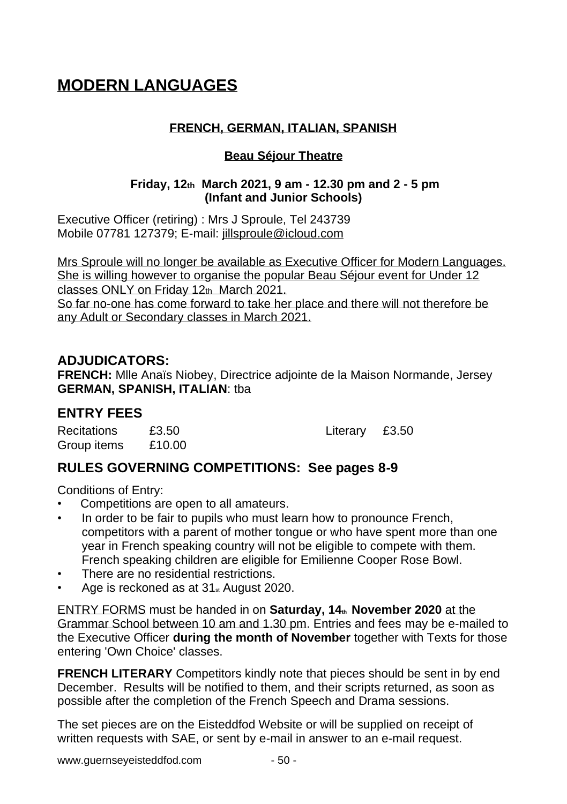# **MODERN LANGUAGES**

#### **FRENCH, GERMAN, ITALIAN, SPANISH**

#### **Beau Séjour Theatre**

#### **Friday, 12th March 2021, 9 am - 12.30 pm and 2 - 5 pm (Infant and Junior Schools)**

Executive Officer (retiring) : Mrs J Sproule, Tel 243739 Mobile 07781 127379; E-mail[: jillsproule@icloud.com](mailto:jillsproule@icloud.com)

Mrs Sproule will no longer be available as Executive Officer for Modern Languages. She is willing however to organise the popular Beau Séjour event for Under 12 classes ONLY on Friday 12th March 2021. So far no-one has come forward to take her place and there will not therefore be any Adult or Secondary classes in March 2021.

#### **ADJUDICATORS:**

**FRENCH:** Mlle Anaïs Niobey, Directrice adjointe de la Maison Normande, Jersey **GERMAN, SPANISH, ITALIAN**: tba

#### **ENTRY FEES**

Recitations £3.50 Literary £3.50 Group items £10.00

### **RULES GOVERNING COMPETITIONS: See pages 8-9**

Conditions of Entry:

- Competitions are open to all amateurs.
- In order to be fair to pupils who must learn how to pronounce French. competitors with a parent of mother tongue or who have spent more than one year in French speaking country will not be eligible to compete with them. French speaking children are eligible for Emilienne Cooper Rose Bowl.
- There are no residential restrictions.
- Age is reckoned as at  $31<sub>st</sub>$  August 2020.

ENTRY FORMS must be handed in on **Saturday, 14th November 2020** at the Grammar School between 10 am and 1.30 pm. Entries and fees may be e-mailed to the Executive Officer **during the month of November** together with Texts for those entering 'Own Choice' classes.

**FRENCH LITERARY** Competitors kindly note that pieces should be sent in by end December. Results will be notified to them, and their scripts returned, as soon as possible after the completion of the French Speech and Drama sessions.

The set pieces are on the Eisteddfod Website or will be supplied on receipt of written requests with SAE, or sent by e-mail in answer to an e-mail request.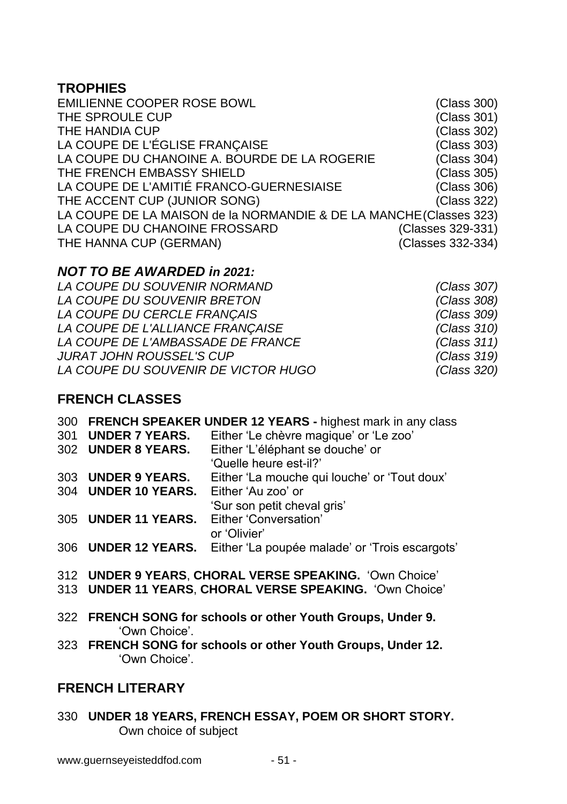#### **TROPHIES**

| (Class 300)                                                        |
|--------------------------------------------------------------------|
| (Class 301)                                                        |
| (Class 302)                                                        |
| (Class 303)                                                        |
| (Class 304)                                                        |
| (Class 305)                                                        |
| (Class 306)                                                        |
| (Class 322)                                                        |
| LA COUPE DE LA MAISON de la NORMANDIE & DE LA MANCHE (Classes 323) |
| (Classes 329-331)                                                  |
| (Classes 332-334)                                                  |
|                                                                    |

#### *NOT TO BE AWARDED in 2021:*

| LA COUPE DU SOUVENIR NORMAND        | (Class 307) |
|-------------------------------------|-------------|
| LA COUPE DU SOUVENIR BRETON         | (Class 308) |
| LA COUPE DU CERCLE FRANÇAIS         | (Class 309) |
| LA COUPE DE L'ALLIANCE FRANCAISE    | (Class 310) |
| LA COUPE DE L'AMBASSADE DE FRANCE   | (Class 311) |
| JURAT JOHN ROUSSEL'S CUP            | (Class 319) |
| LA COUPE DU SOUVENIR DE VICTOR HUGO | (Class 320) |

#### **FRENCH CLASSES**

|                     | 300 FRENCH SPEAKER UNDER 12 YEARS - highest mark in any class      |
|---------------------|--------------------------------------------------------------------|
| 301 UNDER 7 YEARS.  | Either 'Le chèvre magique' or 'Le zoo'                             |
| 302 UNDER 8 YEARS.  | Either 'L'éléphant se douche' or                                   |
|                     | 'Quelle heure est-il?'                                             |
| 303 UNDER 9 YEARS.  | Either 'La mouche qui louche' or 'Tout doux'                       |
| 304 UNDER 10 YEARS. | Either 'Au zoo' or                                                 |
|                     | 'Sur son petit cheval gris'                                        |
| 305 UNDER 11 YEARS. | Either 'Conversation'                                              |
|                     | or 'Olivier'                                                       |
|                     | 306 UNDER 12 YEARS. Either 'La poupée malade' or 'Trois escargots' |
|                     |                                                                    |
|                     | 312 UNDER 9 YEARS, CHORAL VERSE SPEAKING. 'Own Choice'             |
|                     | 313 UNDER 11 YEARS, CHORAL VERSE SPEAKING. 'Own Choice'            |

- 322 **FRENCH SONG for schools or other Youth Groups, Under 9.**  'Own Choice'.
- 323 **FRENCH SONG for schools or other Youth Groups, Under 12.** 'Own Choice'.

### **FRENCH LITERARY**

330 **UNDER 18 YEARS, FRENCH ESSAY, POEM OR SHORT STORY.** Own choice of subject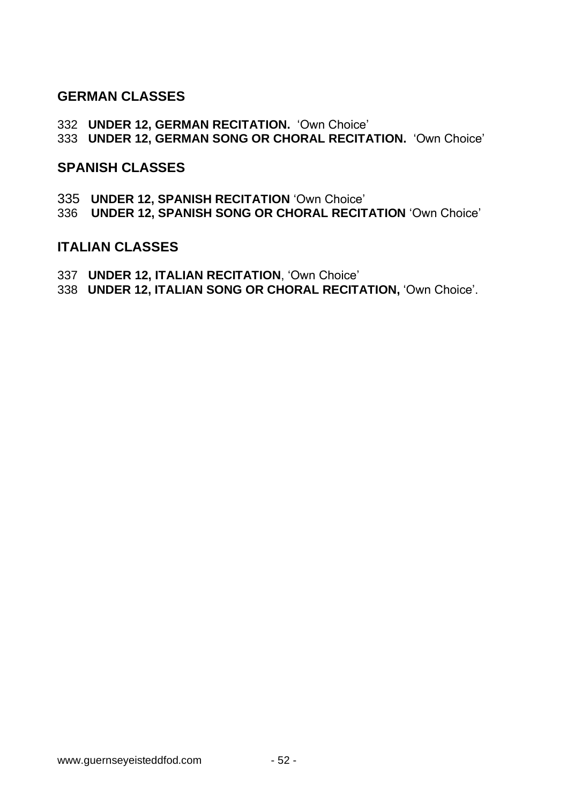#### **GERMAN CLASSES**

- 332 **UNDER 12, GERMAN RECITATION.** 'Own Choice'
- 333 **UNDER 12, GERMAN SONG OR CHORAL RECITATION.** 'Own Choice'

#### **SPANISH CLASSES**

- 335 **UNDER 12, SPANISH RECITATION** 'Own Choice'
- 336 **UNDER 12, SPANISH SONG OR CHORAL RECITATION** 'Own Choice'

#### **ITALIAN CLASSES**

- 337 **UNDER 12, ITALIAN RECITATION**, 'Own Choice'
- 338 **UNDER 12, ITALIAN SONG OR CHORAL RECITATION,** 'Own Choice'.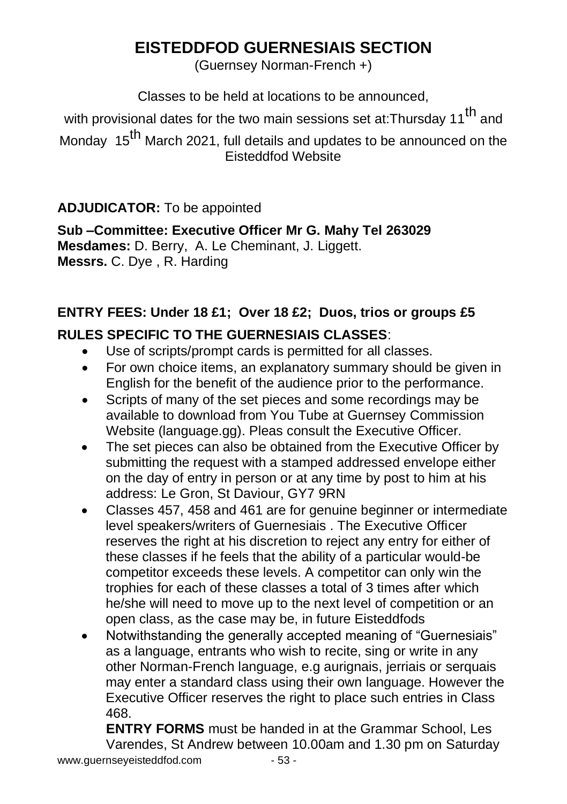# **EISTEDDFOD GUERNESIAIS SECTION**

(Guernsey Norman-French +)

Classes to be held at locations to be announced,

with provisional dates for the two main sessions set at:Thursday 11<sup>th</sup> and

Monday 15<sup>th</sup> March 2021, full details and updates to be announced on the Eisteddfod Website

**ADJUDICATOR:** To be appointed

**Sub –Committee: Executive Officer Mr G. Mahy Tel 263029 Mesdames:** D. Berry, A. Le Cheminant, J. Liggett. **Messrs.** C. Dye , R. Harding

# **ENTRY FEES: Under 18 £1; Over 18 £2; Duos, trios or groups £5 RULES SPECIFIC TO THE GUERNESIAIS CLASSES**:

- Use of scripts/prompt cards is permitted for all classes.
- For own choice items, an explanatory summary should be given in English for the benefit of the audience prior to the performance.
- Scripts of many of the set pieces and some recordings may be available to download from You Tube at Guernsey Commission Website (language.gg). Pleas consult the Executive Officer.
- The set pieces can also be obtained from the Executive Officer by submitting the request with a stamped addressed envelope either on the day of entry in person or at any time by post to him at his address: Le Gron, St Daviour, GY7 9RN
- Classes 457, 458 and 461 are for genuine beginner or intermediate level speakers/writers of Guernesiais . The Executive Officer reserves the right at his discretion to reject any entry for either of these classes if he feels that the ability of a particular would-be competitor exceeds these levels. A competitor can only win the trophies for each of these classes a total of 3 times after which he/she will need to move up to the next level of competition or an open class, as the case may be, in future Eisteddfods
- Notwithstanding the generally accepted meaning of "Guernesiais" as a language, entrants who wish to recite, sing or write in any other Norman-French language, e.g aurignais, jerriais or serquais may enter a standard class using their own language. However the Executive Officer reserves the right to place such entries in Class 468.

www.guernseyeisteddfod.com - 53 -**ENTRY FORMS** must be handed in at the Grammar School, Les Varendes, St Andrew between 10.00am and 1.30 pm on Saturday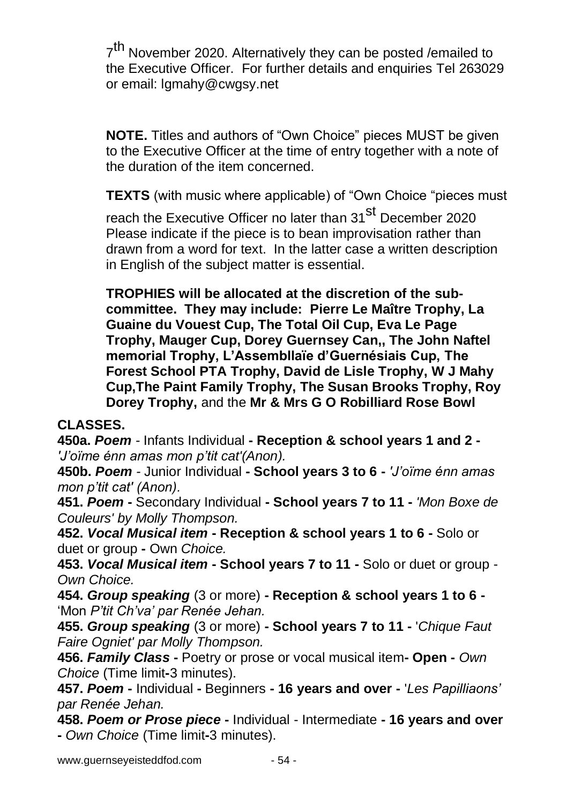7<sup>th</sup> November 2020. Alternatively they can be posted /emailed to the Executive Officer. For further details and enquiries Tel 263029 or email: lgmahy@cwgsy.net

**NOTE.** Titles and authors of "Own Choice" pieces MUST be given to the Executive Officer at the time of entry together with a note of the duration of the item concerned.

**TEXTS** (with music where applicable) of "Own Choice "pieces must

reach the Executive Officer no later than 31<sup>st</sup> December 2020 Please indicate if the piece is to bean improvisation rather than drawn from a word for text. In the latter case a written description in English of the subject matter is essential.

**TROPHIES will be allocated at the discretion of the subcommittee. They may include: Pierre Le Maître Trophy, La Guaine du Vouest Cup, The Total Oil Cup, Eva Le Page Trophy, Mauger Cup, Dorey Guernsey Can,, The John Naftel memorial Trophy, L'Assembllaïe d'Guernésiais Cup, The Forest School PTA Trophy, David de Lisle Trophy, W J Mahy Cup,The Paint Family Trophy, The Susan Brooks Trophy, Roy Dorey Trophy,** and the **Mr & Mrs G O Robilliard Rose Bowl**

### **CLASSES.**

**450a.** *Poem -* Infants Individual **- Reception & school years 1 and 2 -** *'J'oïme énn amas mon p'tit cat'(Anon).*

**450b.** *Poem -* Junior Individual **- School years 3 to 6 -** *'J'oïme énn amas mon p'tit cat' (Anon).*

**451.** *Poem* **-** Secondary Individual **- School years 7 to 11 -** *'Mon Boxe de Couleurs' by Molly Thompson.*

**452.** *Vocal Musical item* **- Reception & school years 1 to 6 -** Solo or duet or group **-** Own *Choice.*

**453.** *Vocal Musical item* **- School years 7 to 11 -** Solo or duet or group - *Own Choice.*

**454.** *Group speaking* (3 or more) **- Reception & school years 1 to 6 -** 'Mon *P'tit Ch'va' par Renée Jehan.*

**455.** *Group speaking* (3 or more) **- School years 7 to 11 -** '*Chique Faut Faire Ogniet' par Molly Thompson.*

**456.** *Family Class* **-** Poetry or prose or vocal musical item**- Open -** *Own Choice* (Time limit**-**3 minutes).

**457.** *Poem* **-** Individual **-** Beginners **- 16 years and over -** '*Les Papilliaons' par Renée Jehan.*

**458.** *Poem or Prose piece* **-** Individual - Intermediate **- 16 years and over -** *Own Choice* (Time limit**-**3 minutes).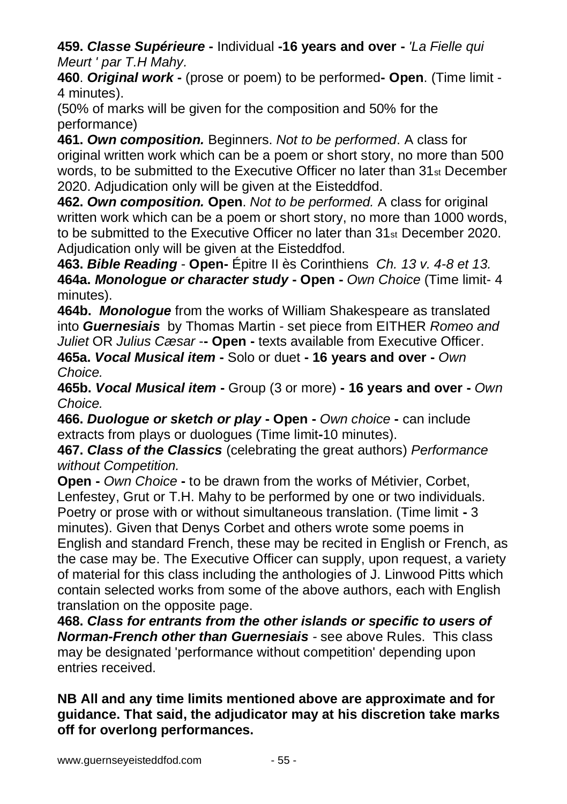**459.** *Classe Supérieure* **-** Individual **-16 years and over -** *'La Fielle qui Meurt ' par T.H Mahy.*

**460**. *Original work* **-** (prose or poem) to be performed**- Open**. (Time limit - 4 minutes).

(50% of marks will be given for the composition and 50% for the performance)

**461.** *Own composition.* Beginners. *Not to be performed*. A class for original written work which can be a poem or short story, no more than 500 words, to be submitted to the Executive Officer no later than 31<sub>st</sub> December 2020. Adjudication only will be given at the Eisteddfod.

**462.** *Own composition.* **Open**. *Not to be performed.* A class for original written work which can be a poem or short story, no more than 1000 words, to be submitted to the Executive Officer no later than 31st December 2020. Adjudication only will be given at the Eisteddfod.

**463.** *Bible Reading* - **Open-** Épitre II ès Corinthiens *Ch. 13 v. 4-8 et 13.* **464a.** *Monologue or character study* **- Open -** *Own Choice* (Time limit- 4 minutes).

**464b.** *Monologue* from the works of William Shakespeare as translated into *Guernesiais* by Thomas Martin - set piece from EITHER *Romeo and Juliet* OR *Julius Cæsar* -**- Open -** texts available from Executive Officer. **465a.** *Vocal Musical item* **-** Solo or duet **- 16 years and over -** *Own Choice.*

**465b.** *Vocal Musical item* **-** Group (3 or more) **- 16 years and over -** *Own Choice.*

**466.** *Duologue or sketch or play* **- Open -** *Own choice* **-** can include extracts from plays or duologues (Time limit**-**10 minutes).

**467.** *Class of the Classics* (celebrating the great authors) *Performance without Competition.*

**Open -** *Own Choice* **-** to be drawn from the works of Métivier, Corbet, Lenfestey, Grut or T.H. Mahy to be performed by one or two individuals. Poetry or prose with or without simultaneous translation. (Time limit **-** 3 minutes). Given that Denys Corbet and others wrote some poems in English and standard French, these may be recited in English or French, as the case may be. The Executive Officer can supply, upon request, a variety of material for this class including the anthologies of J. Linwood Pitts which contain selected works from some of the above authors, each with English translation on the opposite page.

**468.** *Class for entrants from the other islands or specific to users of Norman-French other than Guernesiais -* see above Rules. This class may be designated 'performance without competition' depending upon entries received.

### **NB All and any time limits mentioned above are approximate and for guidance. That said, the adjudicator may at his discretion take marks off for overlong performances.**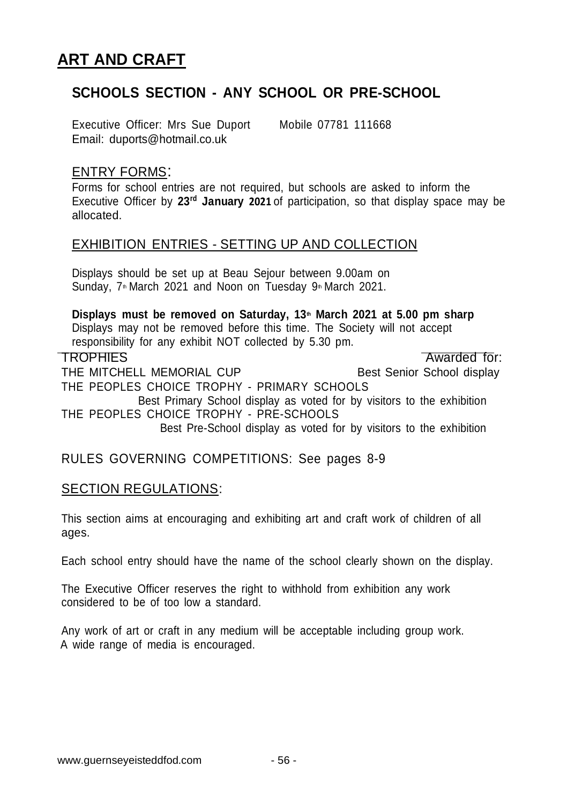# **ART AND CRAFT**

### **SCHOOLS SECTION - ANY SCHOOL OR PRE-SCHOOL**

Executive Officer: Mrs Sue Duport Mobile 07781 111668 Email: duports@hotmail.co.uk

#### ENTRY FORMS:

Forms for school entries are not required, but schools are asked to inform the Executive Officer by **23rd January 2021** of participation, so that display space may be allocated.

#### EXHIBITION ENTRIES - SETTING UP AND COLLECTION

Displays should be set up at Beau Sejour between 9.00am on Sunday,  $7 \text{ m}$  March 2021 and Noon on Tuesday 9 $\text{ m}$  March 2021.

Displays must be removed on Saturday, 13<sup>th</sup> March 2021 at 5.00 pm sharp Displays may not be removed before this time. The Society will not accept responsibility for any exhibit NOT collected by 5.30 pm.

TROPHIES<br>THE MITCHELL MEMORIAL CUP<br>THE MITCHELL MEMORIAL CUP<br>Rest Senior School display THE MITCHELL MEMORIAL CUP THE PEOPLES CHOICE TROPHY - PRIMARY SCHOOLS

Best Primary School display as voted for by visitors to the exhibition THE PEOPLES CHOICE TROPHY - PRE-SCHOOLS

Best Pre-School display as voted for by visitors to the exhibition

#### RULES GOVERNING COMPETITIONS: See pages 8-9

#### SECTION REGULATIONS:

This section aims at encouraging and exhibiting art and craft work of children of all ages.

Each school entry should have the name of the school clearly shown on the display.

The Executive Officer reserves the right to withhold from exhibition any work considered to be of too low a standard.

Any work of art or craft in any medium will be acceptable including group work. A wide range of media is encouraged.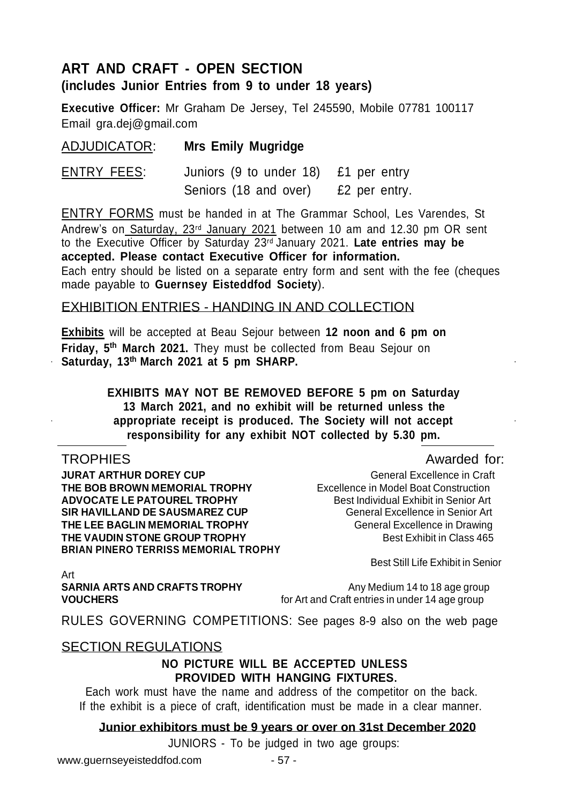#### **ART AND CRAFT - OPEN SECTION (includes Junior Entries from 9 to under 18 years)**

**Executive Officer:** Mr Graham De Jersey, Tel 245590, Mobile 07781 100117 Email gra.dej@gmail.com

ADJUDICATOR: **Mrs Emily Mugridge** ENTRY FEES: Juniors (9 to under 18) £1 per entry Seniors (18 and over) E2 per entry.

ENTRY FORMS must be handed in at The Grammar School, Les Varendes, St Andrew's on Saturday, 23rd January 2021 between 10 am and 12.30 pm OR sent to the Executive Officer by Saturday 23rd January 2021. **Late entries may be accepted. Please contact Executive Officer for information.** Each entry should be listed on a separate entry form and sent with the fee (cheques

made payable to **Guernsey Eisteddfod Society**).

#### EXHIBITION ENTRIES - HANDING IN AND COLLECTION

**Exhibits** will be accepted at Beau Sejour between **12 noon and 6 pm on Friday, 5 th March 2021.** They must be collected from Beau Sejour on **Saturday, 13th March 2021 at 5 pm SHARP.**

> **EXHIBITS MAY NOT BE REMOVED BEFORE 5 pm on Saturday 13 March 2021, and no exhibit will be returned unless the appropriate receipt is produced. The Society will not accept responsibility for any exhibit NOT collected by 5.30 pm.**

**JURAT ARTHUR DOREY CUP**<br> **THE BOB BROWN MEMORIAL TROPHY** Excellence in Model Boat Construction **THE BOB BROWN MEMORIAL TROPHY** Excellence in Model Boat Construction<br>**ADVOCATE LE PATOUREL TROPHY** Best Individual Exhibit in Senior Art **ADVOCATE LE PATOUREL TROPHY SIR HAVILLAND DE SAUSMAREZ CUP** General Excellence in Senior Art **THE LEE BAGLIN MEMORIAL TROPHY** General Excellence in Drawing **THE VAUDIN STONE GROUP TROPHY** Best Exhibit in Class 465 **BRIAN PINERO TERRISS MEMORIAL TROPHY**

TROPHIES Awarded for:

Best Still Life Exhibit in Senior

Art

**SARNIA ARTS AND CRAFTS TROPHY** Any Medium 14 to 18 age group **VOUCHERS FOUCHERS** *COUCHERS COUCHERS COUCHERS COUCHERS COUCHERS COUCHERS COUCHERS COUCHERS COUCHERS* 

RULES GOVERNING COMPETITIONS: See pages 8-9 also on the web page

#### SECTION REGULATIONS

#### **NO PICTURE WILL BE ACCEPTED UNLESS PROVIDED WITH HANGING FIXTURES.**

Each work must have the name and address of the competitor on the back. If the exhibit is a piece of craft, identification must be made in a clear manner.

#### **Junior exhibitors must be 9 years or over on 31st December 2020**

JUNIORS - To be judged in two age groups: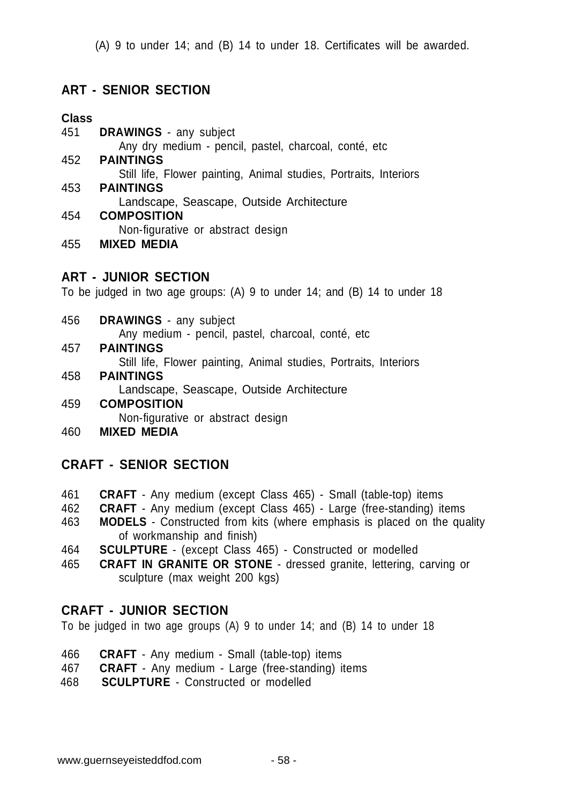#### **ART - SENIOR SECTION**

# **Class**

**DRAWINGS** - any subject Any dry medium - pencil, pastel, charcoal, conté, etc 452 **PAINTINGS** Still life, Flower painting, Animal studies, Portraits, Interiors 453 **PAINTINGS** Landscape, Seascape, Outside Architecture 454 **COMPOSITION** Non-figurative or abstract design 455 **MIXED MEDIA**

#### **ART - JUNIOR SECTION**

To be judged in two age groups: (A) 9 to under 14; and (B) 14 to under 18

- 456 **DRAWINGS** any subject Any medium - pencil, pastel, charcoal, conté, etc 457 **PAINTINGS**
	- Still life, Flower painting, Animal studies, Portraits, Interiors
- 458 **PAINTINGS** Landscape, Seascape, Outside Architecture
- 459 **COMPOSITION** Non-figurative or abstract design
- 460 **MIXED MEDIA**

#### **CRAFT - SENIOR SECTION**

- 461 **CRAFT** Any medium (except Class 465) Small (table-top) items
- 462 **CRAFT** Any medium (except Class 465) Large (free-standing) items
- **MODELS** Constructed from kits (where emphasis is placed on the quality of workmanship and finish)
- 464 **SCULPTURE** (except Class 465) Constructed or modelled
- 465 **CRAFT IN GRANITE OR STONE** dressed granite, lettering, carving or sculpture (max weight 200 kgs)

#### **CRAFT - JUNIOR SECTION**

To be judged in two age groups (A) 9 to under 14; and (B) 14 to under 18

- 466 **CRAFT** Any medium Small (table-top) items
- **CRAFT** Any medium Large (free-standing) items
- 468 **SCULPTURE** Constructed or modelled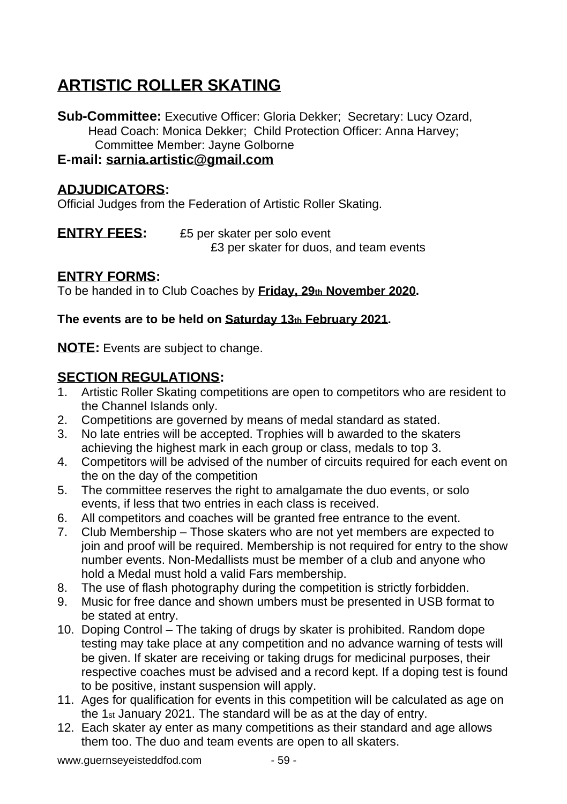# **ARTISTIC ROLLER SKATING**

**Sub-Committee:** Executive Officer: Gloria Dekker; Secretary: Lucy Ozard, Head Coach: Monica Dekker; Child Protection Officer: Anna Harvey; Committee Member: Jayne Golborne

#### **E-mail: sarnia.artistic@gmail.com**

#### **ADJUDICATORS:**

Official Judges from the Federation of Artistic Roller Skating.

**ENTRY FEES:** £5 per skater per solo event £3 per skater for duos, and team events

#### **ENTRY FORMS:**

To be handed in to Club Coaches by **Friday, 29th November 2020.**

#### **The events are to be held on Saturday 13th February 2021.**

**NOTE:** Events are subject to change.

#### **SECTION REGULATIONS:**

- 1. Artistic Roller Skating competitions are open to competitors who are resident to the Channel Islands only.
- 2. Competitions are governed by means of medal standard as stated.
- 3. No late entries will be accepted. Trophies will b awarded to the skaters achieving the highest mark in each group or class, medals to top 3.
- 4. Competitors will be advised of the number of circuits required for each event on the on the day of the competition
- 5. The committee reserves the right to amalgamate the duo events, or solo events, if less that two entries in each class is received.
- 6. All competitors and coaches will be granted free entrance to the event.
- 7. Club Membership Those skaters who are not yet members are expected to join and proof will be required. Membership is not required for entry to the show number events. Non-Medallists must be member of a club and anyone who hold a Medal must hold a valid Fars membership.
- 8. The use of flash photography during the competition is strictly forbidden.
- 9. Music for free dance and shown umbers must be presented in USB format to be stated at entry.
- 10. Doping Control The taking of drugs by skater is prohibited. Random dope testing may take place at any competition and no advance warning of tests will be given. If skater are receiving or taking drugs for medicinal purposes, their respective coaches must be advised and a record kept. If a doping test is found to be positive, instant suspension will apply.
- 11. Ages for qualification for events in this competition will be calculated as age on the 1st January 2021. The standard will be as at the day of entry.
- 12. Each skater ay enter as many competitions as their standard and age allows them too. The duo and team events are open to all skaters.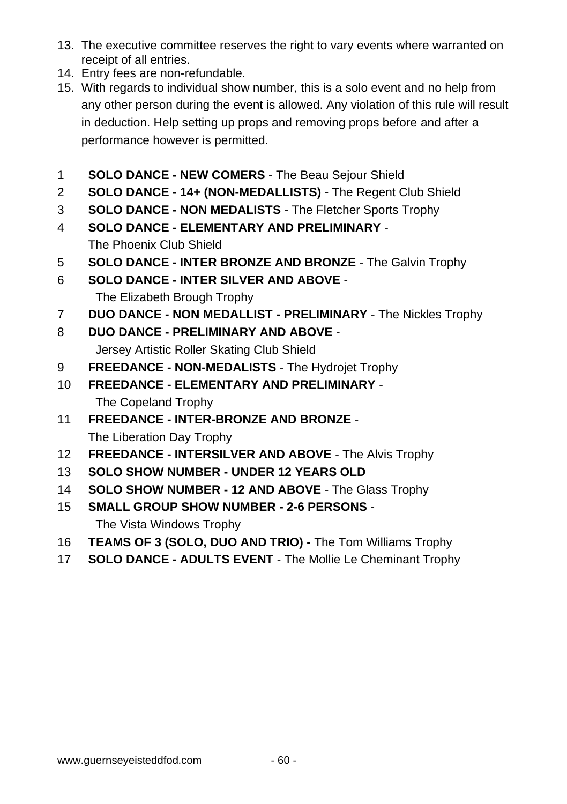- 13. The executive committee reserves the right to vary events where warranted on receipt of all entries.
- 14. Entry fees are non-refundable.
- 15. With regards to individual show number, this is a solo event and no help from any other person during the event is allowed. Any violation of this rule will result in deduction. Help setting up props and removing props before and after a performance however is permitted.
- 1 **SOLO DANCE - NEW COMERS** The Beau Sejour Shield
- 2 **SOLO DANCE - 14+ (NON-MEDALLISTS)** The Regent Club Shield
- 3 **SOLO DANCE - NON MEDALISTS** The Fletcher Sports Trophy
- 4 **SOLO DANCE - ELEMENTARY AND PRELIMINARY** The Phoenix Club Shield
- 5 **SOLO DANCE - INTER BRONZE AND BRONZE** The Galvin Trophy
- 6 **SOLO DANCE - INTER SILVER AND ABOVE** The Elizabeth Brough Trophy
- 7 **DUO DANCE - NON MEDALLIST - PRELIMINARY** The Nickles Trophy
- 8 **DUO DANCE - PRELIMINARY AND ABOVE** Jersey Artistic Roller Skating Club Shield
- 9 **FREEDANCE - NON-MEDALISTS** The Hydrojet Trophy
- 10 **FREEDANCE - ELEMENTARY AND PRELIMINARY** The Copeland Trophy
- 11 **FREEDANCE - INTER-BRONZE AND BRONZE** The Liberation Day Trophy
- 12 **FREEDANCE - INTERSILVER AND ABOVE** The Alvis Trophy
- 13 **SOLO SHOW NUMBER - UNDER 12 YEARS OLD**
- 14 **SOLO SHOW NUMBER - 12 AND ABOVE** The Glass Trophy
- 15 **SMALL GROUP SHOW NUMBER - 2-6 PERSONS** The Vista Windows Trophy
- 16 **TEAMS OF 3 (SOLO, DUO AND TRIO) -** The Tom Williams Trophy
- 17 **SOLO DANCE - ADULTS EVENT** The Mollie Le Cheminant Trophy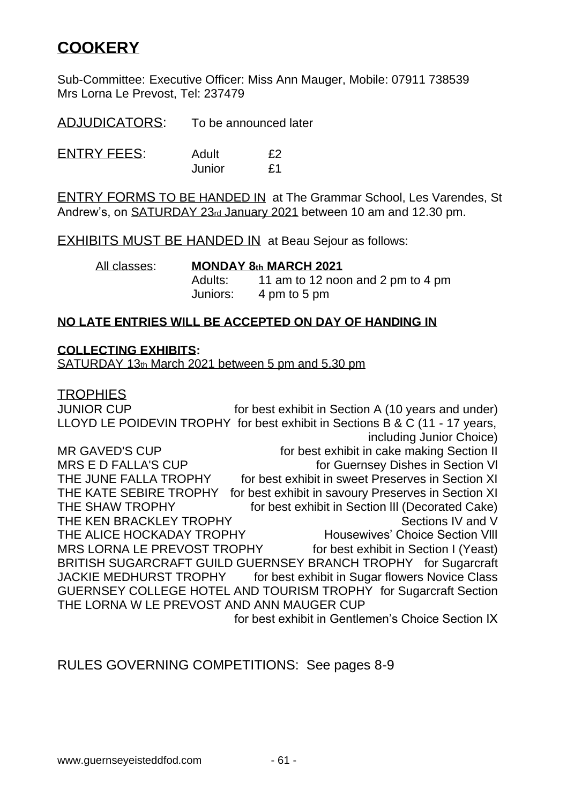# **COOKERY**

Sub-Committee: Executive Officer: Miss Ann Mauger, Mobile: 07911 738539 Mrs Lorna Le Prevost, Tel: 237479

ADJUDICATORS: To be announced later

ENTRY FEES: Adult £2 Junior £1

ENTRY FORMS TO BE HANDED IN at The Grammar School, Les Varendes, St Andrew's, on SATURDAY 23rd January 2021 between 10 am and 12.30 pm.

EXHIBITS MUST BE HANDED IN at Beau Sejour as follows:

All classes: **MONDAY 8th MARCH 2021** 11 am to 12 noon and 2 pm to 4 pm

Juniors: 4 pm to 5 pm

#### **NO LATE ENTRIES WILL BE ACCEPTED ON DAY OF HANDING IN**

#### **COLLECTING EXHIBITS:**

SATURDAY 13th March 2021 between 5 pm and 5.30 pm

# **TROPHIES**<br>JUNIOR CUP

for best exhibit in Section A (10 years and under) LLOYD LE POIDEVIN TROPHY for best exhibit in Sections B & C (11 - 17 years, including Junior Choice) MR GAVED'S CUP for best exhibit in cake making Section II<br>MRS E D FALLA'S CUP for Guernsey Dishes in Section VI MRS E D FALLA'S CUP<br>THE JUNE FALLA TROPHY for best exhibit in sweet Preserves in Section XI THE JUNE FALLA TROPHY for best exhibit in sweet Preserves in Section XI<br>THE KATE SEBIRE TROPHY for best exhibit in sayoury Preserves in Section XI for best exhibit in savoury Preserves in Section XI THE SHAW TROPHY for best exhibit in Section lIl (Decorated Cake) THE KEN BRACKLEY TROPHY<br>THE ALICE HOCKADAY TROPHY HOUSewives' Choice Section VIII THE ALICE HOCKADAY TROPHY **Housewives' Choice Section VIII**<br>MRS LORNA LE PREVOST TROPHY for best exhibit in Section I (Yeast) MRS LORNA LE PREVOST TROPHY BRITISH SUGARCRAFT GUILD GUERNSEY BRANCH TROPHY for Sugarcraft JACKIE MEDHURST TROPHY for best exhibit in Sugar flowers Novice Class GUERNSEY COLLEGE HOTEL AND TOURISM TROPHY for Sugarcraft Section THE LORNA W LE PREVOST AND ANN MAUGER CUP

for best exhibit in Gentlemen's Choice Section IX

RULES GOVERNING COMPETITIONS: See pages 8-9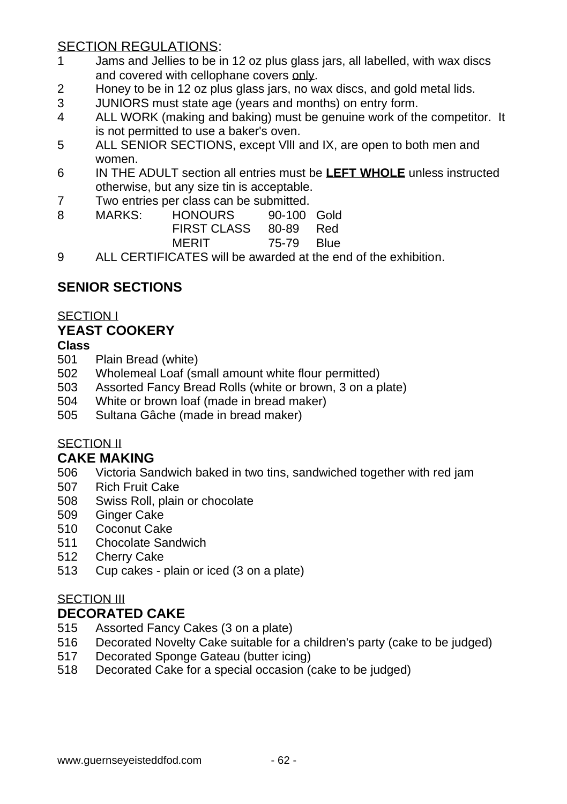# SECTION REGULATIONS:<br>1 lams and lellies to be it

- 1 Jams and Jellies to be in 12 oz plus glass jars, all labelled, with wax discs and covered with cellophane covers only.
- 2 Honey to be in 12 oz plus glass jars, no wax discs, and gold metal lids.<br>3 JUNIORS must state age (vears and months) on entry form.
- 3 JUNIORS must state age (years and months) on entry form.<br>4 ALL WORK (making and baking) must be genuine work of the
- 4 ALL WORK (making and baking) must be genuine work of the competitor. It is not permitted to use a baker's oven.
- 5 ALL SENIOR SECTIONS, except VllI and IX, are open to both men and women.
- 6 IN THE ADULT section all entries must be **LEFT WHOLE** unless instructed otherwise, but any size tin is acceptable.
- 7 Two entries per class can be submitted.

| 8 | MARKS: | <b>HONOURS</b>     | 90-100 Gold |        |
|---|--------|--------------------|-------------|--------|
|   |        | <b>FIRST CLASS</b> | 80-89 Red   |        |
|   |        | MERIT              | 75-79       | - Blue |

9 ALL CERTIFICATES will be awarded at the end of the exhibition.

### **SENIOR SECTIONS**

SECTION I

#### **YEAST COOKERY**

# **Class**

- 501 Plain Bread (white)<br>502 Wholemeal Loaf (si
- Wholemeal Loaf (small amount white flour permitted)
- 503 Assorted Fancy Bread Rolls (white or brown, 3 on a plate)
- 504 White or brown loaf (made in bread maker)
- Sultana Gâche (made in bread maker)

#### SECTION II

# **CAKE MAKING**<br>506 Victoria Sar

- Victoria Sandwich baked in two tins, sandwiched together with red jam
- 507 Rich Fruit Cake<br>508 Swiss Roll, plair
- 508 Swiss Roll, plain or chocolate<br>509 Ginger Cake
- 509 Ginger Cake<br>510 Coconut Cake
- 510 Coconut Cake<br>511 Chocolate San
- Chocolate Sandwich
- 512 Cherry Cake
- 513 Cup cakes plain or iced (3 on a plate)

#### SECTION III

#### **DECORATED CAKE**

- 515 Assorted Fancy Cakes (3 on a plate)
- 516 Decorated Novelty Cake suitable for a children's party (cake to be judged)
- 517 Decorated Sponge Gateau (butter icing)
- 518 Decorated Cake for a special occasion (cake to be judged)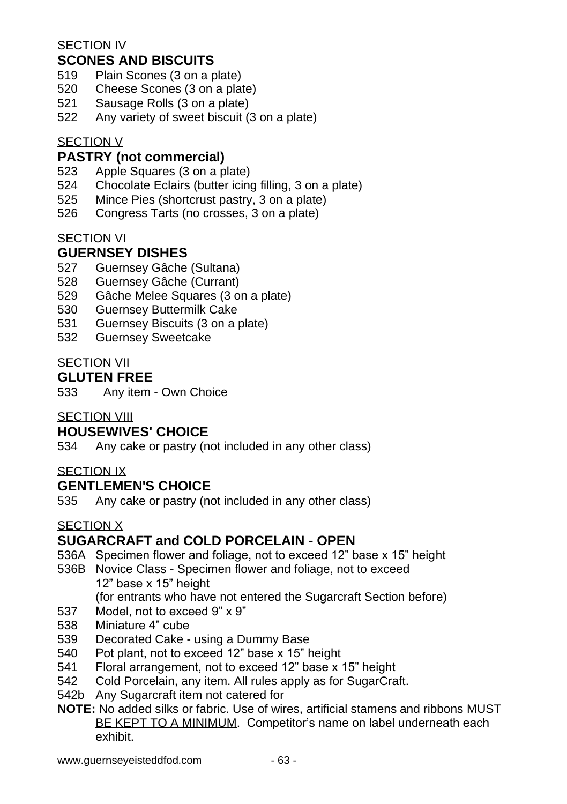#### SECTION IV

# **SCONES AND BISCUITS**<br>519 Plain Scones (3 on a r

- 519 Plain Scones (3 on a plate)<br>520 Cheese Scones (3 on a pla
- 520 Cheese Scones (3 on a plate)<br>521 Sausage Rolls (3 on a plate)
- 521 Sausage Rolls (3 on a plate)<br>522 Any variety of sweet biscuit (
- Any variety of sweet biscuit (3 on a plate)

#### SECTION V

### **PASTRY (not commercial)**

- 523 Apple Squares (3 on a plate)<br>524 Chocolate Eclairs (butter icing
- 524 Chocolate Eclairs (butter icing filling, 3 on a plate)<br>525 Mince Pies (shortcrust pastry, 3 on a plate)
- 525 Mince Pies (shortcrust pastry, 3 on a plate)<br>526 Congress Tarts (no crosses, 3 on a plate)
- 526 Congress Tarts (no crosses, 3 on a plate)

#### SECTION VI

### **GUERNSEY DISHES**

- 527 Guernsey Gâche (Sultana)
- 528 Guernsey Gâche (Currant)
- 529 Gâche Melee Squares (3 on a plate)
- 530 Guernsey Buttermilk Cake
- 531 Guernsey Biscuits (3 on a plate)
- 532 Guernsey Sweetcake

#### SECTION VII

# **GLUTEN FREE**<br>533 Any item

Any item - Own Choice

# SECTION VIII

# **HOUSEWIVES' CHOICE**

534 Any cake or pastry (not included in any other class)

### SECTION IX

### **GENTLEMEN'S CHOICE**

535 Any cake or pastry (not included in any other class)

### SECTION X

# **SUGARCRAFT and COLD PORCELAIN - OPEN**

- 536A Specimen flower and foliage, not to exceed 12" base x 15" height
- 536B Novice Class Specimen flower and foliage, not to exceed 12" base x 15" height

(for entrants who have not entered the Sugarcraft Section before)

- 537 Model, not to exceed 9" x 9"
- 538 Miniature 4" cube
- 539 Decorated Cake using a Dummy Base
- 540 Pot plant, not to exceed 12" base x 15" height
- 541 Floral arrangement, not to exceed 12" base x 15" height
- 542 Cold Porcelain, any item. All rules apply as for SugarCraft.
- 542b Any Sugarcraft item not catered for
- **NOTE:** No added silks or fabric. Use of wires, artificial stamens and ribbons MUST BE KEPT TO A MINIMUM. Competitor's name on label underneath each exhibit.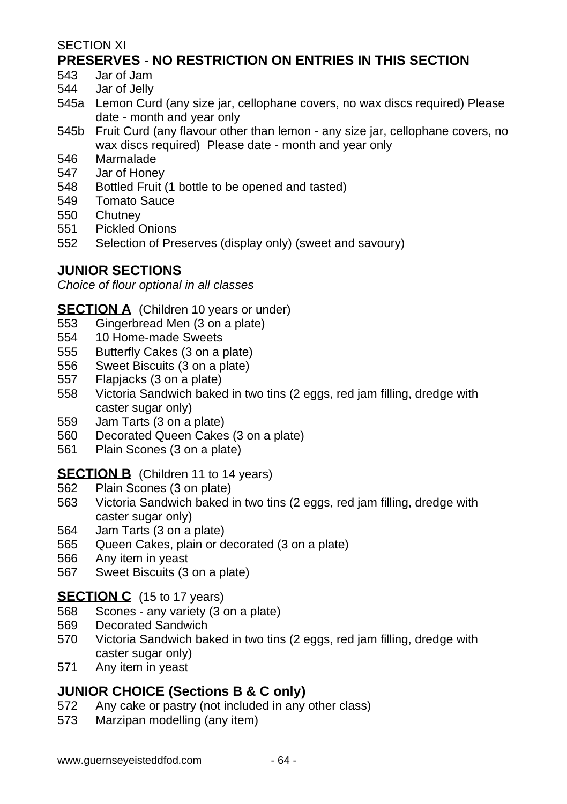#### SECTION XI

# **PRESERVES - NO RESTRICTION ON ENTRIES IN THIS SECTION**<br>543 Liar of Jam

- 543 Jar of Jam<br>544 Jar of Jelly
- Jar of Jelly
- 545a Lemon Curd (any size jar, cellophane covers, no wax discs required) Please date - month and year only
- 545b Fruit Curd (any flavour other than lemon any size jar, cellophane covers, no wax discs required) Please date - month and year only
- 546 Marmalade<br>547 Jar of Hone
- 547 Jar of Honey<br>548 Bottled Fruit
- Bottled Fruit (1 bottle to be opened and tasted)
- 549 Tomato Sauce
- 550 Chutney<br>551 Pickled C
- 551 Pickled Onions<br>552 Selection of Pre
- Selection of Preserves (display only) (sweet and savoury)

#### **JUNIOR SECTIONS**

*Choice of flour optional in all classes*

# **SECTION A** (Children 10 years or under)<br>553 Gingerbread Men (3 on a plate)

- 553 Gingerbread Men (3 on a plate)
- 554 10 Home-made Sweets
- 555 Butterfly Cakes (3 on a plate)<br>556 Sweet Biscuits (3 on a plate)
- 556 Sweet Biscuits (3 on a plate)<br>557 Flapiacks (3 on a plate)
- Flapjacks (3 on a plate)
- 558 Victoria Sandwich baked in two tins (2 eggs, red jam filling, dredge with caster sugar only)
- 559 Jam Tarts (3 on a plate)<br>560 Decorated Queen Cakes
- 560 Decorated Queen Cakes (3 on a plate)<br>561 Plain Scones (3 on a plate)
- Plain Scones (3 on a plate)

#### **SECTION B** (Children 11 to 14 years)

- 562 Plain Scones (3 on plate)<br>563 Victoria Sandwich baked
- Victoria Sandwich baked in two tins (2 eggs, red jam filling, dredge with caster sugar only)
- 564 Jam Tarts (3 on a plate)
- 565 Queen Cakes, plain or decorated (3 on a plate)
- 566 Any item in yeast
- Sweet Biscuits (3 on a plate)

#### **SECTION C** (15 to 17 years)

- 568 Scones any variety (3 on a plate)
- 569 Decorated Sandwich<br>570 Victoria Sandwich ba
- Victoria Sandwich baked in two tins (2 eggs, red jam filling, dredge with caster sugar only)
- 571 Any item in yeast

#### **JUNIOR CHOICE (Sections B & C only)**

- 572 Any cake or pastry (not included in any other class)
- 573 Marzipan modelling (any item)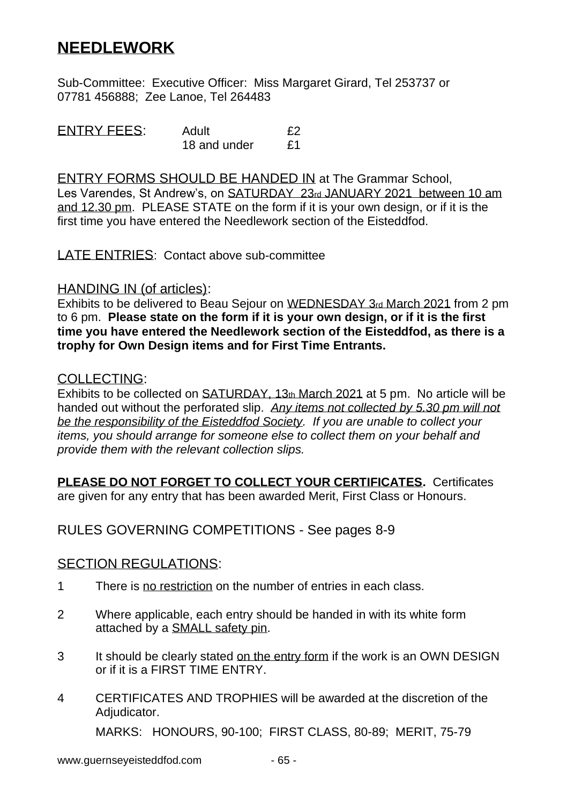# **NEEDLEWORK**

Sub-Committee: Executive Officer: Miss Margaret Girard, Tel 253737 or 07781 456888; Zee Lanoe, Tel 264483

| <u>ENTRY FEES:</u> | Adult        |  |
|--------------------|--------------|--|
|                    | 18 and under |  |

ENTRY FORMS SHOULD BE HANDED IN at The Grammar School, Les Varendes, St Andrew's, on SATURDAY 23rd JANUARY 2021 between 10 am and 12.30 pm. PLEASE STATE on the form if it is your own design, or if it is the first time you have entered the Needlework section of the Eisteddfod.

LATE ENTRIES: Contact above sub-committee

#### HANDING IN (of articles):

Exhibits to be delivered to Beau Sejour on WEDNESDAY 3rd March 2021 from 2 pm to 6 pm. **Please state on the form if it is your own design, or if it is the first time you have entered the Needlework section of the Eisteddfod, as there is a trophy for Own Design items and for First Time Entrants.**

#### COLLECTING:

Exhibits to be collected on SATURDAY, 13th March 2021 at 5 pm. No article will be handed out without the perforated slip. *Any items not collected by 5.30 pm will not be the responsibility of the Eisteddfod Society. If you are unable to collect your items, you should arrange for someone else to collect them on your behalf and provide them with the relevant collection slips.*

**PLEASE DO NOT FORGET TO COLLECT YOUR CERTIFICATES.** Certificates are given for any entry that has been awarded Merit, First Class or Honours.

#### RULES GOVERNING COMPETITIONS - See pages 8-9

#### SECTION REGULATIONS:

- 1 There is no restriction on the number of entries in each class.
- 2 Where applicable, each entry should be handed in with its white form attached by a SMALL safety pin.
- 3 It should be clearly stated on the entry form if the work is an OWN DESIGN or if it is a FIRST TIME ENTRY.
- 4 CERTIFICATES AND TROPHIES will be awarded at the discretion of the Adjudicator.

MARKS: HONOURS, 90-100; FIRST CLASS, 80-89; MERIT, 75-79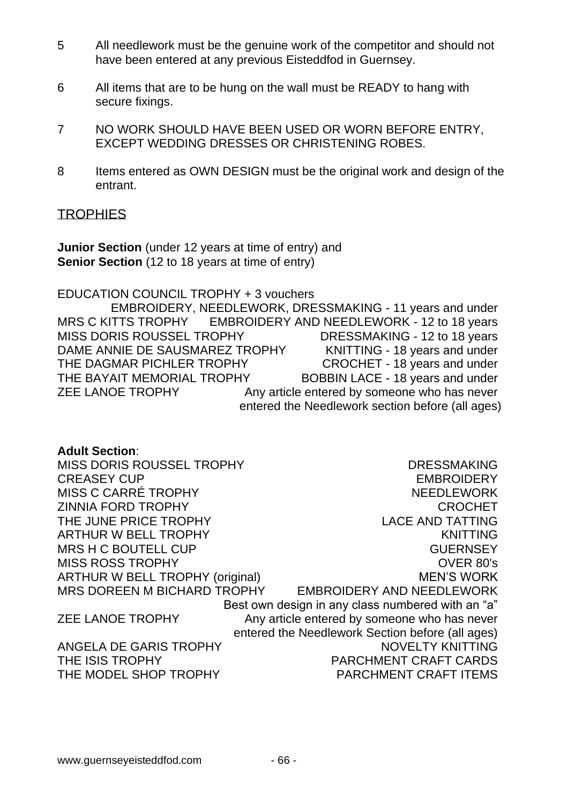- 5 All needlework must be the genuine work of the competitor and should not have been entered at any previous Eisteddfod in Guernsey.
- 6 All items that are to be hung on the wall must be READY to hang with secure fixings.
- 7 NO WORK SHOULD HAVE BEEN USED OR WORN BEFORE ENTRY, EXCEPT WEDDING DRESSES OR CHRISTENING ROBES.
- 8 Items entered as OWN DESIGN must be the original work and design of the entrant.

#### **TROPHIES**

**Junior Section** (under 12 years at time of entry) and **Senior Section** (12 to 18 years at time of entry)

EDUCATION COUNCIL TROPHY + 3 vouchers

EMBROIDERY, NEEDLEWORK, DRESSMAKING - 11 years and under MRS C KITTS TROPHY EMBROIDERY AND NEEDLEWORK - 12 to 18 years<br>MISS DORIS ROUSSEL TROPHY DRESSMAKING - 12 to 18 years MISS DORIS ROUSSEL TROPHY DRESSMAKING - 12 to 18 years<br>DAME ANNIE DE SAUSMAREZ TROPHY KNITTING - 18 years and under DAME ANNIE DE SAUSMAREZ TROPHY<br>THE DAGMAR PICHI ER TROPHY CROCHET - 18 years and under<br>BOBBIN LACE - 18 years and under THE BAYAIT MEMORIAL TROPHY<br>ZEE LANOE TROPHY And Any article entered by someone who has never entered the Needlework section before (all ages)

**Adult Section**: MISS DORIS ROUSSEL TROPHY<br>CREASEY CUP CREASEY CUP<br>MISS C CARRÉ TROPHY FROM THE RESERVED BY THE RESERVED BY A NEEDLEWORK MISS C CARRÉ TROPHY ZINNIA FORD TROPHY<br>THE JUNE PRICE TROPHY CROCHET THE JUNE PRICE TROPHY<br>ARTHUR W BELL TROPHY LACE AND TATTING ARTHUR W BELL TROPHY<br>
MRS H C BOUTFLL CUP MRS H C BOUTELL CUP<br>MISS ROSS TROPHY GUERNSEY OVER 80's MISS ROSS TROPHY ARTHUR W BELL TROPHY (original) MEN'S WORK MRS DOREEN M BICHARD TROPHY EMBROIDERY AND NEEDLEWORK Best own design in any class numbered with an "a" ZEE LANOE TROPHY Any article entered by someone who has never entered the Needlework Section before (all ages) ANGELA DE GARIS TROPHY NOVELTY KNITTING THE ISIS TROPHY **EXECUTE:** PARCHMENT CRAFT CARDS THE MODEL SHOP TROPHY PARCHMENT CRAFT ITEMS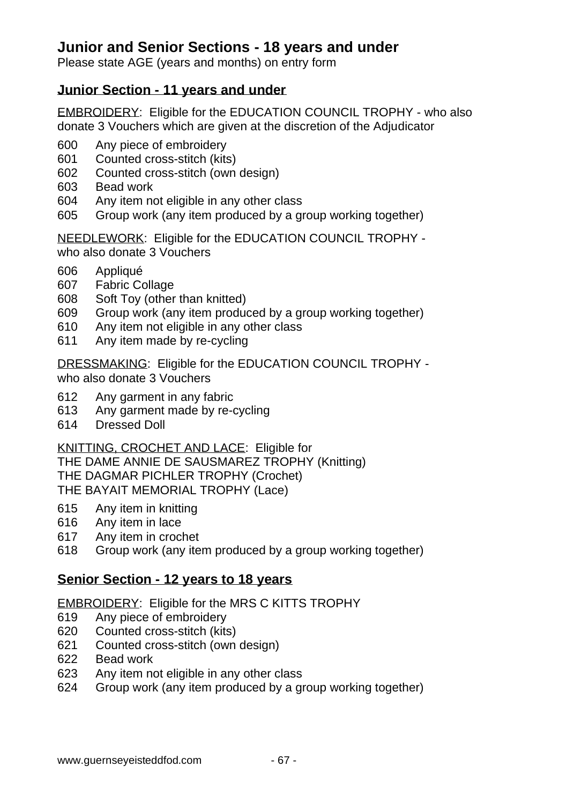# **Junior and Senior Sections - 18 years and under**

Please state AGE (years and months) on entry form

#### **Junior Section - 11 years and under**

EMBROIDERY: Eligible for the EDUCATION COUNCIL TROPHY - who also donate 3 Vouchers which are given at the discretion of the Adjudicator

- 600 Any piece of embroidery<br>601 Counted cross-stitch (kits
- Counted cross-stitch (kits)
- 602 Counted cross-stitch (own design)<br>603 Bead work
- Bead work
- 604 Any item not eligible in any other class
- 605 Group work (any item produced by a group working together)

NEEDLEWORK: Eligible for the EDUCATION COUNCIL TROPHY who also donate 3 Vouchers

- 606 Appliqué<br>607 Fabric Co
- Fabric Collage
- 608 Soft Toy (other than knitted)<br>609 Group work (any item produc
- 609 Group work (any item produced by a group working together)
- Any item not eligible in any other class
- 611 Any item made by re-cycling

DRESSMAKING: Eligible for the EDUCATION COUNCIL TROPHY who also donate 3 Vouchers

- 612 Any garment in any fabric
- 613 Any garment made by re-cycling
- 614 Dressed Doll

KNITTING, CROCHET AND LACE: Eligible for THE DAME ANNIE DE SAUSMAREZ TROPHY (Knitting)

THE DAGMAR PICHLER TROPHY (Crochet)

THE BAYAIT MEMORIAL TROPHY (Lace)

- 615 Any item in knitting
- 616 Any item in lace
- 617 Any item in crochet
- 618 Group work (any item produced by a group working together)

#### **Senior Section - 12 years to 18 years**

EMBROIDERY: Eligible for the MRS C KITTS TROPHY

- 619 Any piece of embroidery
- 620 Counted cross-stitch (kits)
- 621 Counted cross-stitch (own design)
- 622 Bead work
- 623 Any item not eligible in any other class
- 624 Group work (any item produced by a group working together)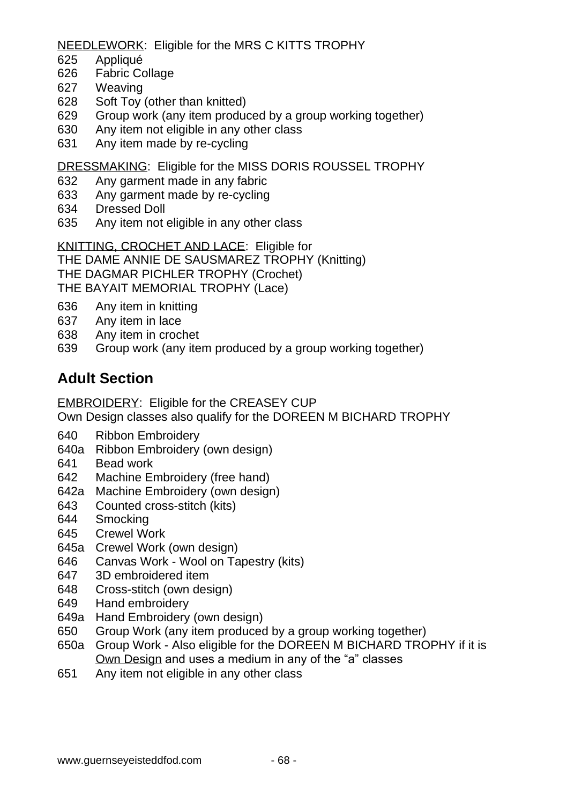NEEDLEWORK: Eligible for the MRS C KITTS TROPHY

- 625 Appliqué<br>626 Fabric Co
- Fabric Collage
- 627 Weaving<br>628 Soft Tov
- 628 Soft Toy (other than knitted)<br>629 Group work (any item product
- Group work (any item produced by a group working together)
- 630 Any item not eligible in any other class<br>631 Any item made by re-cycling
- Any item made by re-cycling

#### DRESSMAKING: Eligible for the MISS DORIS ROUSSEL TROPHY

- 632 Any garment made in any fabric
- 633 Any garment made by re-cycling<br>634 Dressed Doll
- 634 Dressed Doll<br>635 Anv item not
- Any item not eligible in any other class

KNITTING, CROCHET AND LACE: Eligible for THE DAME ANNIE DE SAUSMAREZ TROPHY (Knitting) THE DAGMAR PICHLER TROPHY (Crochet) THE BAYAIT MEMORIAL TROPHY (Lace)

- 636 Any item in knitting
- 637 Any item in lace
- 638 Any item in crochet<br>639 Group work (any ite
- Group work (any item produced by a group working together)

# **Adult Section**

EMBROIDERY: Eligible for the CREASEY CUP

Own Design classes also qualify for the DOREEN M BICHARD TROPHY

- 640 Ribbon Embroidery
- 640a Ribbon Embroidery (own design)
- 641 Bead work
- 642 Machine Embroidery (free hand)
- 642a Machine Embroidery (own design)
- 643 Counted cross-stitch (kits)<br>644 Smocking
- Smocking
- 645 Crewel Work
- 645a Crewel Work (own design)
- 646 Canvas Work Wool on Tapestry (kits)
- 647 3D embroidered item<br>648 Cross-stitch (own des
- Cross-stitch (own design)
- 649 Hand embroidery
- 649a Hand Embroidery (own design)
- 650 Group Work (any item produced by a group working together)
- 650a Group Work Also eligible for the DOREEN M BICHARD TROPHY if it is Own Design and uses a medium in any of the "a" classes
- 651 Any item not eligible in any other class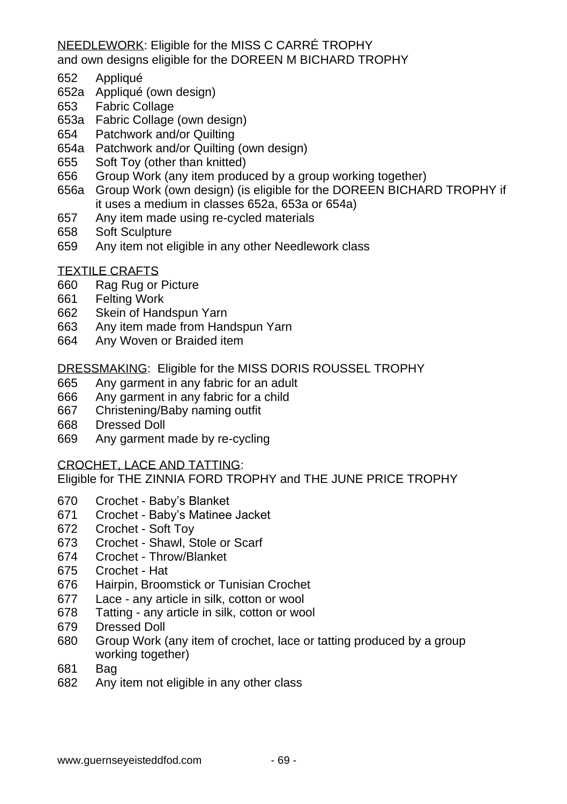#### NEEDLEWORK: Eligible for the MISS C CARRÉ TROPHY and own designs eligible for the DOREEN M BICHARD TROPHY

- 652 Appliqué
- 652a Appliqué (own design)<br>653 Fabric Collage
- Fabric Collage
- 653a Fabric Collage (own design)
- 654 Patchwork and/or Quilting
- 654a Patchwork and/or Quilting (own design)<br>655 Soft Toy (other than knitted)
- 655 Soft Toy (other than knitted)<br>656 Group Work (any item produ
- Group Work (any item produced by a group working together)
- 656a Group Work (own design) (is eligible for the DOREEN BICHARD TROPHY if it uses a medium in classes 652a, 653a or 654a)
- 657 Any item made using re-cycled materials
- 658 Soft Sculpture<br>659 Anv item not e
- Any item not eligible in any other Needlework class

#### TEXTILE CRAFTS

- 660 Rag Rug or Picture<br>661 Felting Work
- 661 Felting Work
- 662 Skein of Handspun Yarn<br>663 Any item made from Han
- Any item made from Handspun Yarn
- 664 Any Woven or Braided item

#### DRESSMAKING: Eligible for the MISS DORIS ROUSSEL TROPHY

- 665 Any garment in any fabric for an adult<br>666 Any garment in any fabric for a child
- Any garment in any fabric for a child
- 667 Christening/Baby naming outfit
- 668 Dressed Doll
- 669 Any garment made by re-cycling

#### CROCHET, LACE AND TATTING:

Eligible for THE ZINNIA FORD TROPHY and THE JUNE PRICE TROPHY

- 670 Crochet Baby's Blanket<br>671 Crochet Baby's Matinee
- 671 Crochet Baby's Matinee Jacket<br>672 Crochet Soft Tov
- 672 Crochet Soft Toy<br>673 Crochet Shawl. S
- 673 Crochet Shawl, Stole or Scarf
- 674 Crochet Throw/Blanket<br>675 Crochet Hat
- 675 Crochet Hat<br>676 Hairnin Broor
- 676 Hairpin, Broomstick or Tunisian Crochet
- 677 Lace any article in silk, cotton or wool
- 678 Tatting any article in silk, cotton or wool
- 679 Dressed Doll
- 680 Group Work (any item of crochet, lace or tatting produced by a group working together)
- 681 Bag
- 682 Any item not eligible in any other class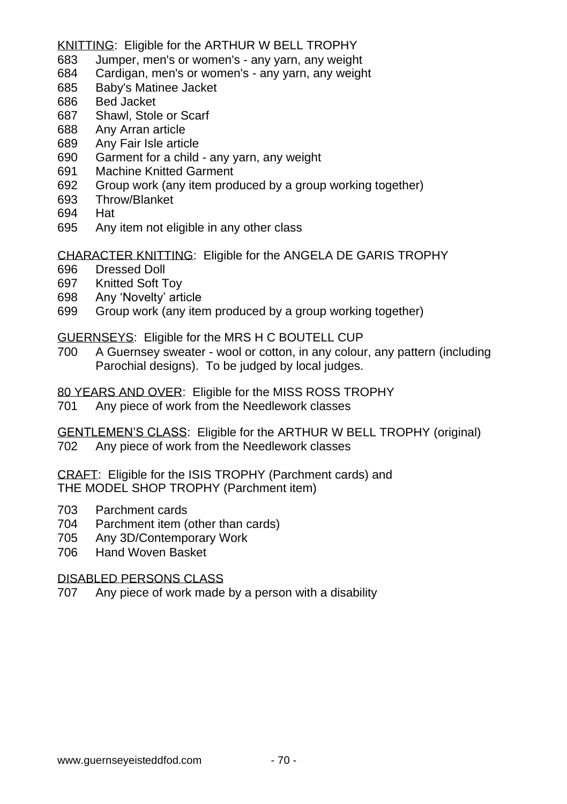KNITTING: Eligible for the ARTHUR W BELL TROPHY

- 683 Jumper, men's or women's any yarn, any weight
- Cardigan, men's or women's any yarn, any weight
- 685 Baby's Matinee Jacket<br>686 Bed Jacket
- 686 Bed Jacket<br>687 Shawl Stole
- Shawl, Stole or Scarf
- 688 Any Arran article<br>689 Any Fair Isle artic
- Any Fair Isle article
- 690 Garment for a child any yarn, any weight<br>691 Machine Knitted Garment
- 691 Machine Knitted Garment<br>692 Group work (any item proc
- 692 Group work (any item produced by a group working together)<br>693 Throw/Blanket
- Throw/Blanket
- 694 Hat
- 695 Any item not eligible in any other class

CHARACTER KNITTING: Eligible for the ANGELA DE GARIS TROPHY

- 696 Dressed Doll<br>697 Knitted Soft T
- **Knitted Soft Toy**
- 698 Any 'Novelty' article
- 699 Group work (any item produced by a group working together)

GUERNSEYS: Eligible for the MRS H C BOUTELL CUP

700 A Guernsey sweater - wool or cotton, in any colour, any pattern (including Parochial designs). To be judged by local judges.

80 YEARS AND OVER: Eligible for the MISS ROSS TROPHY

701 Any piece of work from the Needlework classes

GENTLEMEN'S CLASS: Eligible for the ARTHUR W BELL TROPHY (original) 702 Any piece of work from the Needlework classes

CRAFT: Eligible for the ISIS TROPHY (Parchment cards) and THE MODEL SHOP TROPHY (Parchment item)

- 703 Parchment cards
- 704 Parchment item (other than cards)
- 705 Any 3D/Contemporary Work<br>706 Hand Woyen Basket
- Hand Woven Basket

DISABLED PERSONS CLASS

707 Any piece of work made by a person with a disability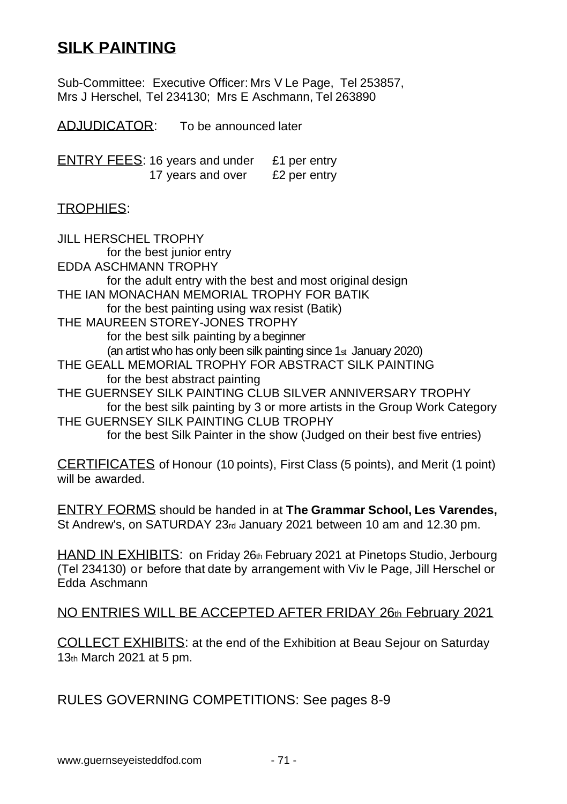# **SILK PAINTING**

Sub-Committee: Executive Officer: Mrs V Le Page, Tel 253857, Mrs J Herschel, Tel 234130; Mrs E Aschmann, Tel 263890

ADJUDICATOR: To be announced later

ENTRY FEES: 16 years and under £1 per entry 17 years and over £2 per entry

#### TROPHIES:

JILL HERSCHEL TROPHY for the best junior entry EDDA ASCHMANN TROPHY for the adult entry with the best and most original design THE IAN MONACHAN MEMORIAL TROPHY FOR BATIK for the best painting using wax resist (Batik) THE MAUREEN STOREY-JONES TROPHY for the best silk painting by a beginner (an artist who has only been silk painting since  $1<sub>st</sub>$  January 2020) THE GEALL MEMORIAL TROPHY FOR ABSTRACT SILK PAINTING for the best abstract painting THE GUERNSEY SILK PAINTING CLUB SILVER ANNIVERSARY TROPHY for the best silk painting by 3 or more artists in the Group Work Category THE GUERNSEY SILK PAINTING CLUB TROPHY

for the best Silk Painter in the show (Judged on their best five entries)

CERTIFICATES of Honour (10 points), First Class (5 points), and Merit (1 point) will be awarded.

ENTRY FORMS should be handed in at **The Grammar School, Les Varendes,** St Andrew's, on SATURDAY 23rd January 2021 between 10 am and 12.30 pm.

HAND IN EXHIBITS: on Friday 26th February 2021 at Pinetops Studio, Jerbourg (Tel 234130) or before that date by arrangement with Viv le Page, Jill Herschel or Edda Aschmann

#### NO ENTRIES WILL BE ACCEPTED AFTER FRIDAY 26th February 2021

COLLECT EXHIBITS: at the end of the Exhibition at Beau Sejour on Saturday 13th March 2021 at 5 pm.

RULES GOVERNING COMPETITIONS: See pages 8-9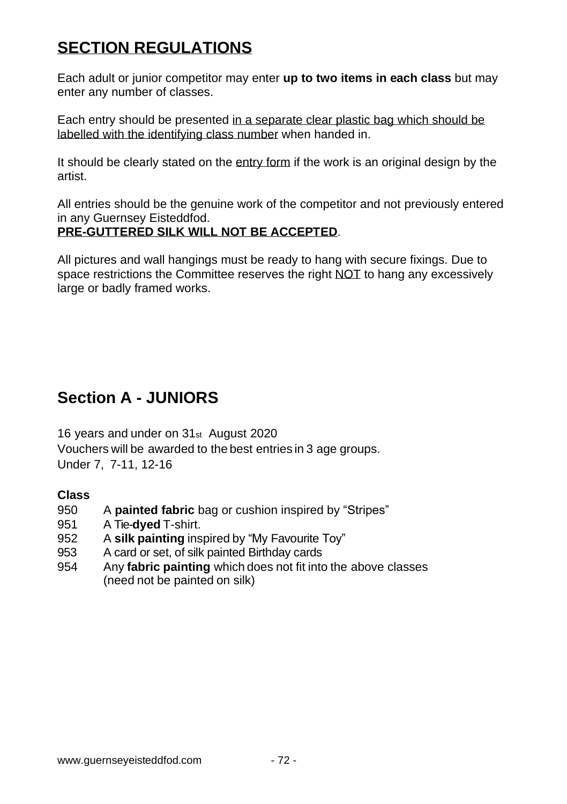# **SECTION REGULATIONS**

Each adult or junior competitor may enter **up to two items in each class** but may enter any number of classes.

Each entry should be presented in a separate clear plastic bag which should be labelled with the identifying class number when handed in.

It should be clearly stated on the entry form if the work is an original design by the artist.

All entries should be the genuine work of the competitor and not previously entered in any Guernsey Eisteddfod.

#### **PRE-GUTTERED SILK WILL NOT BE ACCEPTED**.

All pictures and wall hangings must be ready to hang with secure fixings. Due to space restrictions the Committee reserves the right NOT to hang any excessively large or badly framed works.

# **Section A - JUNIORS**

16 years and under on 31st August 2020 Vouchers will be awarded to the best entries in 3 age groups. Under 7, 7-11, 12-16

#### **Class**

- 950 A **painted fabric** bag or cushion inspired by "Stripes"
- 951 A Tie-**dyed** T-shirt.
- 952 A **silk painting** inspired by "My Favourite Toy"
- 953 A card or set, of silk painted Birthday cards
- 954 Any **fabric painting** which does not fit into the above classes (need not be painted on silk)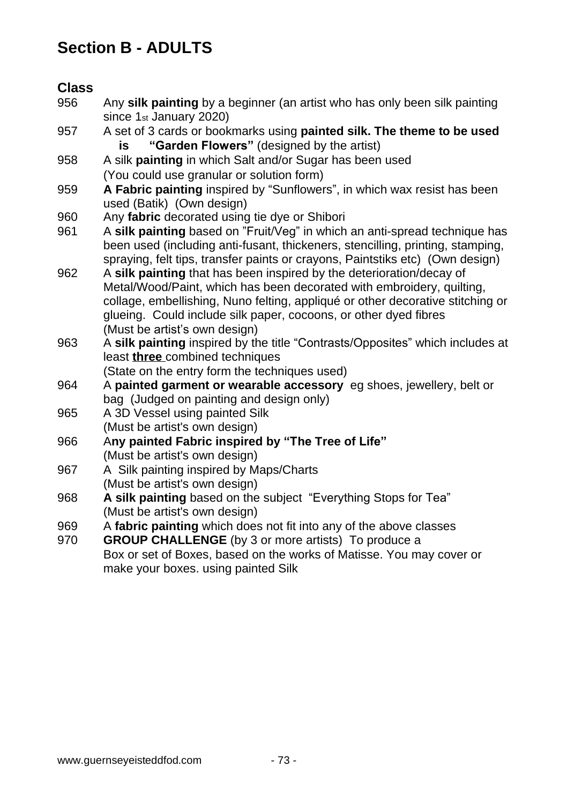## **Section B - ADULTS**

# **Class**

- 956 Any **silk painting** by a beginner (an artist who has only been silk painting since 1<sub>st</sub> January 2020)
- 957 A set of 3 cards or bookmarks using **painted silk. The theme to be used is "Garden Flowers"** (designed by the artist)
- 958 A silk **painting** in which Salt and/or Sugar has been used (You could use granular or solution form)
- 959 **A Fabric painting** inspired by "Sunflowers", in which wax resist has been used (Batik) (Own design)
- 960 Any **fabric** decorated using tie dye or Shibori
- 961 A **silk painting** based on "Fruit/Veg" in which an anti-spread technique has been used (including anti-fusant, thickeners, stencilling, printing, stamping, spraying, felt tips, transfer paints or crayons, Paintstiks etc) (Own design)
- 962 A **silk painting** that has been inspired by the deterioration/decay of Metal/Wood/Paint, which has been decorated with embroidery, quilting, collage, embellishing, Nuno felting, appliqué or other decorative stitching or glueing. Could include silk paper, cocoons, or other dyed fibres (Must be artist's own design)
- 963 A **silk painting** inspired by the title "Contrasts/Opposites" which includes at least **three** combined techniques
	- (State on the entry form the techniques used)
- 964 A **painted garment or wearable accessory** eg shoes, jewellery, belt or bag (Judged on painting and design only)
- 965 A 3D Vessel using painted Silk (Must be artist's own design)
- 966 A**ny painted Fabric inspired by "The Tree of Life"** (Must be artist's own design)
- 967 A Silk painting inspired by Maps/Charts (Must be artist's own design)
- 968 **A silk painting** based on the subject "Everything Stops for Tea" (Must be artist's own design)
- 969 A **fabric painting** which does not fit into any of the above classes
- 970 **GROUP CHALLENGE** (by 3 or more artists) To produce a Box or set of Boxes, based on the works of Matisse. You may cover or make your boxes. using painted Silk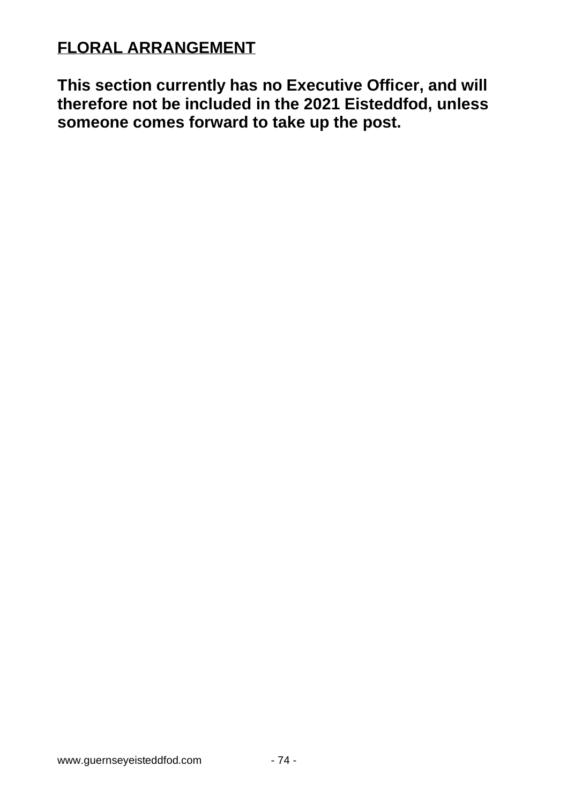## **FLORAL ARRANGEMENT**

**This section currently has no Executive Officer, and will therefore not be included in the 2021 Eisteddfod, unless someone comes forward to take up the post.**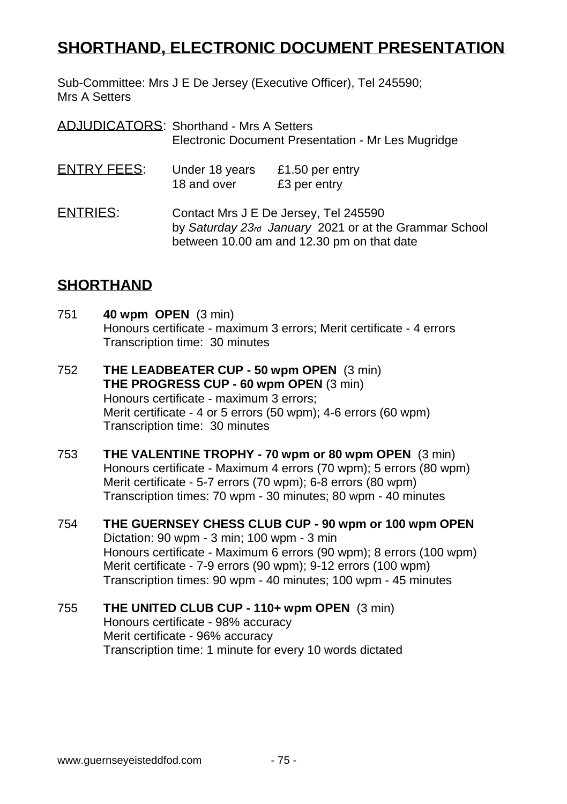## **SHORTHAND, ELECTRONIC DOCUMENT PRESENTATION**

Sub-Committee: Mrs J E De Jersey (Executive Officer), Tel 245590; Mrs A Setters

|             | ADJUDICATORS: Shorthand - Mrs A Setters<br>Electronic Document Presentation - Mr Les Mugridge                                                 |                                 |  |
|-------------|-----------------------------------------------------------------------------------------------------------------------------------------------|---------------------------------|--|
| ENTRY FEES: | Under 18 years<br>18 and over                                                                                                                 | £1.50 per entry<br>£3 per entry |  |
| ENTRIES:    | Contact Mrs J E De Jersey, Tel 245590<br>by Saturday 23rd January 2021 or at the Grammar School<br>between 10.00 am and 12.30 pm on that date |                                 |  |

### **SHORTHAND**

- 751 **40 wpm OPEN** (3 min) Honours certificate - maximum 3 errors; Merit certificate - 4 errors Transcription time: 30 minutes
- 752 **THE LEADBEATER CUP - 50 wpm OPEN** (3 min) **THE PROGRESS CUP - 60 wpm OPEN** (3 min) Honours certificate - maximum 3 errors; Merit certificate - 4 or 5 errors (50 wpm); 4-6 errors (60 wpm) Transcription time: 30 minutes
- 753 **THE VALENTINE TROPHY - 70 wpm or 80 wpm OPEN** (3 min) Honours certificate - Maximum 4 errors (70 wpm); 5 errors (80 wpm) Merit certificate - 5-7 errors (70 wpm); 6-8 errors (80 wpm) Transcription times: 70 wpm - 30 minutes; 80 wpm - 40 minutes
- 754 **THE GUERNSEY CHESS CLUB CUP - 90 wpm or 100 wpm OPEN** Dictation: 90 wpm - 3 min; 100 wpm - 3 min Honours certificate - Maximum 6 errors (90 wpm); 8 errors (100 wpm) Merit certificate - 7-9 errors (90 wpm); 9-12 errors (100 wpm) Transcription times: 90 wpm - 40 minutes; 100 wpm - 45 minutes
- 755 **THE UNITED CLUB CUP - 110+ wpm OPEN** (3 min) Honours certificate - 98% accuracy Merit certificate - 96% accuracy Transcription time: 1 minute for every 10 words dictated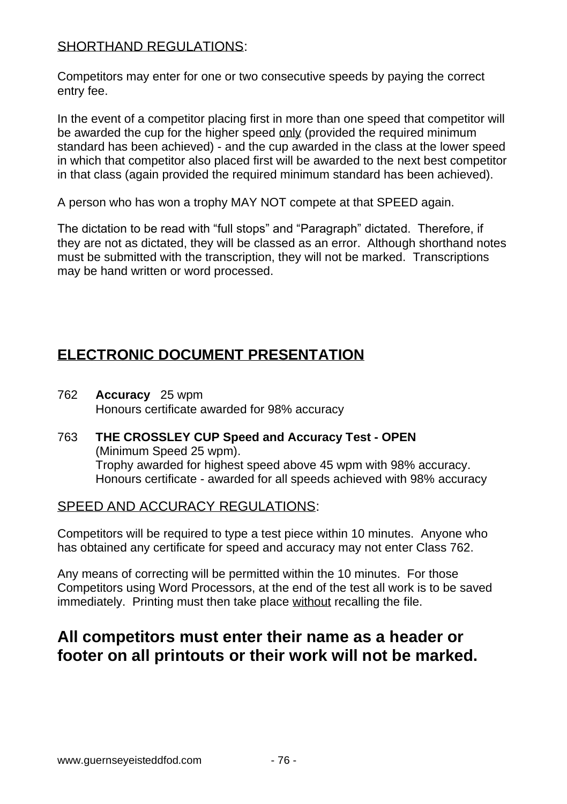## SHORTHAND REGULATIONS:

Competitors may enter for one or two consecutive speeds by paying the correct entry fee.

In the event of a competitor placing first in more than one speed that competitor will be awarded the cup for the higher speed only (provided the required minimum standard has been achieved) - and the cup awarded in the class at the lower speed in which that competitor also placed first will be awarded to the next best competitor in that class (again provided the required minimum standard has been achieved).

A person who has won a trophy MAY NOT compete at that SPEED again.

The dictation to be read with "full stops" and "Paragraph" dictated. Therefore, if they are not as dictated, they will be classed as an error. Although shorthand notes must be submitted with the transcription, they will not be marked. Transcriptions may be hand written or word processed.

## **ELECTRONIC DOCUMENT PRESENTATION**

- 762 **Accuracy** 25 wpm Honours certificate awarded for 98% accuracy
- 763 **THE CROSSLEY CUP Speed and Accuracy Test - OPEN** (Minimum Speed 25 wpm). Trophy awarded for highest speed above 45 wpm with 98% accuracy. Honours certificate - awarded for all speeds achieved with 98% accuracy

#### SPEED AND ACCURACY REGULATIONS:

Competitors will be required to type a test piece within 10 minutes. Anyone who has obtained any certificate for speed and accuracy may not enter Class 762.

Any means of correcting will be permitted within the 10 minutes. For those Competitors using Word Processors, at the end of the test all work is to be saved immediately. Printing must then take place without recalling the file.

## **All competitors must enter their name as a header or footer on all printouts or their work will not be marked.**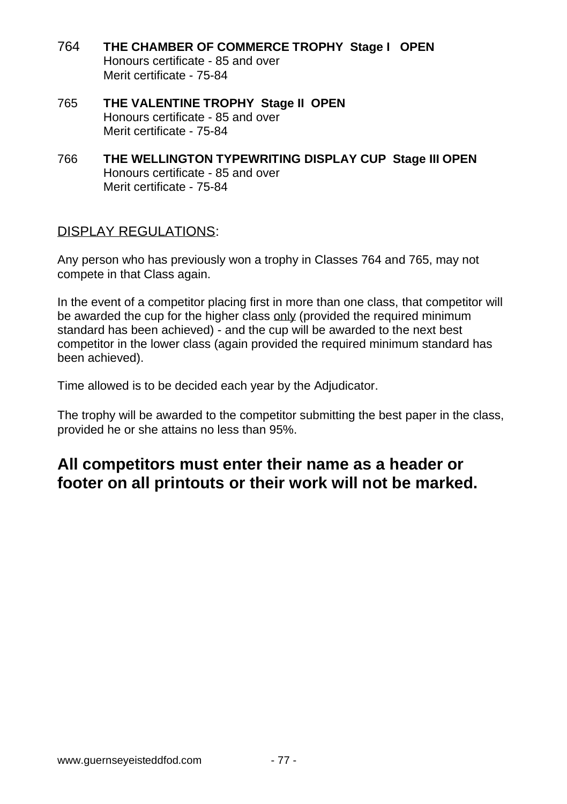- 764 **THE CHAMBER OF COMMERCE TROPHY Stage I OPEN** Honours certificate - 85 and over Merit certificate - 75-84
- 765 **THE VALENTINE TROPHY Stage II OPEN** Honours certificate - 85 and over Merit certificate - 75-84
- 766 **THE WELLINGTON TYPEWRITING DISPLAY CUP Stage III OPEN** Honours certificate - 85 and over Merit certificate - 75-84

#### DISPLAY REGULATIONS:

Any person who has previously won a trophy in Classes 764 and 765, may not compete in that Class again.

In the event of a competitor placing first in more than one class, that competitor will be awarded the cup for the higher class only (provided the required minimum standard has been achieved) - and the cup will be awarded to the next best competitor in the lower class (again provided the required minimum standard has been achieved).

Time allowed is to be decided each year by the Adjudicator.

The trophy will be awarded to the competitor submitting the best paper in the class, provided he or she attains no less than 95%.

## **All competitors must enter their name as a header or footer on all printouts or their work will not be marked.**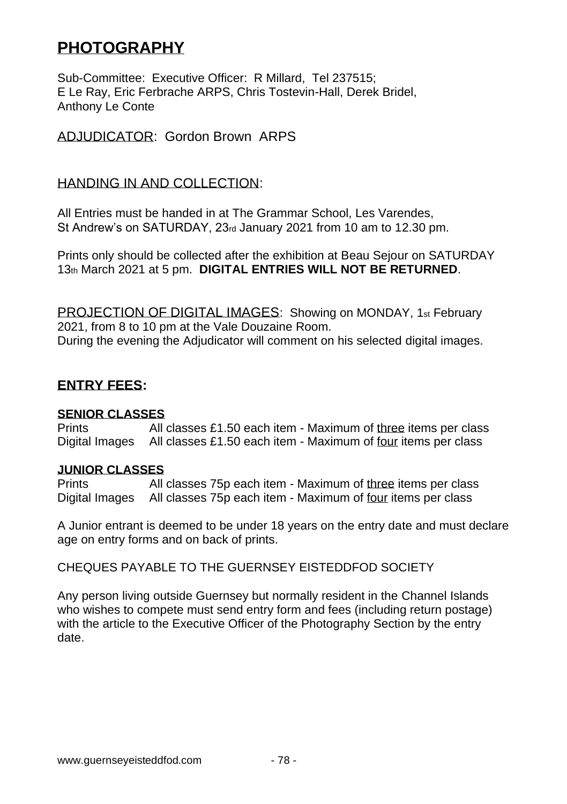## **PHOTOGRAPHY**

Sub-Committee: Executive Officer: R Millard, Tel 237515; E Le Ray, Eric Ferbrache ARPS, Chris Tostevin-Hall, Derek Bridel, Anthony Le Conte

ADJUDICATOR: Gordon Brown ARPS

#### HANDING IN AND COLLECTION:

All Entries must be handed in at The Grammar School, Les Varendes, St Andrew's on SATURDAY, 23rd January 2021 from 10 am to 12.30 pm.

Prints only should be collected after the exhibition at Beau Sejour on SATURDAY 13th March 2021 at 5 pm. **DIGITAL ENTRIES WILL NOT BE RETURNED**.

PROJECTION OF DIGITAL IMAGES: Showing on MONDAY, 1st February 2021, from 8 to 10 pm at the Vale Douzaine Room. During the evening the Adjudicator will comment on his selected digital images.

### **ENTRY FEES:**

#### **SENIOR CLASSES**

Prints All classes £1.50 each item - Maximum of three items per class Digital Images All classes £1.50 each item - Maximum of four items per class

#### **JUNIOR CLASSES**

Prints All classes 75p each item - Maximum of three items per class Digital Images All classes 75p each item - Maximum of four items per class

A Junior entrant is deemed to be under 18 years on the entry date and must declare age on entry forms and on back of prints.

CHEQUES PAYABLE TO THE GUERNSEY EISTEDDFOD SOCIETY

Any person living outside Guernsey but normally resident in the Channel Islands who wishes to compete must send entry form and fees (including return postage) with the article to the Executive Officer of the Photography Section by the entry date.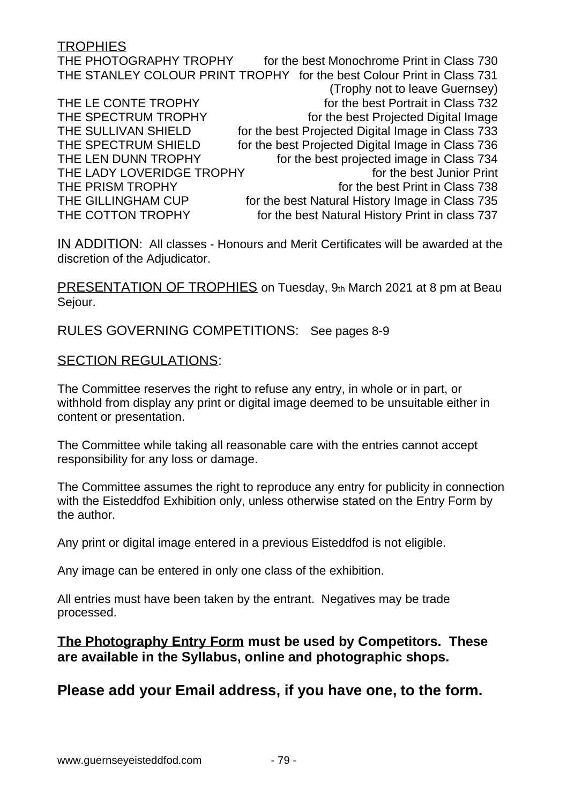**TROPHIES**<br>THE PHOTOGRAPHY TROPHY for the best Monochrome Print in Class 730 THE STANLEY COLOUR PRINT TROPHY for the best Colour Print in Class 731 (Trophy not to leave Guernsey) THE LE CONTE TROPHY for the best Portrait in Class 732<br>THE SPECTRUM TROPHY for the best Projected Digital Image THE SPECTRUM TROPHY for the best Projected Digital Image<br>THE SULLIVAN SHIFLD for the best Projected Digital Image in Class 733 THE SULLIVAN SHIELD for the best Projected Digital Image in Class 733<br>THE SPECTRLIM SHIELD for the best Projected Digital Image in Class 736 THE SPECTRUM SHIELD for the best Projected Digital Image in Class 736<br>THE LEN DUNN TROPHY for the best projected image in Class 734 for the best projected image in Class 734<br>for the best Junior Print THE LADY LOVERIDGE TROPHY<br>THE PRISM TROPHY for the best Print in Class 738 THE GILLINGHAM CUP for the best Natural History Image in Class 735 THE COTTON TROPHY for the best Natural History Print in class 737

IN ADDITION: All classes - Honours and Merit Certificates will be awarded at the discretion of the Adjudicator.

PRESENTATION OF TROPHIES on Tuesday, 9th March 2021 at 8 pm at Beau Sejour.

RULES GOVERNING COMPETITIONS: See pages 8-9

#### SECTION REGULATIONS:

The Committee reserves the right to refuse any entry, in whole or in part, or withhold from display any print or digital image deemed to be unsuitable either in content or presentation.

The Committee while taking all reasonable care with the entries cannot accept responsibility for any loss or damage.

The Committee assumes the right to reproduce any entry for publicity in connection with the Eisteddfod Exhibition only, unless otherwise stated on the Entry Form by the author.

Any print or digital image entered in a previous Eisteddfod is not eligible.

Any image can be entered in only one class of the exhibition.

All entries must have been taken by the entrant. Negatives may be trade processed.

## **The Photography Entry Form must be used by Competitors. These are available in the Syllabus, online and photographic shops.**

## **Please add your Email address, if you have one, to the form.**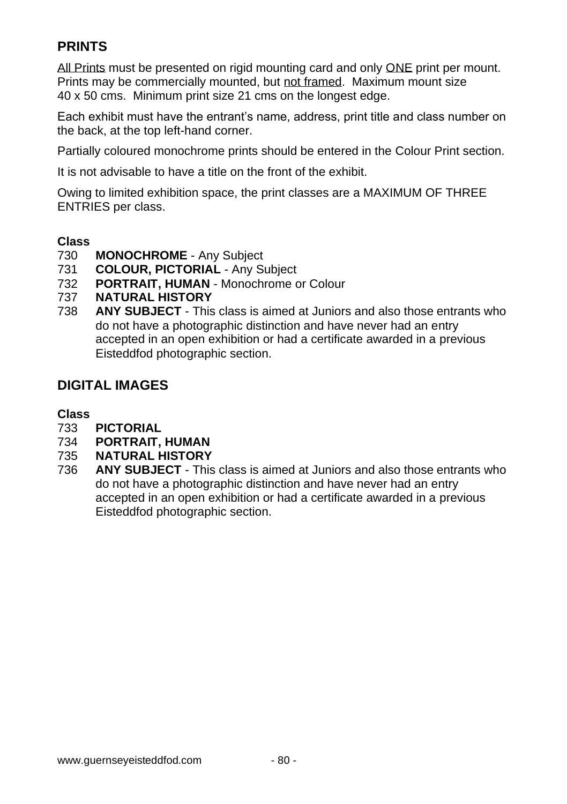## **PRINTS**

All Prints must be presented on rigid mounting card and only ONE print per mount. Prints may be commercially mounted, but not framed. Maximum mount size 40 x 50 cms. Minimum print size 21 cms on the longest edge.

Each exhibit must have the entrant's name, address, print title and class number on the back, at the top left-hand corner.

Partially coloured monochrome prints should be entered in the Colour Print section.

It is not advisable to have a title on the front of the exhibit.

Owing to limited exhibition space, the print classes are a MAXIMUM OF THREE ENTRIES per class.

#### **Class**

- 730 **MONOCHROME** Any Subject<br>731 **COLOUR, PICTORIAL** Any S
- 731 **COLOUR, PICTORIAL** Any Subject
- 732 **PORTRAIT, HUMAN**  Monochrome or Colour
- 737 **NATURAL HISTORY**
- 738 **ANY SUBJECT** This class is aimed at Juniors and also those entrants who do not have a photographic distinction and have never had an entry accepted in an open exhibition or had a certificate awarded in a previous Eisteddfod photographic section.

## **DIGITAL IMAGES**

#### **Class**

- 733 **PICTORIAL**
- 734 **PORTRAIT, HUMAN**
- 735 **NATURAL HISTORY**
- 736 **ANY SUBJECT**  This class is aimed at Juniors and also those entrants who do not have a photographic distinction and have never had an entry accepted in an open exhibition or had a certificate awarded in a previous Eisteddfod photographic section.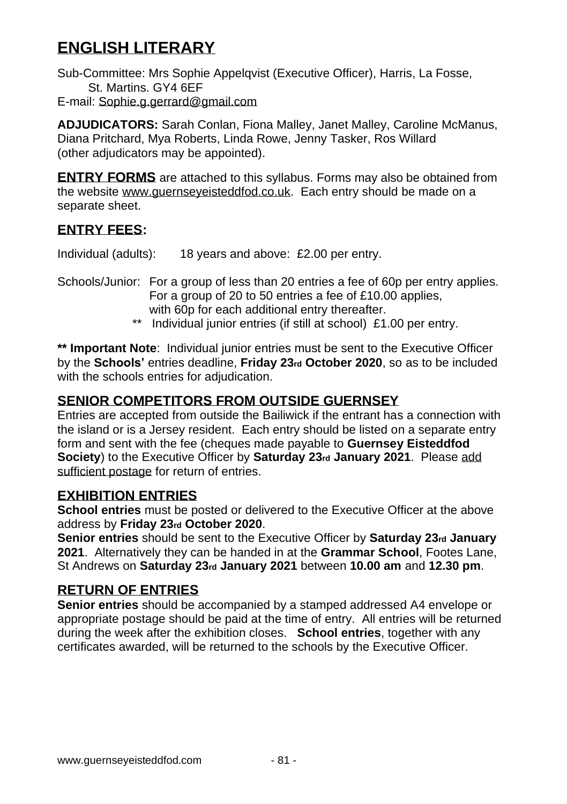## **ENGLISH LITERARY**

Sub-Committee: Mrs Sophie Appelqvist (Executive Officer), Harris, La Fosse, St. Martins. GY4 6EF E-mail: [Sophie.g.gerrard@gmail.com](mailto:Sophie.g.gerrard@gmail.com)

**ADJUDICATORS:** Sarah Conlan, Fiona Malley, Janet Malley, Caroline McManus, Diana Pritchard, Mya Roberts, Linda Rowe, Jenny Tasker, Ros Willard (other adjudicators may be appointed).

**ENTRY FORMS** are attached to this syllabus. Forms may also be obtained from the websit[e www.guernseyeisteddfod.co.uk.](http://www.guernseyeisteddfod.co.uk/) Each entry should be made on a separate sheet.

## **ENTRY FEES:**

Individual (adults): 18 years and above: £2.00 per entry.

Schools/Junior: For a group of less than 20 entries a fee of 60p per entry applies. For a group of 20 to 50 entries a fee of £10.00 applies, with 60p for each additional entry thereafter.

\*\* Individual junior entries (if still at school) £1.00 per entry.

**\*\* Important Note**: Individual junior entries must be sent to the Executive Officer by the **Schools'** entries deadline, **Friday 23rd October 2020**, so as to be included with the schools entries for adjudication.

## **SENIOR COMPETITORS FROM OUTSIDE GUERNSEY**

Entries are accepted from outside the Bailiwick if the entrant has a connection with the island or is a Jersey resident. Each entry should be listed on a separate entry form and sent with the fee (cheques made payable to **Guernsey Eisteddfod Society**) to the Executive Officer by **Saturday 23rd January 2021**. Please add sufficient postage for return of entries.

### **EXHIBITION ENTRIES**

**School entries** must be posted or delivered to the Executive Officer at the above address by **Friday 23rd October 2020**.

**Senior entries** should be sent to the Executive Officer by **Saturday 23**<sup>*rd*</sup> **January 2021**. Alternatively they can be handed in at the **Grammar School**, Footes Lane, St Andrews on **Saturday 23rd January 2021** between **10.00 am** and **12.30 pm**.

## **RETURN OF ENTRIES**

**Senior entries** should be accompanied by a stamped addressed A4 envelope or appropriate postage should be paid at the time of entry. All entries will be returned during the week after the exhibition closes. **School entries**, together with any certificates awarded, will be returned to the schools by the Executive Officer.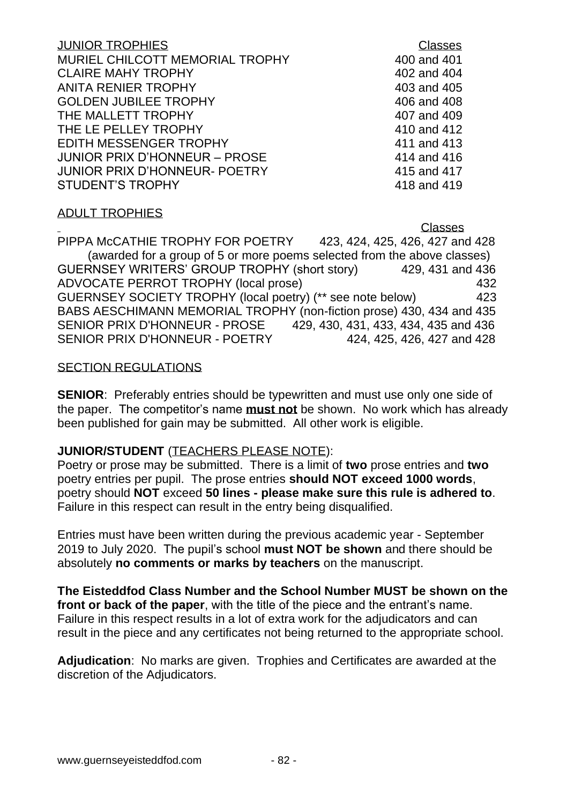| JUNIOR TROPHIES                 | Classes     |
|---------------------------------|-------------|
| MURIEL CHILCOTT MEMORIAL TROPHY | 400 and 401 |
| <b>CLAIRE MAHY TROPHY</b>       | 402 and 404 |
| ANITA RENIER TROPHY             | 403 and 405 |
| <b>GOLDEN JUBILEE TROPHY</b>    | 406 and 408 |
| THE MALLETT TROPHY              | 407 and 409 |
| THE LE PELLEY TROPHY            | 410 and 412 |
| EDITH MESSENGER TROPHY          | 411 and 413 |
| JUNIOR PRIX D'HONNEUR – PROSE   | 414 and 416 |
| JUNIOR PRIX D'HONNEUR- POETRY   | 415 and 417 |
| STUDENT'S TROPHY                | 418 and 419 |

#### ADULT TROPHIES

Classes

PIPPA McCATHIE TROPHY FOR POETRY 423, 424, 425, 426, 427 and 428 (awarded for a group of 5 or more poems selected from the above classes) GUERNSEY WRITERS' GROUP TROPHY (short story) 429, 431 and 436<br>ADVOCATE PERROT TROPHY (local prose) 432 ADVOCATE PERROT TROPHY (local prose) GUERNSEY SOCIETY TROPHY (local poetry) (\*\* see note below) 423 BABS AESCHIMANN MEMORIAL TROPHY (non-fiction prose) 430, 434 and 435 SENIOR PRIX D'HONNEUR - PROSE 429, 430, 431, 433, 434, 435 and 436 SENIOR PRIX D'HONNEUR - POETRY

#### SECTION REGULATIONS

**SENIOR**: Preferably entries should be typewritten and must use only one side of the paper. The competitor's name **must not** be shown. No work which has already been published for gain may be submitted. All other work is eligible.

#### **JUNIOR/STUDENT** (TEACHERS PLEASE NOTE):

Poetry or prose may be submitted. There is a limit of **two** prose entries and **two** poetry entries per pupil. The prose entries **should NOT exceed 1000 words**, poetry should **NOT** exceed **50 lines - please make sure this rule is adhered to**. Failure in this respect can result in the entry being disqualified.

Entries must have been written during the previous academic year - September 2019 to July 2020. The pupil's school **must NOT be shown** and there should be absolutely **no comments or marks by teachers** on the manuscript.

**The Eisteddfod Class Number and the School Number MUST be shown on the front or back of the paper**, with the title of the piece and the entrant's name. Failure in this respect results in a lot of extra work for the adjudicators and can result in the piece and any certificates not being returned to the appropriate school.

**Adjudication**: No marks are given. Trophies and Certificates are awarded at the discretion of the Adjudicators.